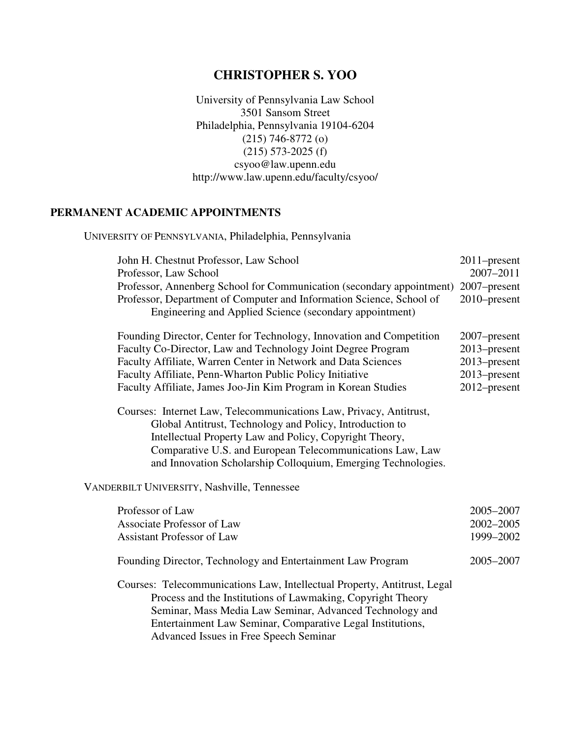# **CHRISTOPHER S. YOO**

University of Pennsylvania Law School 3501 Sansom Street Philadelphia, Pennsylvania 19104-6204 (215) 746-8772 (o) (215) 573-2025 (f) csyoo@law.upenn.edu http://www.law.upenn.edu/faculty/csyoo/

# **PERMANENT ACADEMIC APPOINTMENTS**

UNIVERSITY OF PENNSYLVANIA, Philadelphia, Pennsylvania

| John H. Chestnut Professor, Law School<br>Professor, Law School<br>Professor, Annenberg School for Communication (secondary appointment)<br>Professor, Department of Computer and Information Science, School of<br>Engineering and Applied Science (secondary appointment)                                                         | $2011$ -present<br>2007-2011<br>2007-present<br>2010–present                 |
|-------------------------------------------------------------------------------------------------------------------------------------------------------------------------------------------------------------------------------------------------------------------------------------------------------------------------------------|------------------------------------------------------------------------------|
| Founding Director, Center for Technology, Innovation and Competition<br>Faculty Co-Director, Law and Technology Joint Degree Program<br>Faculty Affiliate, Warren Center in Network and Data Sciences<br>Faculty Affiliate, Penn-Wharton Public Policy Initiative<br>Faculty Affiliate, James Joo-Jin Kim Program in Korean Studies | 2007-present<br>2013-present<br>2013-present<br>2013-present<br>2012-present |
| Courses: Internet Law, Telecommunications Law, Privacy, Antitrust,<br>Global Antitrust, Technology and Policy, Introduction to<br>Intellectual Property Law and Policy, Copyright Theory,<br>Comparative U.S. and European Telecommunications Law, Law<br>and Innovation Scholarship Colloquium, Emerging Technologies.             |                                                                              |
| VANDERBILT UNIVERSITY, Nashville, Tennessee                                                                                                                                                                                                                                                                                         |                                                                              |
| Professor of Law<br><b>Associate Professor of Law</b><br><b>Assistant Professor of Law</b>                                                                                                                                                                                                                                          | 2005-2007<br>2002-2005<br>1999-2002                                          |
| Founding Director, Technology and Entertainment Law Program                                                                                                                                                                                                                                                                         | 2005-2007                                                                    |
| Courses: Telecommunications Law, Intellectual Property, Antitrust, Legal<br>Process and the Institutions of Lawmaking, Copyright Theory<br>Seminar, Mass Media Law Seminar, Advanced Technology and<br>Entertainment Law Seminar, Comparative Legal Institutions,<br>Advanced Issues in Free Speech Seminar                         |                                                                              |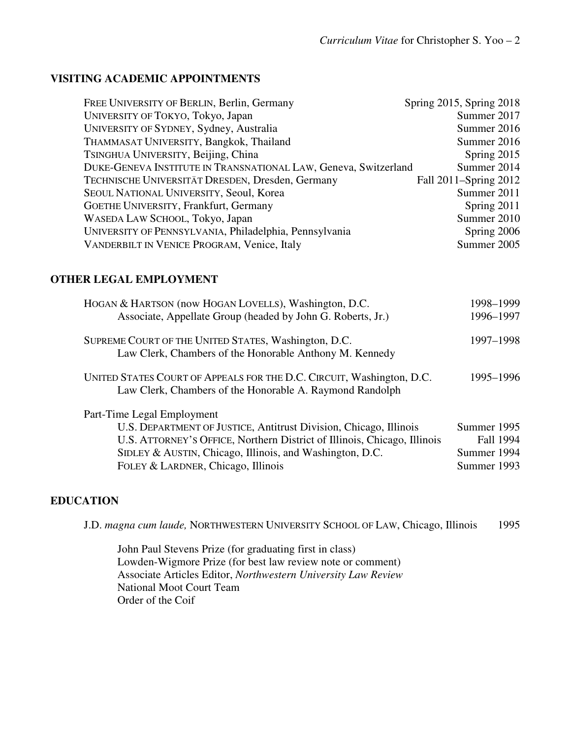## **VISITING ACADEMIC APPOINTMENTS**

| FREE UNIVERSITY OF BERLIN, Berlin, Germany                      | Spring 2015, Spring 2018 |
|-----------------------------------------------------------------|--------------------------|
| UNIVERSITY OF TOKYO, Tokyo, Japan                               | Summer 2017              |
| UNIVERSITY OF SYDNEY, Sydney, Australia                         | Summer 2016              |
| THAMMASAT UNIVERSITY, Bangkok, Thailand                         | Summer 2016              |
| TSINGHUA UNIVERSITY, Beijing, China                             | Spring 2015              |
| DUKE-GENEVA INSTITUTE IN TRANSNATIONAL LAW, Geneva, Switzerland | Summer 2014              |
| TECHNISCHE UNIVERSITÄT DRESDEN, Dresden, Germany                | Fall 2011-Spring 2012    |
| SEOUL NATIONAL UNIVERSITY, Seoul, Korea                         | Summer 2011              |
| GOETHE UNIVERSITY, Frankfurt, Germany                           | Spring 2011              |
| WASEDA LAW SCHOOL, Tokyo, Japan                                 | Summer 2010              |
| UNIVERSITY OF PENNSYLVANIA, Philadelphia, Pennsylvania          | Spring 2006              |
| VANDERBILT IN VENICE PROGRAM, Venice, Italy                     | Summer 2005              |

## **OTHER LEGAL EMPLOYMENT**

| HOGAN & HARTSON (now HOGAN LOVELLS), Washington, D.C.                    | 1998-1999   |
|--------------------------------------------------------------------------|-------------|
| Associate, Appellate Group (headed by John G. Roberts, Jr.)              | 1996-1997   |
| SUPREME COURT OF THE UNITED STATES, Washington, D.C.                     | 1997-1998   |
| Law Clerk, Chambers of the Honorable Anthony M. Kennedy                  |             |
| UNITED STATES COURT OF APPEALS FOR THE D.C. CIRCUIT, Washington, D.C.    | 1995-1996   |
| Law Clerk, Chambers of the Honorable A. Raymond Randolph                 |             |
| Part-Time Legal Employment                                               |             |
| U.S. DEPARTMENT OF JUSTICE, Antitrust Division, Chicago, Illinois        | Summer 1995 |
| U.S. ATTORNEY'S OFFICE, Northern District of Illinois, Chicago, Illinois | Fall 1994   |
| SIDLEY & AUSTIN, Chicago, Illinois, and Washington, D.C.                 | Summer 1994 |
| FOLEY & LARDNER, Chicago, Illinois                                       | Summer 1993 |

### **EDUCATION**

J.D. *magna cum laude,* NORTHWESTERN UNIVERSITY SCHOOL OF LAW, Chicago, Illinois 1995

John Paul Stevens Prize (for graduating first in class) Lowden-Wigmore Prize (for best law review note or comment) Associate Articles Editor, *Northwestern University Law Review* National Moot Court Team Order of the Coif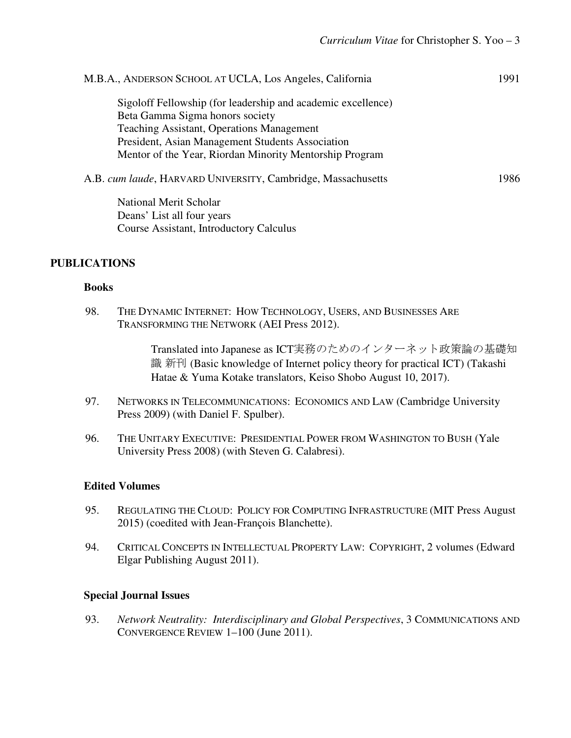| M.B.A., ANDERSON SCHOOL AT UCLA, Los Angeles, California     | 1991 |
|--------------------------------------------------------------|------|
| Sigoloff Fellowship (for leadership and academic excellence) |      |
| Beta Gamma Sigma honors society                              |      |
| Teaching Assistant, Operations Management                    |      |
| President, Asian Management Students Association             |      |
| Mentor of the Year, Riordan Minority Mentorship Program      |      |
| A.B. cum laude, HARVARD UNIVERSITY, Cambridge, Massachusetts | 1986 |
| National Merit Scholar                                       |      |

National Merit Scholar Deans' List all four years Course Assistant, Introductory Calculus

## **PUBLICATIONS**

### **Books**

 98. THE DYNAMIC INTERNET: HOW TECHNOLOGY, USERS, AND BUSINESSES ARE TRANSFORMING THE NETWORK (AEI Press 2012).

> Translated into Japanese as ICT実務のためのインターネット政策論の基礎知 識 新刊 (Basic knowledge of Internet policy theory for practical ICT) (Takashi Hatae & Yuma Kotake translators, Keiso Shobo August 10, 2017).

- 97. NETWORKS IN TELECOMMUNICATIONS: ECONOMICS AND LAW (Cambridge University Press 2009) (with Daniel F. Spulber).
- 96. THE UNITARY EXECUTIVE: PRESIDENTIAL POWER FROM WASHINGTON TO BUSH (Yale University Press 2008) (with Steven G. Calabresi).

### **Edited Volumes**

- 95. REGULATING THE CLOUD: POLICY FOR COMPUTING INFRASTRUCTURE (MIT Press August 2015) (coedited with Jean-François Blanchette).
- 94. CRITICAL CONCEPTS IN INTELLECTUAL PROPERTY LAW: COPYRIGHT, 2 volumes (Edward Elgar Publishing August 2011).

### **Special Journal Issues**

 93. *Network Neutrality: Interdisciplinary and Global Perspectives*, 3 COMMUNICATIONS AND CONVERGENCE REVIEW 1–100 (June 2011).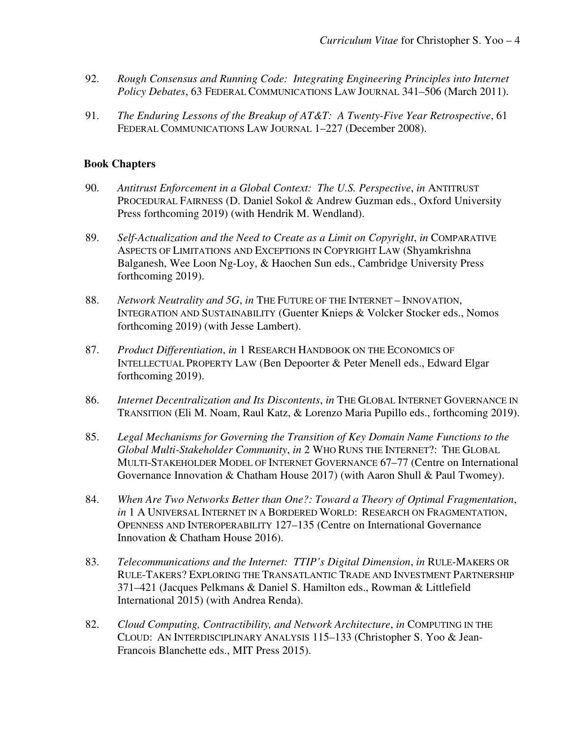- 92. *Rough Consensus and Running Code: Integrating Engineering Principles into Internet Policy Debates*, 63 FEDERAL COMMUNICATIONS LAW JOURNAL 341–506 (March 2011).
- 91. *The Enduring Lessons of the Breakup of AT&T: A Twenty-Five Year Retrospective*, 61 FEDERAL COMMUNICATIONS LAW JOURNAL 1–227 (December 2008).

## **Book Chapters**

- 90. *Antitrust Enforcement in a Global Context: The U.S. Perspective*, *in* ANTITRUST PROCEDURAL FAIRNESS (D. Daniel Sokol & Andrew Guzman eds., Oxford University Press forthcoming 2019) (with Hendrik M. Wendland).
- 89. *Self-Actualization and the Need to Create as a Limit on Copyright*, *in* COMPARATIVE ASPECTS OF LIMITATIONS AND EXCEPTIONS IN COPYRIGHT LAW (Shyamkrishna Balganesh, Wee Loon Ng-Loy, & Haochen Sun eds., Cambridge University Press forthcoming 2019).
- 88. *Network Neutrality and 5G*, *in* THE FUTURE OF THE INTERNET INNOVATION, INTEGRATION AND SUSTAINABILITY (Guenter Knieps & Volcker Stocker eds., Nomos forthcoming 2019) (with Jesse Lambert).
- 87. *Product Differentiation*, *in* 1 RESEARCH HANDBOOK ON THE ECONOMICS OF INTELLECTUAL PROPERTY LAW (Ben Depoorter & Peter Menell eds., Edward Elgar forthcoming 2019).
- 86. *Internet Decentralization and Its Discontents*, *in* THE GLOBAL INTERNET GOVERNANCE IN TRANSITION (Eli M. Noam, Raul Katz, & Lorenzo Maria Pupillo eds., forthcoming 2019).
- 85. *Legal Mechanisms for Governing the Transition of Key Domain Name Functions to the Global Multi-Stakeholder Community*, *in* 2 WHO RUNS THE INTERNET?: THE GLOBAL MULTI-STAKEHOLDER MODEL OF INTERNET GOVERNANCE 67–77 (Centre on International Governance Innovation & Chatham House 2017) (with Aaron Shull & Paul Twomey).
- 84. *When Are Two Networks Better than One?: Toward a Theory of Optimal Fragmentation*, *in* 1 A UNIVERSAL INTERNET IN A BORDERED WORLD: RESEARCH ON FRAGMENTATION, OPENNESS AND INTEROPERABILITY 127–135 (Centre on International Governance Innovation & Chatham House 2016).
- 83. *Telecommunications and the Internet: TTIP's Digital Dimension*, *in* RULE-MAKERS OR RULE-TAKERS? EXPLORING THE TRANSATLANTIC TRADE AND INVESTMENT PARTNERSHIP 371–421 (Jacques Pelkmans & Daniel S. Hamilton eds., Rowman & Littlefield International 2015) (with Andrea Renda).
- 82. *Cloud Computing, Contractibility, and Network Architecture*, *in* COMPUTING IN THE CLOUD: AN INTERDISCIPLINARY ANALYSIS 115–133 (Christopher S. Yoo & Jean-Francois Blanchette eds., MIT Press 2015).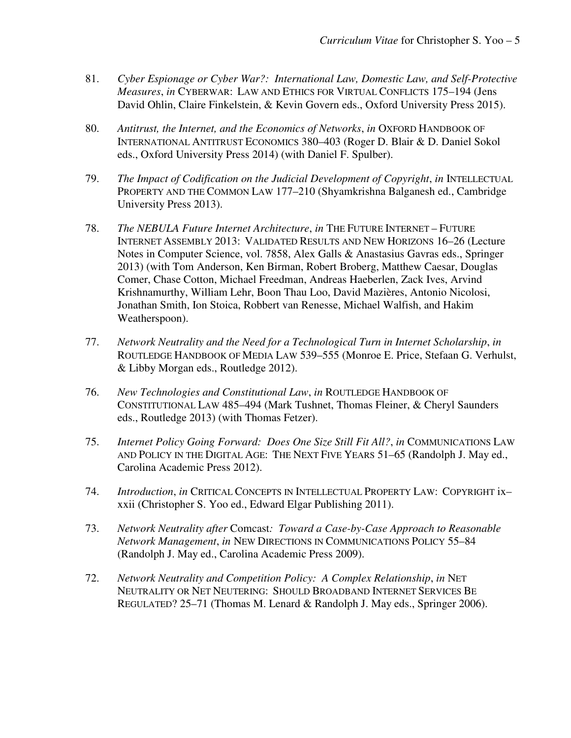- 81. *Cyber Espionage or Cyber War?: International Law, Domestic Law, and Self-Protective Measures*, *in* CYBERWAR: LAW AND ETHICS FOR VIRTUAL CONFLICTS 175–194 (Jens David Ohlin, Claire Finkelstein, & Kevin Govern eds., Oxford University Press 2015).
- 80. *Antitrust, the Internet, and the Economics of Networks*, *in* OXFORD HANDBOOK OF INTERNATIONAL ANTITRUST ECONOMICS 380–403 (Roger D. Blair & D. Daniel Sokol eds., Oxford University Press 2014) (with Daniel F. Spulber).
- 79. *The Impact of Codification on the Judicial Development of Copyright*, *in* INTELLECTUAL PROPERTY AND THE COMMON LAW 177–210 (Shyamkrishna Balganesh ed., Cambridge University Press 2013).
- 78. *The NEBULA Future Internet Architecture*, *in* THE FUTURE INTERNET FUTURE INTERNET ASSEMBLY 2013: VALIDATED RESULTS AND NEW HORIZONS 16–26 (Lecture Notes in Computer Science, vol. 7858, Alex Galls & Anastasius Gavras eds., Springer 2013) (with Tom Anderson, Ken Birman, Robert Broberg, Matthew Caesar, Douglas Comer, Chase Cotton, Michael Freedman, Andreas Haeberlen, Zack Ives, Arvind Krishnamurthy, William Lehr, Boon Thau Loo, David Mazières, Antonio Nicolosi, Jonathan Smith, Ion Stoica, Robbert van Renesse, Michael Walfish, and Hakim Weatherspoon).
- 77. *Network Neutrality and the Need for a Technological Turn in Internet Scholarship*, *in* ROUTLEDGE HANDBOOK OF MEDIA LAW 539–555 (Monroe E. Price, Stefaan G. Verhulst, & Libby Morgan eds., Routledge 2012).
- 76. *New Technologies and Constitutional Law*, *in* ROUTLEDGE HANDBOOK OF CONSTITUTIONAL LAW 485–494 (Mark Tushnet, Thomas Fleiner, & Cheryl Saunders eds., Routledge 2013) (with Thomas Fetzer).
- 75. *Internet Policy Going Forward: Does One Size Still Fit All?*, *in* COMMUNICATIONS LAW AND POLICY IN THE DIGITAL AGE: THE NEXT FIVE YEARS 51–65 (Randolph J. May ed., Carolina Academic Press 2012).
- 74. *Introduction*, *in* CRITICAL CONCEPTS IN INTELLECTUAL PROPERTY LAW: COPYRIGHT ix– xxii (Christopher S. Yoo ed., Edward Elgar Publishing 2011).
- 73. *Network Neutrality after* Comcast*: Toward a Case-by-Case Approach to Reasonable Network Management*, *in* NEW DIRECTIONS IN COMMUNICATIONS POLICY 55–84 (Randolph J. May ed., Carolina Academic Press 2009).
- 72. *Network Neutrality and Competition Policy: A Complex Relationship*, *in* NET NEUTRALITY OR NET NEUTERING: SHOULD BROADBAND INTERNET SERVICES BE REGULATED? 25–71 (Thomas M. Lenard & Randolph J. May eds., Springer 2006).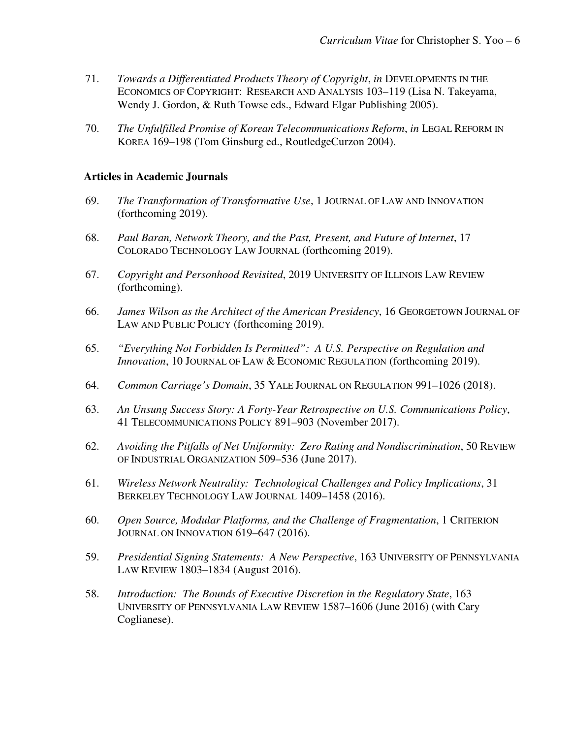- 71. *Towards a Differentiated Products Theory of Copyright*, *in* DEVELOPMENTS IN THE ECONOMICS OF COPYRIGHT: RESEARCH AND ANALYSIS 103–119 (Lisa N. Takeyama, Wendy J. Gordon, & Ruth Towse eds., Edward Elgar Publishing 2005).
- 70. *The Unfulfilled Promise of Korean Telecommunications Reform*, *in* LEGAL REFORM IN KOREA 169–198 (Tom Ginsburg ed., RoutledgeCurzon 2004).

### **Articles in Academic Journals**

- 69. *The Transformation of Transformative Use*, 1 JOURNAL OF LAW AND INNOVATION (forthcoming 2019).
- 68. *Paul Baran, Network Theory, and the Past, Present, and Future of Internet*, 17 COLORADO TECHNOLOGY LAW JOURNAL (forthcoming 2019).
- 67. *Copyright and Personhood Revisited*, 2019 UNIVERSITY OF ILLINOIS LAW REVIEW (forthcoming).
- 66. *James Wilson as the Architect of the American Presidency*, 16 GEORGETOWN JOURNAL OF LAW AND PUBLIC POLICY (forthcoming 2019).
- 65. *"Everything Not Forbidden Is Permitted": A U.S. Perspective on Regulation and Innovation*, 10 JOURNAL OF LAW & ECONOMIC REGULATION (forthcoming 2019).
- 64. *Common Carriage's Domain*, 35 YALE JOURNAL ON REGULATION 991–1026 (2018).
- 63. *An Unsung Success Story: A Forty-Year Retrospective on U.S. Communications Policy*, 41 TELECOMMUNICATIONS POLICY 891–903 (November 2017).
- 62. *Avoiding the Pitfalls of Net Uniformity: Zero Rating and Nondiscrimination*, 50 REVIEW OF INDUSTRIAL ORGANIZATION 509–536 (June 2017).
- 61. *Wireless Network Neutrality: Technological Challenges and Policy Implications*, 31 BERKELEY TECHNOLOGY LAW JOURNAL 1409–1458 (2016).
- 60. *Open Source, Modular Platforms, and the Challenge of Fragmentation*, 1 CRITERION JOURNAL ON INNOVATION 619–647 (2016).
- 59. *Presidential Signing Statements: A New Perspective*, 163 UNIVERSITY OF PENNSYLVANIA LAW REVIEW 1803–1834 (August 2016).
- 58. *Introduction: The Bounds of Executive Discretion in the Regulatory State*, 163 UNIVERSITY OF PENNSYLVANIA LAW REVIEW 1587–1606 (June 2016) (with Cary Coglianese).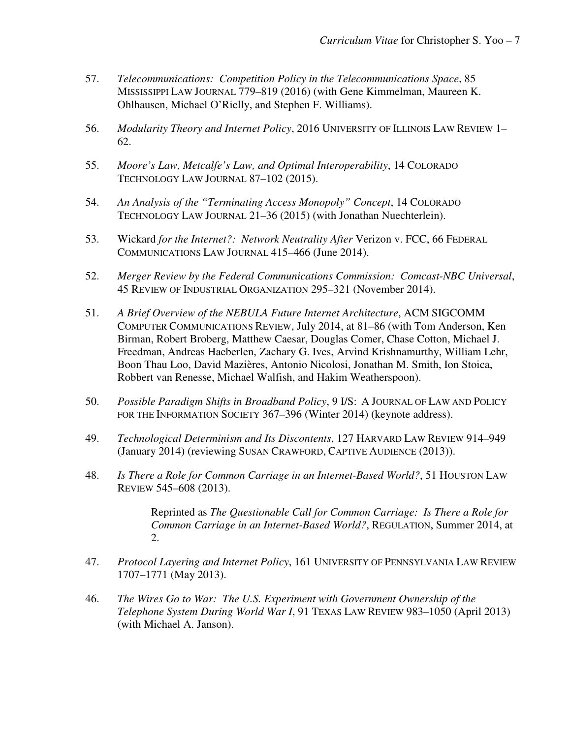- 57. *Telecommunications: Competition Policy in the Telecommunications Space*, 85 MISSISSIPPI LAW JOURNAL 779–819 (2016) (with Gene Kimmelman, Maureen K. Ohlhausen, Michael O'Rielly, and Stephen F. Williams).
- 56. *Modularity Theory and Internet Policy*, 2016 UNIVERSITY OF ILLINOIS LAW REVIEW 1– 62.
- 55. *Moore's Law, Metcalfe's Law, and Optimal Interoperability*, 14 COLORADO TECHNOLOGY LAW JOURNAL 87–102 (2015).
- 54. *An Analysis of the "Terminating Access Monopoly" Concept*, 14 COLORADO TECHNOLOGY LAW JOURNAL 21–36 (2015) (with Jonathan Nuechterlein).
- 53. Wickard *for the Internet?: Network Neutrality After* Verizon v. FCC, 66 FEDERAL COMMUNICATIONS LAW JOURNAL 415–466 (June 2014).
- 52. *Merger Review by the Federal Communications Commission: Comcast-NBC Universal*, 45 REVIEW OF INDUSTRIAL ORGANIZATION 295–321 (November 2014).
- 51. *A Brief Overview of the NEBULA Future Internet Architecture*, ACM SIGCOMM COMPUTER COMMUNICATIONS REVIEW, July 2014, at 81–86 (with Tom Anderson, Ken Birman, Robert Broberg, Matthew Caesar, Douglas Comer, Chase Cotton, Michael J. Freedman, Andreas Haeberlen, Zachary G. Ives, Arvind Krishnamurthy, William Lehr, Boon Thau Loo, David Mazières, Antonio Nicolosi, Jonathan M. Smith, Ion Stoica, Robbert van Renesse, Michael Walfish, and Hakim Weatherspoon).
- 50. *Possible Paradigm Shifts in Broadband Policy*, 9 I/S: A JOURNAL OF LAW AND POLICY FOR THE INFORMATION SOCIETY 367-396 (Winter 2014) (keynote address).
- 49. *Technological Determinism and Its Discontents*, 127 HARVARD LAW REVIEW 914–949 (January 2014) (reviewing SUSAN CRAWFORD, CAPTIVE AUDIENCE (2013)).
- 48. *Is There a Role for Common Carriage in an Internet-Based World?*, 51 HOUSTON LAW REVIEW 545–608 (2013).

Reprinted as *The Questionable Call for Common Carriage: Is There a Role for Common Carriage in an Internet-Based World?*, REGULATION, Summer 2014, at 2.

- 47. *Protocol Layering and Internet Policy*, 161 UNIVERSITY OF PENNSYLVANIA LAW REVIEW 1707–1771 (May 2013).
- 46. *The Wires Go to War: The U.S. Experiment with Government Ownership of the Telephone System During World War I*, 91 TEXAS LAW REVIEW 983–1050 (April 2013) (with Michael A. Janson).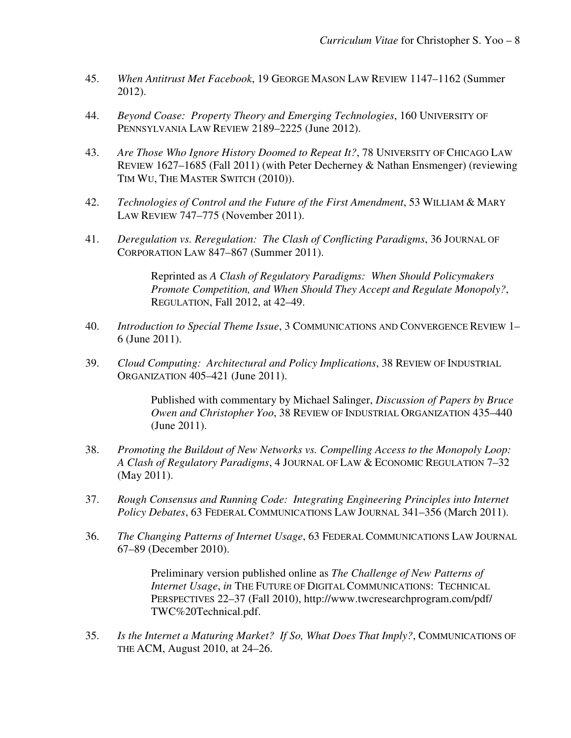- 45. *When Antitrust Met Facebook*, 19 GEORGE MASON LAW REVIEW 1147–1162 (Summer 2012).
- 44. *Beyond Coase: Property Theory and Emerging Technologies*, 160 UNIVERSITY OF PENNSYLVANIA LAW REVIEW 2189–2225 (June 2012).
- 43. *Are Those Who Ignore History Doomed to Repeat It?*, 78 UNIVERSITY OF CHICAGO LAW REVIEW 1627–1685 (Fall 2011) (with Peter Decherney & Nathan Ensmenger) (reviewing TIM WU, THE MASTER SWITCH (2010)).
- 42. *Technologies of Control and the Future of the First Amendment*, 53 WILLIAM & MARY LAW REVIEW 747–775 (November 2011).
- 41. *Deregulation vs. Reregulation: The Clash of Conflicting Paradigms*, 36 JOURNAL OF CORPORATION LAW 847–867 (Summer 2011).

Reprinted as *A Clash of Regulatory Paradigms: When Should Policymakers Promote Competition, and When Should They Accept and Regulate Monopoly?*, REGULATION, Fall 2012, at 42–49.

- 40. *Introduction to Special Theme Issue*, 3 COMMUNICATIONS AND CONVERGENCE REVIEW 1– 6 (June 2011).
- 39. *Cloud Computing: Architectural and Policy Implications*, 38 REVIEW OF INDUSTRIAL ORGANIZATION 405–421 (June 2011).

Published with commentary by Michael Salinger, *Discussion of Papers by Bruce Owen and Christopher Yoo*, 38 REVIEW OF INDUSTRIAL ORGANIZATION 435–440 (June 2011).

- 38. *Promoting the Buildout of New Networks vs. Compelling Access to the Monopoly Loop: A Clash of Regulatory Paradigms*, 4 JOURNAL OF LAW & ECONOMIC REGULATION 7–32 (May 2011).
- 37. *Rough Consensus and Running Code: Integrating Engineering Principles into Internet Policy Debates*, 63 FEDERAL COMMUNICATIONS LAW JOURNAL 341–356 (March 2011).
- 36. *The Changing Patterns of Internet Usage*, 63 FEDERAL COMMUNICATIONS LAW JOURNAL 67–89 (December 2010).

Preliminary version published online as *The Challenge of New Patterns of Internet Usage*, *in* THE FUTURE OF DIGITAL COMMUNICATIONS: TECHNICAL PERSPECTIVES 22–37 (Fall 2010), http://www.twcresearchprogram.com/pdf/ TWC%20Technical.pdf.

 35. *Is the Internet a Maturing Market? If So, What Does That Imply?*, COMMUNICATIONS OF THE ACM, August 2010, at 24–26.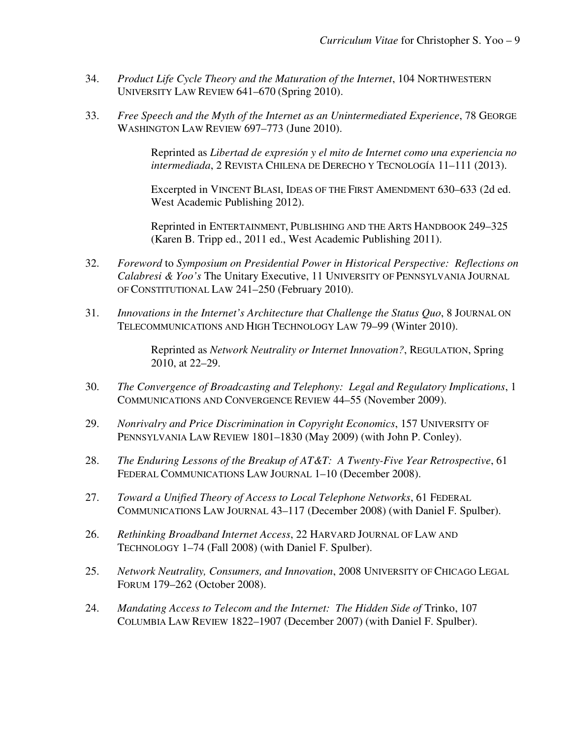- 34. *Product Life Cycle Theory and the Maturation of the Internet*, 104 NORTHWESTERN UNIVERSITY LAW REVIEW 641–670 (Spring 2010).
- 33. *Free Speech and the Myth of the Internet as an Unintermediated Experience*, 78 GEORGE WASHINGTON LAW REVIEW 697-773 (June 2010).

Reprinted as *Libertad de expresión y el mito de Internet como una experiencia no intermediada*, 2 REVISTA CHILENA DE DERECHO Y TECNOLOGÍA 11–111 (2013).

Excerpted in VINCENT BLASI, IDEAS OF THE FIRST AMENDMENT 630–633 (2d ed. West Academic Publishing 2012).

Reprinted in ENTERTAINMENT, PUBLISHING AND THE ARTS HANDBOOK 249–325 (Karen B. Tripp ed., 2011 ed., West Academic Publishing 2011).

- 32. *Foreword* to *Symposium on Presidential Power in Historical Perspective: Reflections on Calabresi & Yoo's* The Unitary Executive, 11 UNIVERSITY OF PENNSYLVANIA JOURNAL OF CONSTITUTIONAL LAW 241–250 (February 2010).
- 31. *Innovations in the Internet's Architecture that Challenge the Status Quo*, 8 JOURNAL ON TELECOMMUNICATIONS AND HIGH TECHNOLOGY LAW 79–99 (Winter 2010).

Reprinted as *Network Neutrality or Internet Innovation?*, REGULATION, Spring 2010, at 22–29.

- 30. *The Convergence of Broadcasting and Telephony: Legal and Regulatory Implications*, 1 COMMUNICATIONS AND CONVERGENCE REVIEW 44–55 (November 2009).
- 29. *Nonrivalry and Price Discrimination in Copyright Economics*, 157 UNIVERSITY OF PENNSYLVANIA LAW REVIEW 1801–1830 (May 2009) (with John P. Conley).
- 28. *The Enduring Lessons of the Breakup of AT&T: A Twenty-Five Year Retrospective*, 61 FEDERAL COMMUNICATIONS LAW JOURNAL 1–10 (December 2008).
- 27. *Toward a Unified Theory of Access to Local Telephone Networks*, 61 FEDERAL COMMUNICATIONS LAW JOURNAL 43–117 (December 2008) (with Daniel F. Spulber).
- 26. *Rethinking Broadband Internet Access*, 22 HARVARD JOURNAL OF LAW AND TECHNOLOGY 1–74 (Fall 2008) (with Daniel F. Spulber).
- 25. *Network Neutrality, Consumers, and Innovation*, 2008 UNIVERSITY OF CHICAGO LEGAL FORUM 179–262 (October 2008).
- 24. Mandating Access to Telecom and the Internet: The Hidden Side of Trinko, 107 COLUMBIA LAW REVIEW 1822–1907 (December 2007) (with Daniel F. Spulber).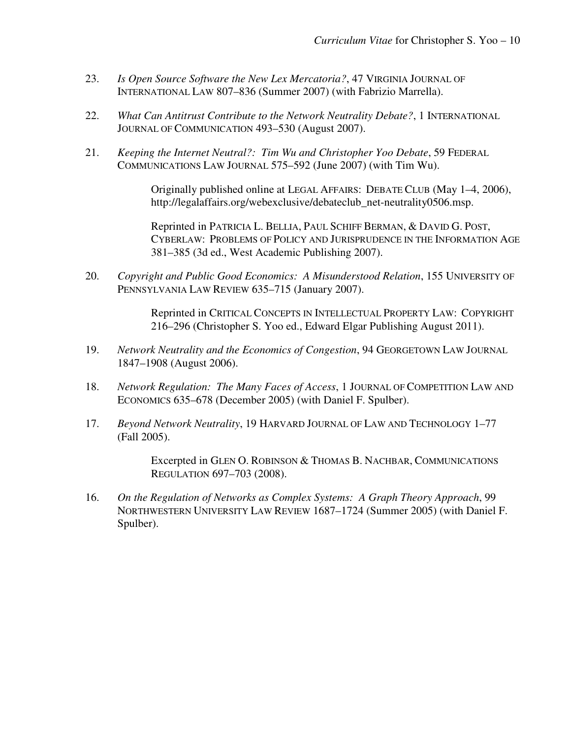- 23. *Is Open Source Software the New Lex Mercatoria?*, 47 VIRGINIA JOURNAL OF INTERNATIONAL LAW 807–836 (Summer 2007) (with Fabrizio Marrella).
- 22. *What Can Antitrust Contribute to the Network Neutrality Debate?*, 1 INTERNATIONAL JOURNAL OF COMMUNICATION 493–530 (August 2007).
- 21. *Keeping the Internet Neutral?: Tim Wu and Christopher Yoo Debate*, 59 FEDERAL COMMUNICATIONS LAW JOURNAL 575–592 (June 2007) (with Tim Wu).

Originally published online at LEGAL AFFAIRS: DEBATE CLUB (May 1–4, 2006), http://legalaffairs.org/webexclusive/debateclub\_net-neutrality0506.msp.

Reprinted in PATRICIA L. BELLIA, PAUL SCHIFF BERMAN, & DAVID G. POST, CYBERLAW: PROBLEMS OF POLICY AND JURISPRUDENCE IN THE INFORMATION AGE 381–385 (3d ed., West Academic Publishing 2007).

 20. *Copyright and Public Good Economics: A Misunderstood Relation*, 155 UNIVERSITY OF PENNSYLVANIA LAW REVIEW 635–715 (January 2007).

> Reprinted in CRITICAL CONCEPTS IN INTELLECTUAL PROPERTY LAW: COPYRIGHT 216–296 (Christopher S. Yoo ed., Edward Elgar Publishing August 2011).

- 19. *Network Neutrality and the Economics of Congestion*, 94 GEORGETOWN LAW JOURNAL 1847–1908 (August 2006).
- 18. *Network Regulation: The Many Faces of Access*, 1 JOURNAL OF COMPETITION LAW AND ECONOMICS 635–678 (December 2005) (with Daniel F. Spulber).
- 17. *Beyond Network Neutrality*, 19 HARVARD JOURNAL OF LAW AND TECHNOLOGY 1–77 (Fall 2005).

Excerpted in GLEN O. ROBINSON & THOMAS B. NACHBAR, COMMUNICATIONS REGULATION 697–703 (2008).

 16. *On the Regulation of Networks as Complex Systems: A Graph Theory Approach*, 99 NORTHWESTERN UNIVERSITY LAW REVIEW 1687–1724 (Summer 2005) (with Daniel F. Spulber).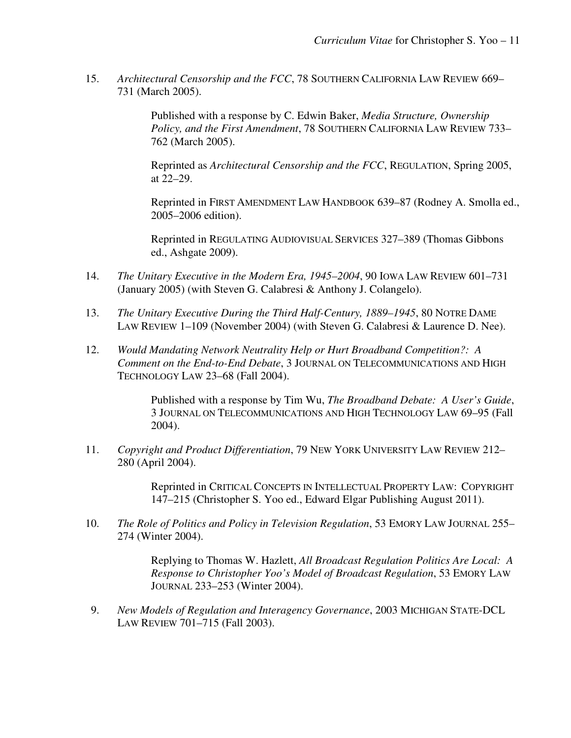15. *Architectural Censorship and the FCC*, 78 SOUTHERN CALIFORNIA LAW REVIEW 669– 731 (March 2005).

> Published with a response by C. Edwin Baker, *Media Structure, Ownership Policy, and the First Amendment*, 78 SOUTHERN CALIFORNIA LAW REVIEW 733– 762 (March 2005).

> Reprinted as *Architectural Censorship and the FCC*, REGULATION, Spring 2005, at 22–29.

Reprinted in FIRST AMENDMENT LAW HANDBOOK 639–87 (Rodney A. Smolla ed., 2005–2006 edition).

Reprinted in REGULATING AUDIOVISUAL SERVICES 327–389 (Thomas Gibbons ed., Ashgate 2009).

- 14. *The Unitary Executive in the Modern Era, 1945–2004*, 90 IOWA LAW REVIEW 601–731 (January 2005) (with Steven G. Calabresi & Anthony J. Colangelo).
- 13. *The Unitary Executive During the Third Half-Century, 1889–1945*, 80 NOTRE DAME LAW REVIEW 1–109 (November 2004) (with Steven G. Calabresi & Laurence D. Nee).
- 12. *Would Mandating Network Neutrality Help or Hurt Broadband Competition?: A Comment on the End-to-End Debate*, 3 JOURNAL ON TELECOMMUNICATIONS AND HIGH TECHNOLOGY LAW 23–68 (Fall 2004).

Published with a response by Tim Wu, *The Broadband Debate: A User's Guide*, 3 JOURNAL ON TELECOMMUNICATIONS AND HIGH TECHNOLOGY LAW 69–95 (Fall 2004).

 11. *Copyright and Product Differentiation*, 79 NEW YORK UNIVERSITY LAW REVIEW 212– 280 (April 2004).

> Reprinted in CRITICAL CONCEPTS IN INTELLECTUAL PROPERTY LAW: COPYRIGHT 147–215 (Christopher S. Yoo ed., Edward Elgar Publishing August 2011).

 10. *The Role of Politics and Policy in Television Regulation*, 53 EMORY LAW JOURNAL 255– 274 (Winter 2004).

> Replying to Thomas W. Hazlett, *All Broadcast Regulation Politics Are Local: A Response to Christopher Yoo's Model of Broadcast Regulation*, 53 EMORY LAW JOURNAL 233–253 (Winter 2004).

 9. *New Models of Regulation and Interagency Governance*, 2003 MICHIGAN STATE-DCL LAW REVIEW 701–715 (Fall 2003).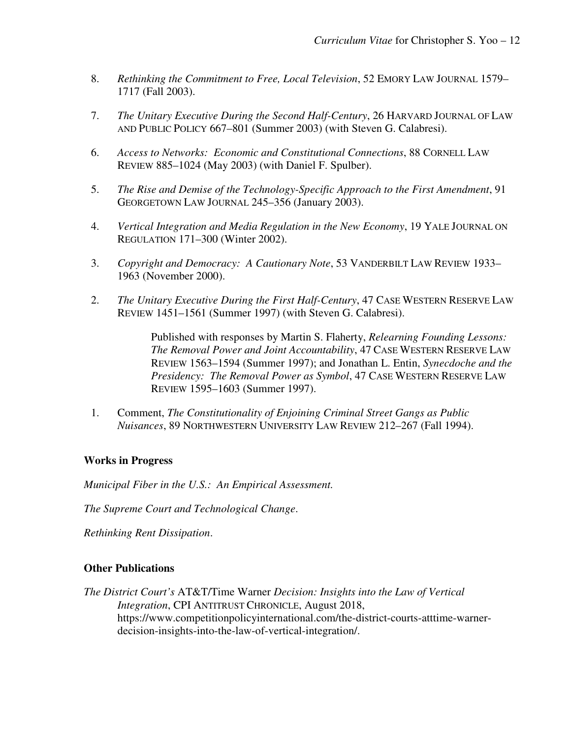- 8. *Rethinking the Commitment to Free, Local Television*, 52 EMORY LAW JOURNAL 1579– 1717 (Fall 2003).
- 7. *The Unitary Executive During the Second Half-Century*, 26 HARVARD JOURNAL OF LAW AND PUBLIC POLICY 667–801 (Summer 2003) (with Steven G. Calabresi).
- 6. *Access to Networks: Economic and Constitutional Connections*, 88 CORNELL LAW REVIEW 885–1024 (May 2003) (with Daniel F. Spulber).
- 5. *The Rise and Demise of the Technology-Specific Approach to the First Amendment*, 91 GEORGETOWN LAW JOURNAL 245–356 (January 2003).
- 4. *Vertical Integration and Media Regulation in the New Economy*, 19 YALE JOURNAL ON REGULATION 171–300 (Winter 2002).
- 3. *Copyright and Democracy: A Cautionary Note*, 53 VANDERBILT LAW REVIEW 1933– 1963 (November 2000).
- 2. *The Unitary Executive During the First Half-Century*, 47 CASE WESTERN RESERVE LAW REVIEW 1451–1561 (Summer 1997) (with Steven G. Calabresi).

Published with responses by Martin S. Flaherty, *Relearning Founding Lessons: The Removal Power and Joint Accountability*, 47 CASE WESTERN RESERVE LAW REVIEW 1563–1594 (Summer 1997); and Jonathan L. Entin, *Synecdoche and the Presidency: The Removal Power as Symbol*, 47 CASE WESTERN RESERVE LAW REVIEW 1595–1603 (Summer 1997).

 1. Comment, *The Constitutionality of Enjoining Criminal Street Gangs as Public Nuisances*, 89 NORTHWESTERN UNIVERSITY LAW REVIEW 212–267 (Fall 1994).

### **Works in Progress**

*Municipal Fiber in the U.S.: An Empirical Assessment.*

*The Supreme Court and Technological Change*.

*Rethinking Rent Dissipation*.

### **Other Publications**

*The District Court's* AT&T/Time Warner *Decision: Insights into the Law of Vertical Integration*, CPI ANTITRUST CHRONICLE, August 2018, https://www.competitionpolicyinternational.com/the-district-courts-atttime-warnerdecision-insights-into-the-law-of-vertical-integration/.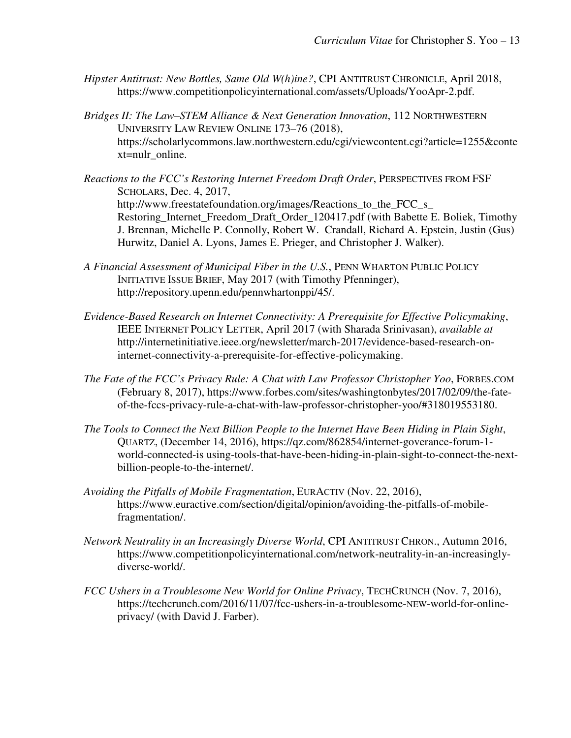- *Hipster Antitrust: New Bottles, Same Old W(h)ine?*, CPI ANTITRUST CHRONICLE, April 2018, https://www.competitionpolicyinternational.com/assets/Uploads/YooApr-2.pdf.
- *Bridges II: The Law–STEM Alliance & Next Generation Innovation*, 112 NORTHWESTERN UNIVERSITY LAW REVIEW ONLINE 173–76 (2018), https://scholarlycommons.law.northwestern.edu/cgi/viewcontent.cgi?article=1255&conte xt=nulr\_online.
- *Reactions to the FCC's Restoring Internet Freedom Draft Order*, PERSPECTIVES FROM FSF SCHOLARS, Dec. 4, 2017, http://www.freestatefoundation.org/images/Reactions\_to\_the\_FCC\_s\_ Restoring\_Internet\_Freedom\_Draft\_Order\_120417.pdf (with Babette E. Boliek, Timothy J. Brennan, Michelle P. Connolly, Robert W. Crandall, Richard A. Epstein, Justin (Gus) Hurwitz, Daniel A. Lyons, James E. Prieger, and Christopher J. Walker).
- *A Financial Assessment of Municipal Fiber in the U.S.*, PENN WHARTON PUBLIC POLICY INITIATIVE ISSUE BRIEF, May 2017 (with Timothy Pfenninger), http://repository.upenn.edu/pennwhartonppi/45/.
- *Evidence-Based Research on Internet Connectivity: A Prerequisite for Effective Policymaking*, IEEE INTERNET POLICY LETTER, April 2017 (with Sharada Srinivasan), *available at* http://internetinitiative.ieee.org/newsletter/march-2017/evidence-based-research-oninternet-connectivity-a-prerequisite-for-effective-policymaking.
- *The Fate of the FCC's Privacy Rule: A Chat with Law Professor Christopher Yoo*, FORBES.COM (February 8, 2017), https://www.forbes.com/sites/washingtonbytes/2017/02/09/the-fateof-the-fccs-privacy-rule-a-chat-with-law-professor-christopher-yoo/#318019553180.
- *The Tools to Connect the Next Billion People to the Internet Have Been Hiding in Plain Sight*, QUARTZ, (December 14, 2016), https://qz.com/862854/internet-goverance-forum-1 world-connected-is using-tools-that-have-been-hiding-in-plain-sight-to-connect-the-nextbillion-people-to-the-internet/.
- *Avoiding the Pitfalls of Mobile Fragmentation*, EURACTIV (Nov. 22, 2016), https://www.euractive.com/section/digital/opinion/avoiding-the-pitfalls-of-mobilefragmentation/.
- *Network Neutrality in an Increasingly Diverse World*, CPI ANTITRUST CHRON., Autumn 2016, https://www.competitionpolicyinternational.com/network-neutrality-in-an-increasinglydiverse-world/.
- *FCC Ushers in a Troublesome New World for Online Privacy*, TECHCRUNCH (Nov. 7, 2016), https://techcrunch.com/2016/11/07/fcc-ushers-in-a-troublesome-NEW-world-for-onlineprivacy/ (with David J. Farber).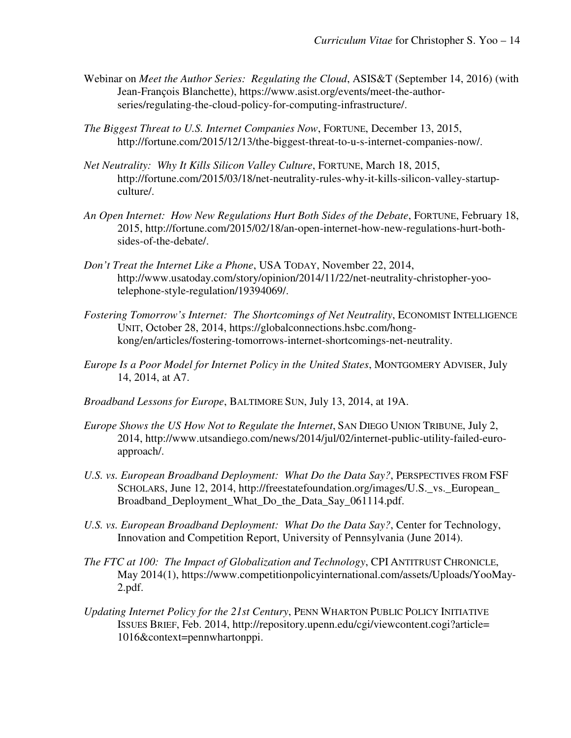- Webinar on *Meet the Author Series: Regulating the Cloud*, ASIS&T (September 14, 2016) (with Jean-François Blanchette), https://www.asist.org/events/meet-the-authorseries/regulating-the-cloud-policy-for-computing-infrastructure/.
- *The Biggest Threat to U.S. Internet Companies Now*, FORTUNE, December 13, 2015, http://fortune.com/2015/12/13/the-biggest-threat-to-u-s-internet-companies-now/.
- *Net Neutrality: Why It Kills Silicon Valley Culture*, FORTUNE, March 18, 2015, http://fortune.com/2015/03/18/net-neutrality-rules-why-it-kills-silicon-valley-startupculture/.
- *An Open Internet: How New Regulations Hurt Both Sides of the Debate*, FORTUNE, February 18, 2015, http://fortune.com/2015/02/18/an-open-internet-how-new-regulations-hurt-bothsides-of-the-debate/.
- *Don't Treat the Internet Like a Phone*, USA TODAY, November 22, 2014, http://www.usatoday.com/story/opinion/2014/11/22/net-neutrality-christopher-yootelephone-style-regulation/19394069/.
- *Fostering Tomorrow's Internet: The Shortcomings of Net Neutrality*, ECONOMIST INTELLIGENCE UNIT, October 28, 2014, https://globalconnections.hsbc.com/hongkong/en/articles/fostering-tomorrows-internet-shortcomings-net-neutrality.
- *Europe Is a Poor Model for Internet Policy in the United States*, MONTGOMERY ADVISER, July 14, 2014, at A7.
- *Broadband Lessons for Europe*, BALTIMORE SUN, July 13, 2014, at 19A.
- *Europe Shows the US How Not to Regulate the Internet*, SAN DIEGO UNION TRIBUNE, July 2, 2014, http://www.utsandiego.com/news/2014/jul/02/internet-public-utility-failed-euroapproach/.
- *U.S. vs. European Broadband Deployment: What Do the Data Say?*, PERSPECTIVES FROM FSF SCHOLARS, June 12, 2014, http://freestatefoundation.org/images/U.S.\_vs.\_European\_ Broadband\_Deployment\_What\_Do\_the\_Data\_Say\_061114.pdf.
- *U.S. vs. European Broadband Deployment: What Do the Data Say?*, Center for Technology, Innovation and Competition Report, University of Pennsylvania (June 2014).
- *The FTC at 100: The Impact of Globalization and Technology*, CPI ANTITRUST CHRONICLE, May 2014(1), https://www.competitionpolicyinternational.com/assets/Uploads/YooMay-2.pdf.
- *Updating Internet Policy for the 21st Century*, PENN WHARTON PUBLIC POLICY INITIATIVE ISSUES BRIEF, Feb. 2014, http://repository.upenn.edu/cgi/viewcontent.cogi?article= 1016&context=pennwhartonppi.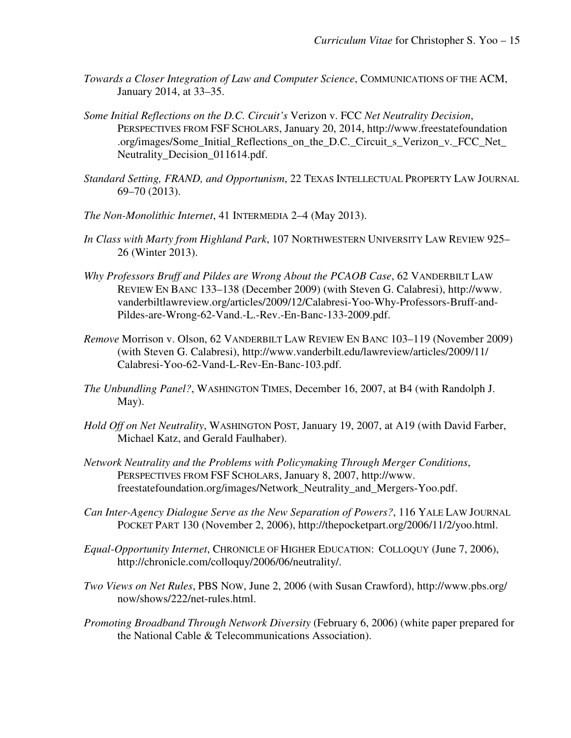- *Towards a Closer Integration of Law and Computer Science*, COMMUNICATIONS OF THE ACM, January 2014, at 33–35.
- *Some Initial Reflections on the D.C. Circuit's* Verizon v. FCC *Net Neutrality Decision*, PERSPECTIVES FROM FSF SCHOLARS, January 20, 2014, http://www.freestatefoundation .org/images/Some\_Initial\_Reflections\_on\_the\_D.C.\_Circuit\_s\_Verizon\_v.\_FCC\_Net\_ Neutrality Decision 011614.pdf.
- *Standard Setting, FRAND, and Opportunism*, 22 TEXAS INTELLECTUAL PROPERTY LAW JOURNAL 69–70 (2013).
- *The Non-Monolithic Internet*, 41 INTERMEDIA 2–4 (May 2013).
- *In Class with Marty from Highland Park*, 107 NORTHWESTERN UNIVERSITY LAW REVIEW 925– 26 (Winter 2013).
- *Why Professors Bruff and Pildes are Wrong About the PCAOB Case*, 62 VANDERBILT LAW REVIEW EN BANC 133–138 (December 2009) (with Steven G. Calabresi), http://www. vanderbiltlawreview.org/articles/2009/12/Calabresi-Yoo-Why-Professors-Bruff-and-Pildes-are-Wrong-62-Vand.-L.-Rev.-En-Banc-133-2009.pdf.
- *Remove* Morrison v. Olson, 62 VANDERBILT LAW REVIEW EN BANC 103–119 (November 2009) (with Steven G. Calabresi), http://www.vanderbilt.edu/lawreview/articles/2009/11/ Calabresi-Yoo-62-Vand-L-Rev-En-Banc-103.pdf.
- *The Unbundling Panel?*, WASHINGTON TIMES, December 16, 2007, at B4 (with Randolph J. May).
- *Hold Off on Net Neutrality*, WASHINGTON POST, January 19, 2007, at A19 (with David Farber, Michael Katz, and Gerald Faulhaber).
- *Network Neutrality and the Problems with Policymaking Through Merger Conditions*, PERSPECTIVES FROM FSF SCHOLARS, January 8, 2007, http://www. freestatefoundation.org/images/Network\_Neutrality\_and\_Mergers-Yoo.pdf.
- *Can Inter-Agency Dialogue Serve as the New Separation of Powers?*, 116 YALE LAW JOURNAL POCKET PART 130 (November 2, 2006), http://thepocketpart.org/2006/11/2/yoo.html.
- *Equal-Opportunity Internet*, CHRONICLE OF HIGHER EDUCATION: COLLOQUY (June 7, 2006), http://chronicle.com/colloquy/2006/06/neutrality/.
- *Two Views on Net Rules*, PBS NOW, June 2, 2006 (with Susan Crawford), http://www.pbs.org/ now/shows/222/net-rules.html.
- *Promoting Broadband Through Network Diversity* (February 6, 2006) (white paper prepared for the National Cable & Telecommunications Association).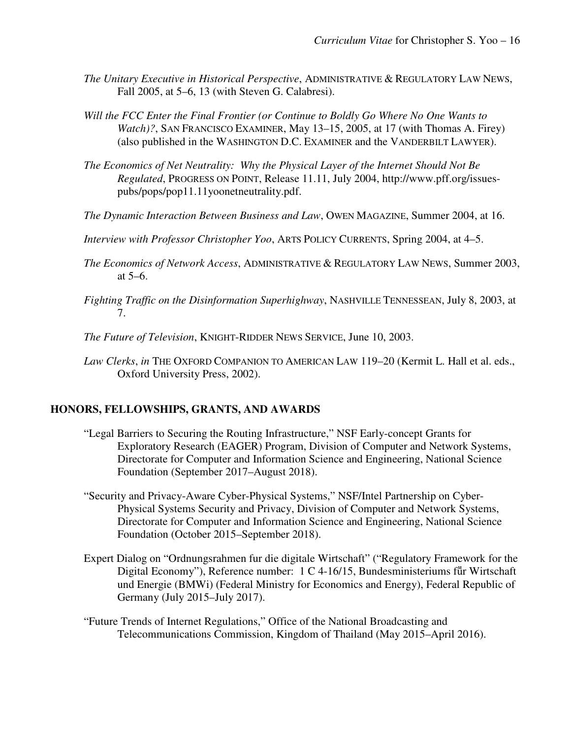- *The Unitary Executive in Historical Perspective*, ADMINISTRATIVE & REGULATORY LAW NEWS, Fall 2005, at 5–6, 13 (with Steven G. Calabresi).
- *Will the FCC Enter the Final Frontier (or Continue to Boldly Go Where No One Wants to Watch)?*, SAN FRANCISCO EXAMINER, May 13–15, 2005, at 17 (with Thomas A. Firey) (also published in the WASHINGTON D.C. EXAMINER and the VANDERBILT LAWYER).
- *The Economics of Net Neutrality: Why the Physical Layer of the Internet Should Not Be Regulated*, PROGRESS ON POINT, Release 11.11, July 2004, http://www.pff.org/issuespubs/pops/pop11.11yoonetneutrality.pdf.
- *The Dynamic Interaction Between Business and Law*, OWEN MAGAZINE, Summer 2004, at 16.
- *Interview with Professor Christopher Yoo*, ARTS POLICY CURRENTS, Spring 2004, at 4–5.
- *The Economics of Network Access*, ADMINISTRATIVE & REGULATORY LAW NEWS, Summer 2003, at 5–6.
- *Fighting Traffic on the Disinformation Superhighway*, NASHVILLE TENNESSEAN, July 8, 2003, at 7.

*The Future of Television*, KNIGHT-RIDDER NEWS SERVICE, June 10, 2003.

*Law Clerks*, *in* THE OXFORD COMPANION TO AMERICAN LAW 119–20 (Kermit L. Hall et al. eds., Oxford University Press, 2002).

### **HONORS, FELLOWSHIPS, GRANTS, AND AWARDS**

- "Legal Barriers to Securing the Routing Infrastructure," NSF Early-concept Grants for Exploratory Research (EAGER) Program, Division of Computer and Network Systems, Directorate for Computer and Information Science and Engineering, National Science Foundation (September 2017–August 2018).
- "Security and Privacy-Aware Cyber-Physical Systems," NSF/Intel Partnership on Cyber-Physical Systems Security and Privacy, Division of Computer and Network Systems, Directorate for Computer and Information Science and Engineering, National Science Foundation (October 2015–September 2018).
- Expert Dialog on "Ordnungsrahmen fur die digitale Wirtschaft" ("Regulatory Framework for the Digital Economy"), Reference number: 1 C 4-16/15, Bundesministeriums für Wirtschaft und Energie (BMWi) (Federal Ministry for Economics and Energy), Federal Republic of Germany (July 2015–July 2017).
- "Future Trends of Internet Regulations," Office of the National Broadcasting and Telecommunications Commission, Kingdom of Thailand (May 2015–April 2016).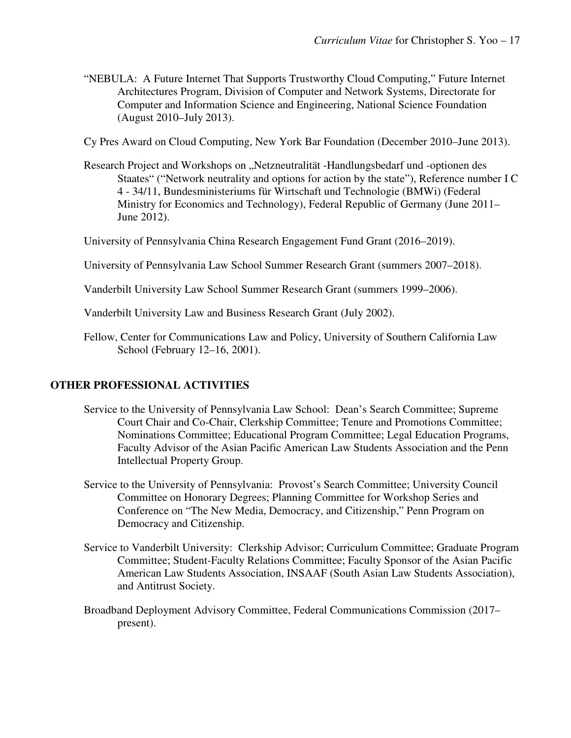"NEBULA: A Future Internet That Supports Trustworthy Cloud Computing," Future Internet Architectures Program, Division of Computer and Network Systems, Directorate for Computer and Information Science and Engineering, National Science Foundation (August 2010–July 2013).

Cy Pres Award on Cloud Computing, New York Bar Foundation (December 2010–June 2013).

Research Project and Workshops on "Netzneutralität -Handlungsbedarf und -optionen des Staates" ("Network neutrality and options for action by the state"), Reference number I C 4 - 34/11, Bundesministeriums für Wirtschaft und Technologie (BMWi) (Federal Ministry for Economics and Technology), Federal Republic of Germany (June 2011– June 2012).

University of Pennsylvania China Research Engagement Fund Grant (2016–2019).

University of Pennsylvania Law School Summer Research Grant (summers 2007–2018).

Vanderbilt University Law School Summer Research Grant (summers 1999–2006).

Vanderbilt University Law and Business Research Grant (July 2002).

Fellow, Center for Communications Law and Policy, University of Southern California Law School (February 12–16, 2001).

## **OTHER PROFESSIONAL ACTIVITIES**

- Service to the University of Pennsylvania Law School: Dean's Search Committee; Supreme Court Chair and Co-Chair, Clerkship Committee; Tenure and Promotions Committee; Nominations Committee; Educational Program Committee; Legal Education Programs, Faculty Advisor of the Asian Pacific American Law Students Association and the Penn Intellectual Property Group.
- Service to the University of Pennsylvania: Provost's Search Committee; University Council Committee on Honorary Degrees; Planning Committee for Workshop Series and Conference on "The New Media, Democracy, and Citizenship," Penn Program on Democracy and Citizenship.
- Service to Vanderbilt University: Clerkship Advisor; Curriculum Committee; Graduate Program Committee; Student-Faculty Relations Committee; Faculty Sponsor of the Asian Pacific American Law Students Association, INSAAF (South Asian Law Students Association), and Antitrust Society.
- Broadband Deployment Advisory Committee, Federal Communications Commission (2017– present).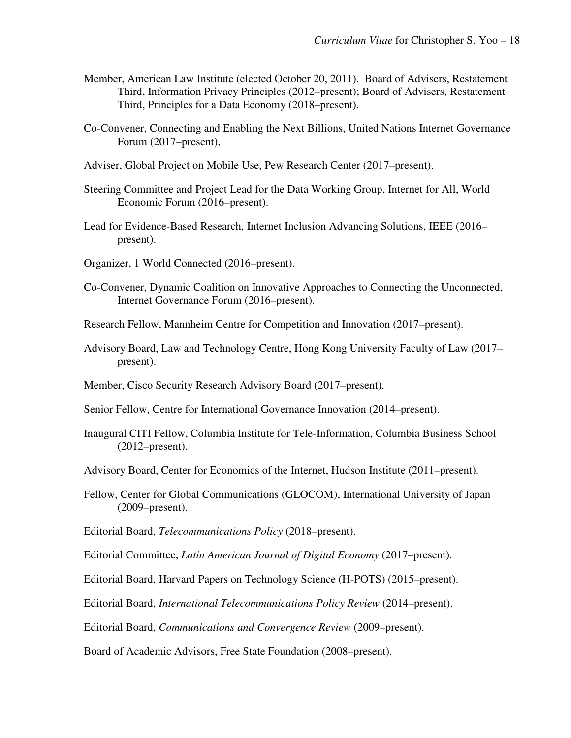- Member, American Law Institute (elected October 20, 2011). Board of Advisers, Restatement Third, Information Privacy Principles (2012–present); Board of Advisers, Restatement Third, Principles for a Data Economy (2018–present).
- Co-Convener, Connecting and Enabling the Next Billions, United Nations Internet Governance Forum (2017–present),
- Adviser, Global Project on Mobile Use, Pew Research Center (2017–present).
- Steering Committee and Project Lead for the Data Working Group, Internet for All, World Economic Forum (2016–present).
- Lead for Evidence-Based Research, Internet Inclusion Advancing Solutions, IEEE (2016– present).
- Organizer, 1 World Connected (2016–present).
- Co-Convener, Dynamic Coalition on Innovative Approaches to Connecting the Unconnected, Internet Governance Forum (2016–present).

Research Fellow, Mannheim Centre for Competition and Innovation (2017–present).

- Advisory Board, Law and Technology Centre, Hong Kong University Faculty of Law (2017– present).
- Member, Cisco Security Research Advisory Board (2017–present).
- Senior Fellow, Centre for International Governance Innovation (2014–present).
- Inaugural CITI Fellow, Columbia Institute for Tele-Information, Columbia Business School (2012–present).
- Advisory Board, Center for Economics of the Internet, Hudson Institute (2011–present).
- Fellow, Center for Global Communications (GLOCOM), International University of Japan (2009–present).
- Editorial Board, *Telecommunications Policy* (2018–present).
- Editorial Committee, *Latin American Journal of Digital Economy* (2017–present).
- Editorial Board, Harvard Papers on Technology Science (H-POTS) (2015–present).
- Editorial Board, *International Telecommunications Policy Review* (2014–present).
- Editorial Board, *Communications and Convergence Review* (2009–present).
- Board of Academic Advisors, Free State Foundation (2008–present).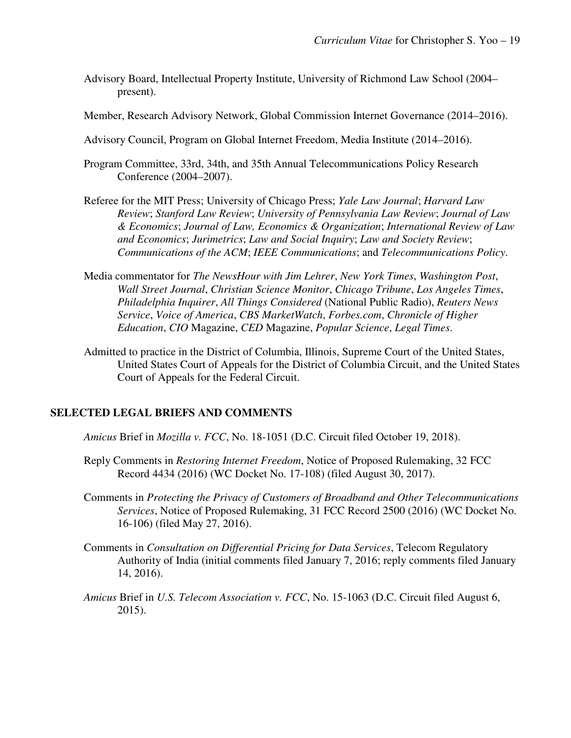- Advisory Board, Intellectual Property Institute, University of Richmond Law School (2004– present).
- Member, Research Advisory Network, Global Commission Internet Governance (2014–2016).
- Advisory Council, Program on Global Internet Freedom, Media Institute (2014–2016).
- Program Committee, 33rd, 34th, and 35th Annual Telecommunications Policy Research Conference (2004–2007).
- Referee for the MIT Press; University of Chicago Press; *Yale Law Journal*; *Harvard Law Review*; *Stanford Law Review*; *University of Pennsylvania Law Review*; *Journal of Law & Economics*; *Journal of Law, Economics & Organization*; *International Review of Law and Economics*; *Jurimetrics*; *Law and Social Inquiry*; *Law and Society Review*; *Communications of the ACM*; *IEEE Communications*; and *Telecommunications Policy*.
- Media commentator for *The NewsHour with Jim Lehrer*, *New York Times*, *Washington Post*, *Wall Street Journal*, *Christian Science Monitor*, *Chicago Tribune*, *Los Angeles Times*, *Philadelphia Inquirer*, *All Things Considered* (National Public Radio), *Reuters News Service*, *Voice of America*, *CBS MarketWatch*, *Forbes.com*, *Chronicle of Higher Education*, *CIO* Magazine, *CED* Magazine, *Popular Science*, *Legal Times*.
- Admitted to practice in the District of Columbia, Illinois, Supreme Court of the United States, United States Court of Appeals for the District of Columbia Circuit, and the United States Court of Appeals for the Federal Circuit.

#### **SELECTED LEGAL BRIEFS AND COMMENTS**

*Amicus* Brief in *Mozilla v. FCC*, No. 18-1051 (D.C. Circuit filed October 19, 2018).

- Reply Comments in *Restoring Internet Freedom*, Notice of Proposed Rulemaking, 32 FCC Record 4434 (2016) (WC Docket No. 17-108) (filed August 30, 2017).
- Comments in *Protecting the Privacy of Customers of Broadband and Other Telecommunications Services*, Notice of Proposed Rulemaking, 31 FCC Record 2500 (2016) (WC Docket No. 16-106) (filed May 27, 2016).
- Comments in *Consultation on Differential Pricing for Data Services*, Telecom Regulatory Authority of India (initial comments filed January 7, 2016; reply comments filed January 14, 2016).
- *Amicus* Brief in *U.S. Telecom Association v. FCC*, No. 15-1063 (D.C. Circuit filed August 6, 2015).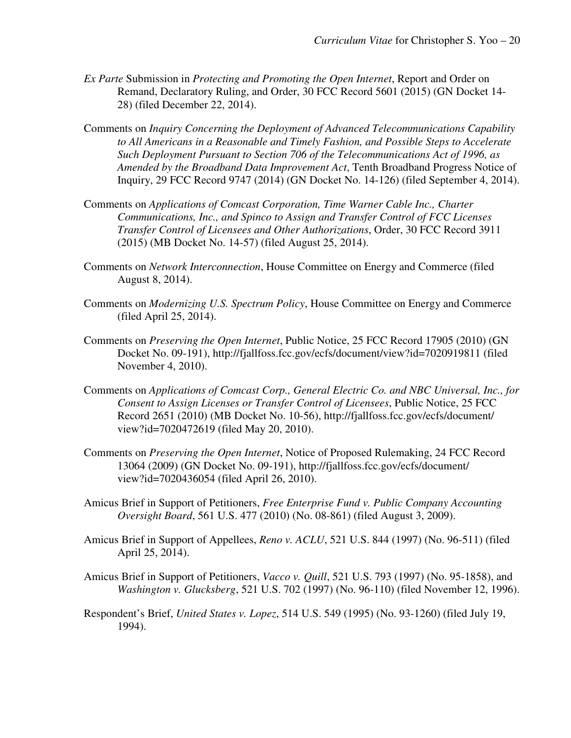- *Ex Parte* Submission in *Protecting and Promoting the Open Internet*, Report and Order on Remand, Declaratory Ruling, and Order, 30 FCC Record 5601 (2015) (GN Docket 14- 28) (filed December 22, 2014).
- Comments on *Inquiry Concerning the Deployment of Advanced Telecommunications Capability to All Americans in a Reasonable and Timely Fashion, and Possible Steps to Accelerate Such Deployment Pursuant to Section 706 of the Telecommunications Act of 1996, as Amended by the Broadband Data Improvement Act*, Tenth Broadband Progress Notice of Inquiry, 29 FCC Record 9747 (2014) (GN Docket No. 14-126) (filed September 4, 2014).
- Comments on *Applications of Comcast Corporation, Time Warner Cable Inc., Charter Communications, Inc., and Spinco to Assign and Transfer Control of FCC Licenses Transfer Control of Licensees and Other Authorizations*, Order, 30 FCC Record 3911 (2015) (MB Docket No. 14-57) (filed August 25, 2014).
- Comments on *Network Interconnection*, House Committee on Energy and Commerce (filed August 8, 2014).
- Comments on *Modernizing U.S. Spectrum Policy*, House Committee on Energy and Commerce (filed April 25, 2014).
- Comments on *Preserving the Open Internet*, Public Notice, 25 FCC Record 17905 (2010) (GN Docket No. 09-191), http://fjallfoss.fcc.gov/ecfs/document/view?id=7020919811 (filed November 4, 2010).
- Comments on *Applications of Comcast Corp., General Electric Co. and NBC Universal, Inc., for Consent to Assign Licenses or Transfer Control of Licensees*, Public Notice, 25 FCC Record 2651 (2010) (MB Docket No. 10-56), http://fjallfoss.fcc.gov/ecfs/document/ view?id=7020472619 (filed May 20, 2010).
- Comments on *Preserving the Open Internet*, Notice of Proposed Rulemaking, 24 FCC Record 13064 (2009) (GN Docket No. 09-191), http://fjallfoss.fcc.gov/ecfs/document/ view?id=7020436054 (filed April 26, 2010).
- Amicus Brief in Support of Petitioners, *Free Enterprise Fund v. Public Company Accounting Oversight Board*, 561 U.S. 477 (2010) (No. 08-861) (filed August 3, 2009).
- Amicus Brief in Support of Appellees, *Reno v. ACLU*, 521 U.S. 844 (1997) (No. 96-511) (filed April 25, 2014).
- Amicus Brief in Support of Petitioners, *Vacco v. Quill*, 521 U.S. 793 (1997) (No. 95-1858), and *Washington v. Glucksberg*, 521 U.S. 702 (1997) (No. 96-110) (filed November 12, 1996).
- Respondent's Brief, *United States v. Lopez*, 514 U.S. 549 (1995) (No. 93-1260) (filed July 19, 1994).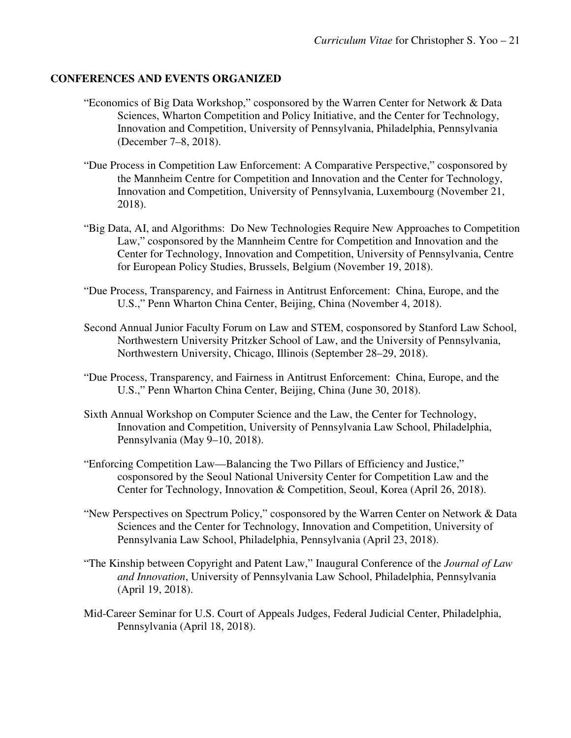### **CONFERENCES AND EVENTS ORGANIZED**

- "Economics of Big Data Workshop," cosponsored by the Warren Center for Network & Data Sciences, Wharton Competition and Policy Initiative, and the Center for Technology, Innovation and Competition, University of Pennsylvania, Philadelphia, Pennsylvania (December 7–8, 2018).
- "Due Process in Competition Law Enforcement: A Comparative Perspective," cosponsored by the Mannheim Centre for Competition and Innovation and the Center for Technology, Innovation and Competition, University of Pennsylvania, Luxembourg (November 21, 2018).
- "Big Data, AI, and Algorithms: Do New Technologies Require New Approaches to Competition Law," cosponsored by the Mannheim Centre for Competition and Innovation and the Center for Technology, Innovation and Competition, University of Pennsylvania, Centre for European Policy Studies, Brussels, Belgium (November 19, 2018).
- "Due Process, Transparency, and Fairness in Antitrust Enforcement: China, Europe, and the U.S.," Penn Wharton China Center, Beijing, China (November 4, 2018).
- Second Annual Junior Faculty Forum on Law and STEM, cosponsored by Stanford Law School, Northwestern University Pritzker School of Law, and the University of Pennsylvania, Northwestern University, Chicago, Illinois (September 28–29, 2018).
- "Due Process, Transparency, and Fairness in Antitrust Enforcement: China, Europe, and the U.S.," Penn Wharton China Center, Beijing, China (June 30, 2018).
- Sixth Annual Workshop on Computer Science and the Law, the Center for Technology, Innovation and Competition, University of Pennsylvania Law School, Philadelphia, Pennsylvania (May 9–10, 2018).
- "Enforcing Competition Law—Balancing the Two Pillars of Efficiency and Justice," cosponsored by the Seoul National University Center for Competition Law and the Center for Technology, Innovation & Competition, Seoul, Korea (April 26, 2018).
- "New Perspectives on Spectrum Policy," cosponsored by the Warren Center on Network & Data Sciences and the Center for Technology, Innovation and Competition, University of Pennsylvania Law School, Philadelphia, Pennsylvania (April 23, 2018).
- "The Kinship between Copyright and Patent Law," Inaugural Conference of the *Journal of Law and Innovation*, University of Pennsylvania Law School, Philadelphia, Pennsylvania (April 19, 2018).
- Mid-Career Seminar for U.S. Court of Appeals Judges, Federal Judicial Center, Philadelphia, Pennsylvania (April 18, 2018).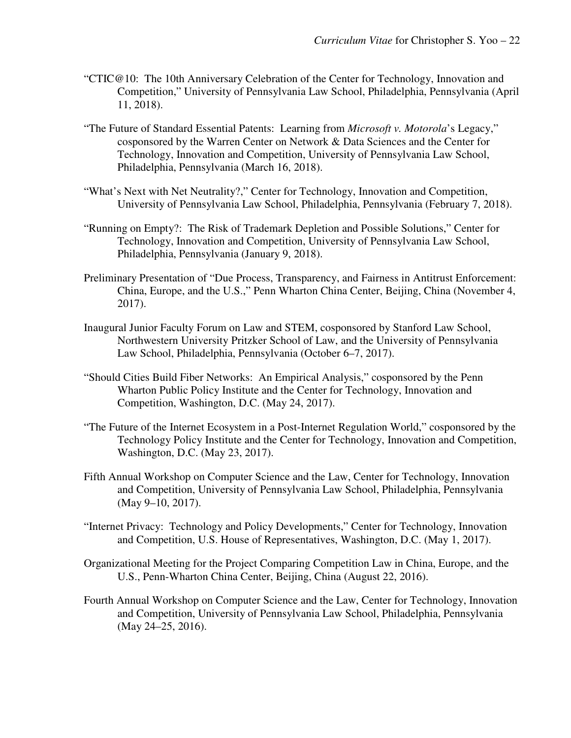- "CTIC@10: The 10th Anniversary Celebration of the Center for Technology, Innovation and Competition," University of Pennsylvania Law School, Philadelphia, Pennsylvania (April 11, 2018).
- "The Future of Standard Essential Patents: Learning from *Microsoft v. Motorola*'s Legacy," cosponsored by the Warren Center on Network & Data Sciences and the Center for Technology, Innovation and Competition, University of Pennsylvania Law School, Philadelphia, Pennsylvania (March 16, 2018).
- "What's Next with Net Neutrality?," Center for Technology, Innovation and Competition, University of Pennsylvania Law School, Philadelphia, Pennsylvania (February 7, 2018).
- "Running on Empty?: The Risk of Trademark Depletion and Possible Solutions," Center for Technology, Innovation and Competition, University of Pennsylvania Law School, Philadelphia, Pennsylvania (January 9, 2018).
- Preliminary Presentation of "Due Process, Transparency, and Fairness in Antitrust Enforcement: China, Europe, and the U.S.," Penn Wharton China Center, Beijing, China (November 4, 2017).
- Inaugural Junior Faculty Forum on Law and STEM, cosponsored by Stanford Law School, Northwestern University Pritzker School of Law, and the University of Pennsylvania Law School, Philadelphia, Pennsylvania (October 6–7, 2017).
- "Should Cities Build Fiber Networks: An Empirical Analysis," cosponsored by the Penn Wharton Public Policy Institute and the Center for Technology, Innovation and Competition, Washington, D.C. (May 24, 2017).
- "The Future of the Internet Ecosystem in a Post-Internet Regulation World," cosponsored by the Technology Policy Institute and the Center for Technology, Innovation and Competition, Washington, D.C. (May 23, 2017).
- Fifth Annual Workshop on Computer Science and the Law, Center for Technology, Innovation and Competition, University of Pennsylvania Law School, Philadelphia, Pennsylvania (May 9–10, 2017).
- "Internet Privacy: Technology and Policy Developments," Center for Technology, Innovation and Competition, U.S. House of Representatives, Washington, D.C. (May 1, 2017).
- Organizational Meeting for the Project Comparing Competition Law in China, Europe, and the U.S., Penn-Wharton China Center, Beijing, China (August 22, 2016).
- Fourth Annual Workshop on Computer Science and the Law, Center for Technology, Innovation and Competition, University of Pennsylvania Law School, Philadelphia, Pennsylvania (May 24–25, 2016).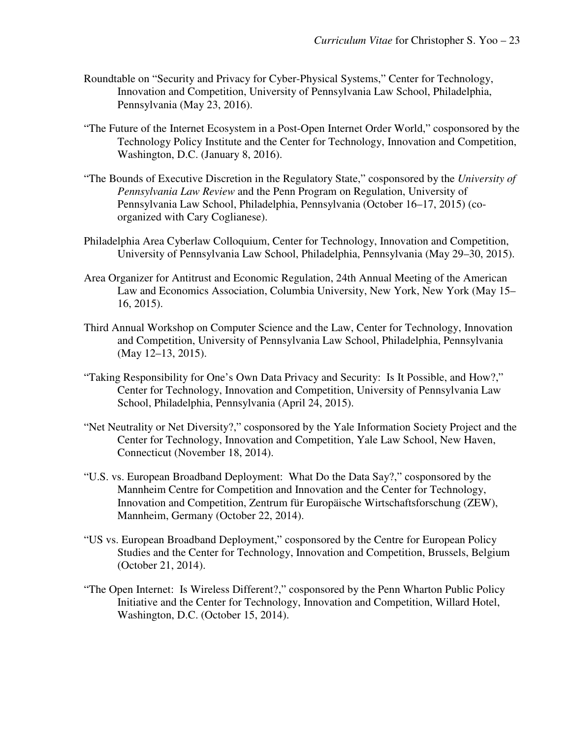- Roundtable on "Security and Privacy for Cyber-Physical Systems," Center for Technology, Innovation and Competition, University of Pennsylvania Law School, Philadelphia, Pennsylvania (May 23, 2016).
- "The Future of the Internet Ecosystem in a Post-Open Internet Order World," cosponsored by the Technology Policy Institute and the Center for Technology, Innovation and Competition, Washington, D.C. (January 8, 2016).
- "The Bounds of Executive Discretion in the Regulatory State," cosponsored by the *University of Pennsylvania Law Review* and the Penn Program on Regulation, University of Pennsylvania Law School, Philadelphia, Pennsylvania (October 16–17, 2015) (coorganized with Cary Coglianese).
- Philadelphia Area Cyberlaw Colloquium, Center for Technology, Innovation and Competition, University of Pennsylvania Law School, Philadelphia, Pennsylvania (May 29–30, 2015).
- Area Organizer for Antitrust and Economic Regulation, 24th Annual Meeting of the American Law and Economics Association, Columbia University, New York, New York (May 15– 16, 2015).
- Third Annual Workshop on Computer Science and the Law, Center for Technology, Innovation and Competition, University of Pennsylvania Law School, Philadelphia, Pennsylvania (May 12–13, 2015).
- "Taking Responsibility for One's Own Data Privacy and Security: Is It Possible, and How?," Center for Technology, Innovation and Competition, University of Pennsylvania Law School, Philadelphia, Pennsylvania (April 24, 2015).
- "Net Neutrality or Net Diversity?," cosponsored by the Yale Information Society Project and the Center for Technology, Innovation and Competition, Yale Law School, New Haven, Connecticut (November 18, 2014).
- "U.S. vs. European Broadband Deployment: What Do the Data Say?," cosponsored by the Mannheim Centre for Competition and Innovation and the Center for Technology, Innovation and Competition, Zentrum für Europäische Wirtschaftsforschung (ZEW), Mannheim, Germany (October 22, 2014).
- "US vs. European Broadband Deployment," cosponsored by the Centre for European Policy Studies and the Center for Technology, Innovation and Competition, Brussels, Belgium (October 21, 2014).
- "The Open Internet: Is Wireless Different?," cosponsored by the Penn Wharton Public Policy Initiative and the Center for Technology, Innovation and Competition, Willard Hotel, Washington, D.C. (October 15, 2014).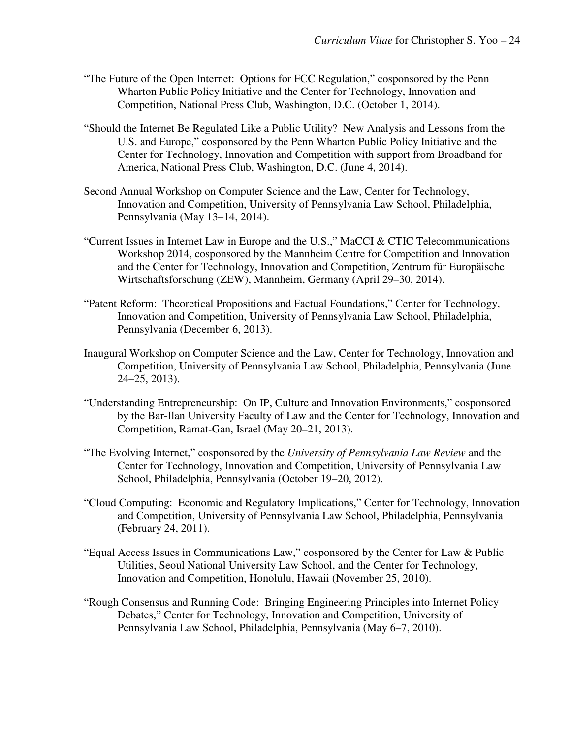- "The Future of the Open Internet: Options for FCC Regulation," cosponsored by the Penn Wharton Public Policy Initiative and the Center for Technology, Innovation and Competition, National Press Club, Washington, D.C. (October 1, 2014).
- "Should the Internet Be Regulated Like a Public Utility? New Analysis and Lessons from the U.S. and Europe," cosponsored by the Penn Wharton Public Policy Initiative and the Center for Technology, Innovation and Competition with support from Broadband for America, National Press Club, Washington, D.C. (June 4, 2014).
- Second Annual Workshop on Computer Science and the Law, Center for Technology, Innovation and Competition, University of Pennsylvania Law School, Philadelphia, Pennsylvania (May 13–14, 2014).
- "Current Issues in Internet Law in Europe and the U.S.," MaCCI & CTIC Telecommunications Workshop 2014, cosponsored by the Mannheim Centre for Competition and Innovation and the Center for Technology, Innovation and Competition, Zentrum für Europäische Wirtschaftsforschung (ZEW), Mannheim, Germany (April 29–30, 2014).
- "Patent Reform: Theoretical Propositions and Factual Foundations," Center for Technology, Innovation and Competition, University of Pennsylvania Law School, Philadelphia, Pennsylvania (December 6, 2013).
- Inaugural Workshop on Computer Science and the Law, Center for Technology, Innovation and Competition, University of Pennsylvania Law School, Philadelphia, Pennsylvania (June 24–25, 2013).
- "Understanding Entrepreneurship: On IP, Culture and Innovation Environments," cosponsored by the Bar-Ilan University Faculty of Law and the Center for Technology, Innovation and Competition, Ramat-Gan, Israel (May 20–21, 2013).
- "The Evolving Internet," cosponsored by the *University of Pennsylvania Law Review* and the Center for Technology, Innovation and Competition, University of Pennsylvania Law School, Philadelphia, Pennsylvania (October 19–20, 2012).
- "Cloud Computing: Economic and Regulatory Implications," Center for Technology, Innovation and Competition, University of Pennsylvania Law School, Philadelphia, Pennsylvania (February 24, 2011).
- "Equal Access Issues in Communications Law," cosponsored by the Center for Law & Public Utilities, Seoul National University Law School, and the Center for Technology, Innovation and Competition, Honolulu, Hawaii (November 25, 2010).
- "Rough Consensus and Running Code: Bringing Engineering Principles into Internet Policy Debates," Center for Technology, Innovation and Competition, University of Pennsylvania Law School, Philadelphia, Pennsylvania (May 6–7, 2010).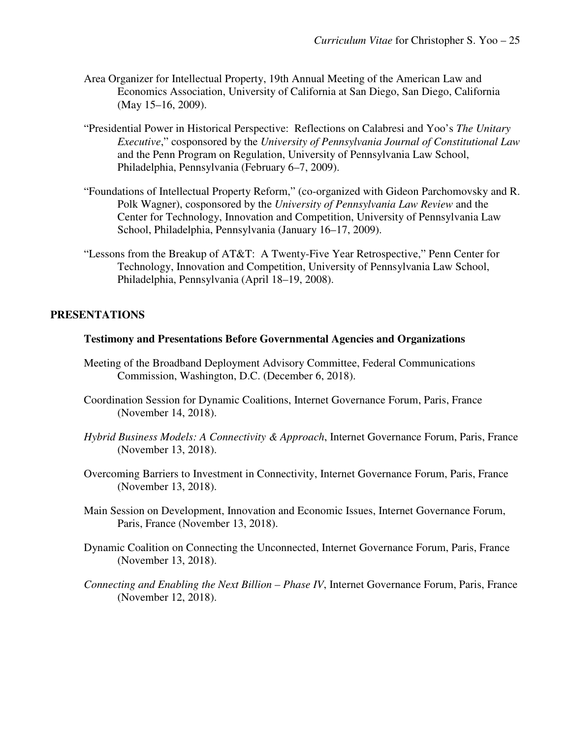- Area Organizer for Intellectual Property, 19th Annual Meeting of the American Law and Economics Association, University of California at San Diego, San Diego, California (May 15–16, 2009).
- "Presidential Power in Historical Perspective: Reflections on Calabresi and Yoo's *The Unitary Executive*," cosponsored by the *University of Pennsylvania Journal of Constitutional Law* and the Penn Program on Regulation, University of Pennsylvania Law School, Philadelphia, Pennsylvania (February 6–7, 2009).
- "Foundations of Intellectual Property Reform," (co-organized with Gideon Parchomovsky and R. Polk Wagner), cosponsored by the *University of Pennsylvania Law Review* and the Center for Technology, Innovation and Competition, University of Pennsylvania Law School, Philadelphia, Pennsylvania (January 16–17, 2009).
- "Lessons from the Breakup of AT&T: A Twenty-Five Year Retrospective," Penn Center for Technology, Innovation and Competition, University of Pennsylvania Law School, Philadelphia, Pennsylvania (April 18–19, 2008).

## **PRESENTATIONS**

#### **Testimony and Presentations Before Governmental Agencies and Organizations**

- Meeting of the Broadband Deployment Advisory Committee, Federal Communications Commission, Washington, D.C. (December 6, 2018).
- Coordination Session for Dynamic Coalitions, Internet Governance Forum, Paris, France (November 14, 2018).
- *Hybrid Business Models: A Connectivity & Approach*, Internet Governance Forum, Paris, France (November 13, 2018).
- Overcoming Barriers to Investment in Connectivity, Internet Governance Forum, Paris, France (November 13, 2018).
- Main Session on Development, Innovation and Economic Issues, Internet Governance Forum, Paris, France (November 13, 2018).
- Dynamic Coalition on Connecting the Unconnected, Internet Governance Forum, Paris, France (November 13, 2018).
- *Connecting and Enabling the Next Billion Phase IV*, Internet Governance Forum, Paris, France (November 12, 2018).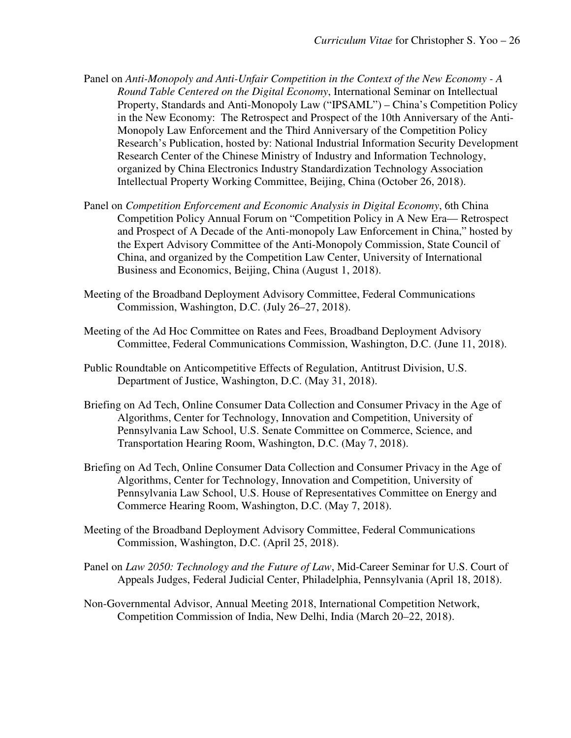- Panel on *Anti-Monopoly and Anti-Unfair Competition in the Context of the New Economy A Round Table Centered on the Digital Economy*, International Seminar on Intellectual Property, Standards and Anti-Monopoly Law ("IPSAML") – China's Competition Policy in the New Economy: The Retrospect and Prospect of the 10th Anniversary of the Anti-Monopoly Law Enforcement and the Third Anniversary of the Competition Policy Research's Publication, hosted by: National Industrial Information Security Development Research Center of the Chinese Ministry of Industry and Information Technology, organized by China Electronics Industry Standardization Technology Association Intellectual Property Working Committee, Beijing, China (October 26, 2018).
- Panel on *Competition Enforcement and Economic Analysis in Digital Economy*, 6th China Competition Policy Annual Forum on "Competition Policy in A New Era— Retrospect and Prospect of A Decade of the Anti-monopoly Law Enforcement in China," hosted by the Expert Advisory Committee of the Anti-Monopoly Commission, State Council of China, and organized by the Competition Law Center, University of International Business and Economics, Beijing, China (August 1, 2018).
- Meeting of the Broadband Deployment Advisory Committee, Federal Communications Commission, Washington, D.C. (July 26–27, 2018).
- Meeting of the Ad Hoc Committee on Rates and Fees, Broadband Deployment Advisory Committee, Federal Communications Commission, Washington, D.C. (June 11, 2018).
- Public Roundtable on Anticompetitive Effects of Regulation, Antitrust Division, U.S. Department of Justice, Washington, D.C. (May 31, 2018).
- Briefing on Ad Tech, Online Consumer Data Collection and Consumer Privacy in the Age of Algorithms, Center for Technology, Innovation and Competition, University of Pennsylvania Law School, U.S. Senate Committee on Commerce, Science, and Transportation Hearing Room, Washington, D.C. (May 7, 2018).
- Briefing on Ad Tech, Online Consumer Data Collection and Consumer Privacy in the Age of Algorithms, Center for Technology, Innovation and Competition, University of Pennsylvania Law School, U.S. House of Representatives Committee on Energy and Commerce Hearing Room, Washington, D.C. (May 7, 2018).
- Meeting of the Broadband Deployment Advisory Committee, Federal Communications Commission, Washington, D.C. (April 25, 2018).
- Panel on *Law 2050: Technology and the Future of Law*, Mid-Career Seminar for U.S. Court of Appeals Judges, Federal Judicial Center, Philadelphia, Pennsylvania (April 18, 2018).
- Non-Governmental Advisor, Annual Meeting 2018, International Competition Network, Competition Commission of India, New Delhi, India (March 20–22, 2018).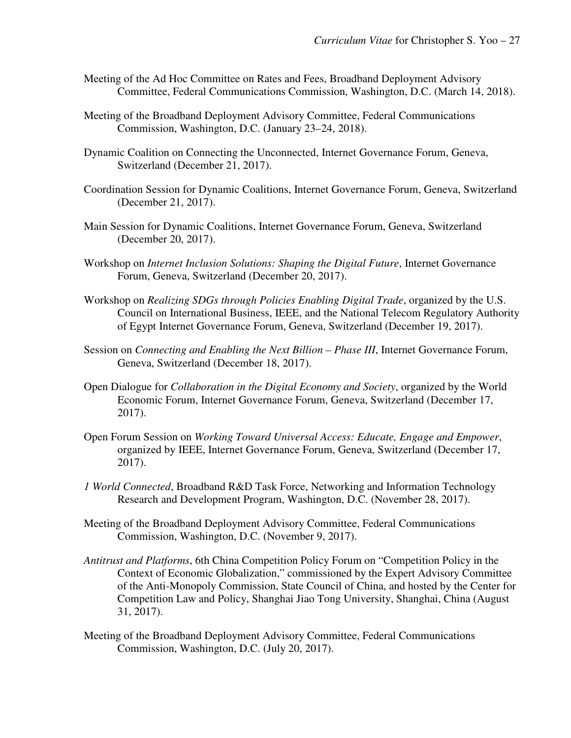- Meeting of the Ad Hoc Committee on Rates and Fees, Broadband Deployment Advisory Committee, Federal Communications Commission, Washington, D.C. (March 14, 2018).
- Meeting of the Broadband Deployment Advisory Committee, Federal Communications Commission, Washington, D.C. (January 23–24, 2018).
- Dynamic Coalition on Connecting the Unconnected, Internet Governance Forum, Geneva, Switzerland (December 21, 2017).
- Coordination Session for Dynamic Coalitions, Internet Governance Forum, Geneva, Switzerland (December 21, 2017).
- Main Session for Dynamic Coalitions, Internet Governance Forum, Geneva, Switzerland (December 20, 2017).
- Workshop on *Internet Inclusion Solutions: Shaping the Digital Future*, Internet Governance Forum, Geneva, Switzerland (December 20, 2017).
- Workshop on *Realizing SDGs through Policies Enabling Digital Trade*, organized by the U.S. Council on International Business, IEEE, and the National Telecom Regulatory Authority of Egypt Internet Governance Forum, Geneva, Switzerland (December 19, 2017).
- Session on *Connecting and Enabling the Next Billion Phase III*, Internet Governance Forum, Geneva, Switzerland (December 18, 2017).
- Open Dialogue for *Collaboration in the Digital Economy and Society*, organized by the World Economic Forum, Internet Governance Forum, Geneva, Switzerland (December 17, 2017).
- Open Forum Session on *Working Toward Universal Access: Educate, Engage and Empower*, organized by IEEE, Internet Governance Forum, Geneva, Switzerland (December 17, 2017).
- *1 World Connected*, Broadband R&D Task Force, Networking and Information Technology Research and Development Program, Washington, D.C. (November 28, 2017).
- Meeting of the Broadband Deployment Advisory Committee, Federal Communications Commission, Washington, D.C. (November 9, 2017).
- *Antitrust and Platforms*, 6th China Competition Policy Forum on "Competition Policy in the Context of Economic Globalization," commissioned by the Expert Advisory Committee of the Anti-Monopoly Commission, State Council of China, and hosted by the Center for Competition Law and Policy, Shanghai Jiao Tong University, Shanghai, China (August 31, 2017).
- Meeting of the Broadband Deployment Advisory Committee, Federal Communications Commission, Washington, D.C. (July 20, 2017).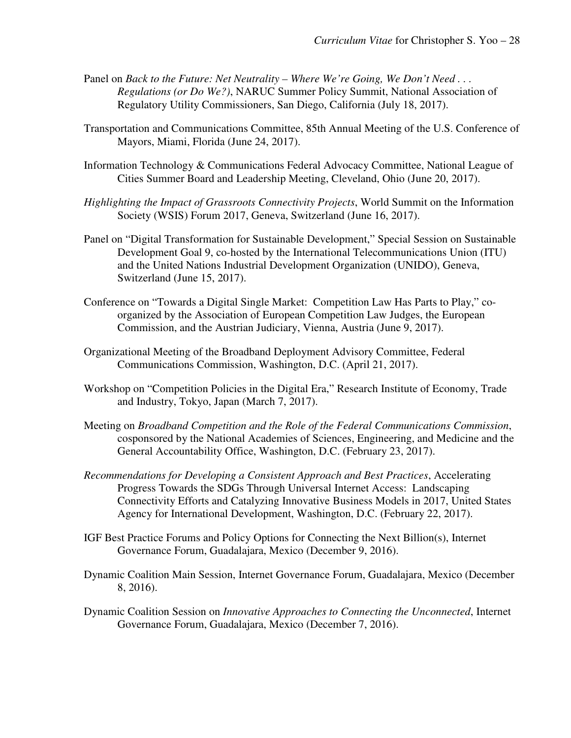- Panel on *Back to the Future: Net Neutrality Where We're Going, We Don't Need... Regulations (or Do We?)*, NARUC Summer Policy Summit, National Association of Regulatory Utility Commissioners, San Diego, California (July 18, 2017).
- Transportation and Communications Committee, 85th Annual Meeting of the U.S. Conference of Mayors, Miami, Florida (June 24, 2017).
- Information Technology & Communications Federal Advocacy Committee, National League of Cities Summer Board and Leadership Meeting, Cleveland, Ohio (June 20, 2017).
- *Highlighting the Impact of Grassroots Connectivity Projects*, World Summit on the Information Society (WSIS) Forum 2017, Geneva, Switzerland (June 16, 2017).
- Panel on "Digital Transformation for Sustainable Development," Special Session on Sustainable Development Goal 9, co-hosted by the International Telecommunications Union (ITU) and the United Nations Industrial Development Organization (UNIDO), Geneva, Switzerland (June 15, 2017).
- Conference on "Towards a Digital Single Market: Competition Law Has Parts to Play," coorganized by the Association of European Competition Law Judges, the European Commission, and the Austrian Judiciary, Vienna, Austria (June 9, 2017).
- Organizational Meeting of the Broadband Deployment Advisory Committee, Federal Communications Commission, Washington, D.C. (April 21, 2017).
- Workshop on "Competition Policies in the Digital Era," Research Institute of Economy, Trade and Industry, Tokyo, Japan (March 7, 2017).
- Meeting on *Broadband Competition and the Role of the Federal Communications Commission*, cosponsored by the National Academies of Sciences, Engineering, and Medicine and the General Accountability Office, Washington, D.C. (February 23, 2017).
- *Recommendations for Developing a Consistent Approach and Best Practices*, Accelerating Progress Towards the SDGs Through Universal Internet Access: Landscaping Connectivity Efforts and Catalyzing Innovative Business Models in 2017, United States Agency for International Development, Washington, D.C. (February 22, 2017).
- IGF Best Practice Forums and Policy Options for Connecting the Next Billion(s), Internet Governance Forum, Guadalajara, Mexico (December 9, 2016).
- Dynamic Coalition Main Session, Internet Governance Forum, Guadalajara, Mexico (December 8, 2016).
- Dynamic Coalition Session on *Innovative Approaches to Connecting the Unconnected*, Internet Governance Forum, Guadalajara, Mexico (December 7, 2016).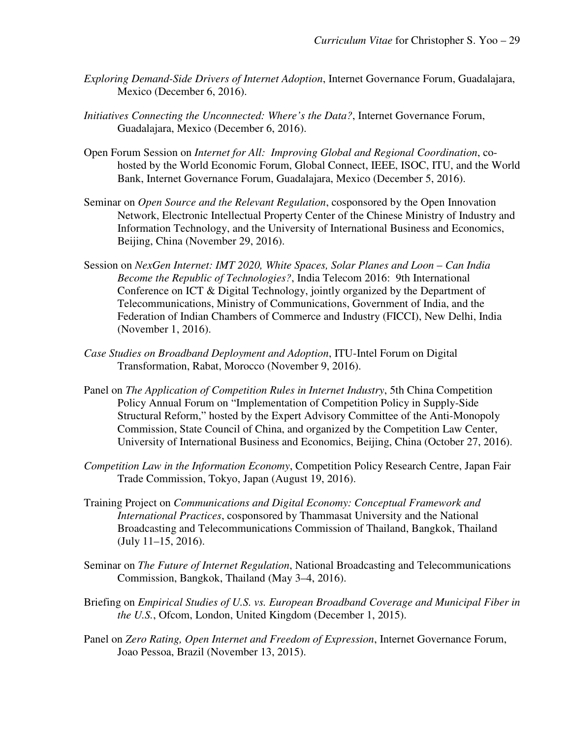- *Exploring Demand-Side Drivers of Internet Adoption*, Internet Governance Forum, Guadalajara, Mexico (December 6, 2016).
- *Initiatives Connecting the Unconnected: Where's the Data?*, Internet Governance Forum, Guadalajara, Mexico (December 6, 2016).
- Open Forum Session on *Internet for All: Improving Global and Regional Coordination*, cohosted by the World Economic Forum, Global Connect, IEEE, ISOC, ITU, and the World Bank, Internet Governance Forum, Guadalajara, Mexico (December 5, 2016).
- Seminar on *Open Source and the Relevant Regulation*, cosponsored by the Open Innovation Network, Electronic Intellectual Property Center of the Chinese Ministry of Industry and Information Technology, and the University of International Business and Economics, Beijing, China (November 29, 2016).
- Session on *NexGen Internet: IMT 2020, White Spaces, Solar Planes and Loon Can India Become the Republic of Technologies?*, India Telecom 2016: 9th International Conference on ICT & Digital Technology, jointly organized by the Department of Telecommunications, Ministry of Communications, Government of India, and the Federation of Indian Chambers of Commerce and Industry (FICCI), New Delhi, India (November 1, 2016).
- *Case Studies on Broadband Deployment and Adoption*, ITU-Intel Forum on Digital Transformation, Rabat, Morocco (November 9, 2016).
- Panel on *The Application of Competition Rules in Internet Industry*, 5th China Competition Policy Annual Forum on "Implementation of Competition Policy in Supply-Side Structural Reform," hosted by the Expert Advisory Committee of the Anti-Monopoly Commission, State Council of China, and organized by the Competition Law Center, University of International Business and Economics, Beijing, China (October 27, 2016).
- *Competition Law in the Information Economy*, Competition Policy Research Centre, Japan Fair Trade Commission, Tokyo, Japan (August 19, 2016).
- Training Project on *Communications and Digital Economy: Conceptual Framework and International Practices*, cosponsored by Thammasat University and the National Broadcasting and Telecommunications Commission of Thailand, Bangkok, Thailand (July 11–15, 2016).
- Seminar on *The Future of Internet Regulation*, National Broadcasting and Telecommunications Commission, Bangkok, Thailand (May 3–4, 2016).
- Briefing on *Empirical Studies of U.S. vs. European Broadband Coverage and Municipal Fiber in the U.S.*, Ofcom, London, United Kingdom (December 1, 2015).
- Panel on *Zero Rating, Open Internet and Freedom of Expression*, Internet Governance Forum, Joao Pessoa, Brazil (November 13, 2015).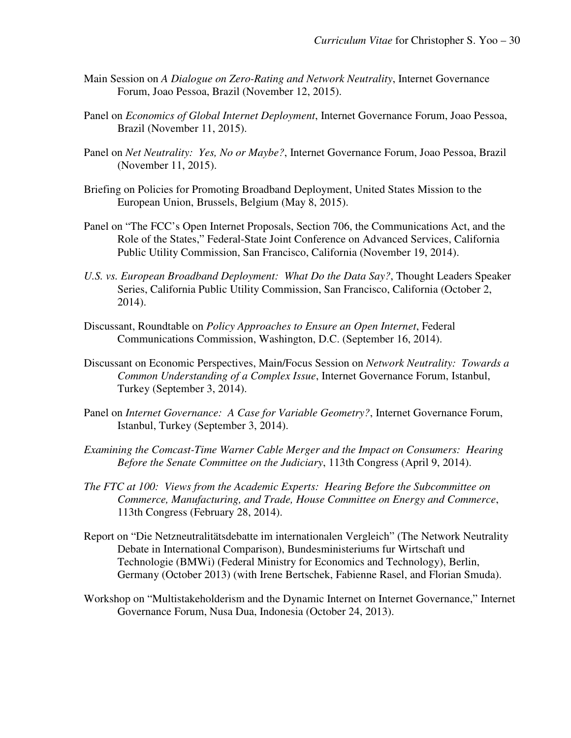- Main Session on *A Dialogue on Zero-Rating and Network Neutrality*, Internet Governance Forum, Joao Pessoa, Brazil (November 12, 2015).
- Panel on *Economics of Global Internet Deployment*, Internet Governance Forum, Joao Pessoa, Brazil (November 11, 2015).
- Panel on *Net Neutrality: Yes, No or Maybe?*, Internet Governance Forum, Joao Pessoa, Brazil (November 11, 2015).
- Briefing on Policies for Promoting Broadband Deployment, United States Mission to the European Union, Brussels, Belgium (May 8, 2015).
- Panel on "The FCC's Open Internet Proposals, Section 706, the Communications Act, and the Role of the States," Federal-State Joint Conference on Advanced Services, California Public Utility Commission, San Francisco, California (November 19, 2014).
- *U.S. vs. European Broadband Deployment: What Do the Data Say?*, Thought Leaders Speaker Series, California Public Utility Commission, San Francisco, California (October 2, 2014).
- Discussant, Roundtable on *Policy Approaches to Ensure an Open Internet*, Federal Communications Commission, Washington, D.C. (September 16, 2014).
- Discussant on Economic Perspectives, Main/Focus Session on *Network Neutrality: Towards a Common Understanding of a Complex Issue*, Internet Governance Forum, Istanbul, Turkey (September 3, 2014).
- Panel on *Internet Governance: A Case for Variable Geometry?*, Internet Governance Forum, Istanbul, Turkey (September 3, 2014).
- *Examining the Comcast-Time Warner Cable Merger and the Impact on Consumers: Hearing Before the Senate Committee on the Judiciary*, 113th Congress (April 9, 2014).
- *The FTC at 100: Views from the Academic Experts: Hearing Before the Subcommittee on Commerce, Manufacturing, and Trade, House Committee on Energy and Commerce*, 113th Congress (February 28, 2014).
- Report on "Die Netzneutralitätsdebatte im internationalen Vergleich" (The Network Neutrality Debate in International Comparison), Bundesministeriums fur Wirtschaft und Technologie (BMWi) (Federal Ministry for Economics and Technology), Berlin, Germany (October 2013) (with Irene Bertschek, Fabienne Rasel, and Florian Smuda).
- Workshop on "Multistakeholderism and the Dynamic Internet on Internet Governance," Internet Governance Forum, Nusa Dua, Indonesia (October 24, 2013).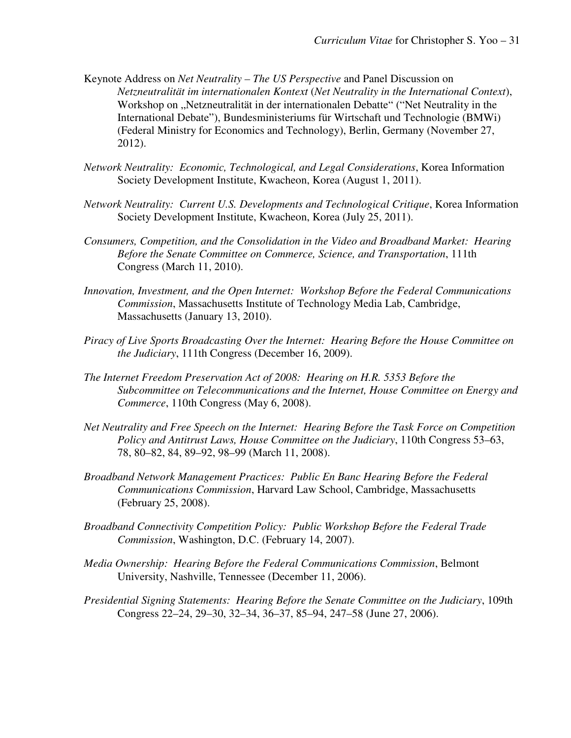- Keynote Address on *Net Neutrality The US Perspective* and Panel Discussion on *Netzneutralität im internationalen Kontext* (*Net Neutrality in the International Context*), Workshop on "Netzneutralität in der internationalen Debatte" ("Net Neutrality in the International Debate"), Bundesministeriums für Wirtschaft und Technologie (BMWi) (Federal Ministry for Economics and Technology), Berlin, Germany (November 27, 2012).
- *Network Neutrality: Economic, Technological, and Legal Considerations*, Korea Information Society Development Institute, Kwacheon, Korea (August 1, 2011).
- *Network Neutrality: Current U.S. Developments and Technological Critique*, Korea Information Society Development Institute, Kwacheon, Korea (July 25, 2011).
- *Consumers, Competition, and the Consolidation in the Video and Broadband Market: Hearing Before the Senate Committee on Commerce, Science, and Transportation*, 111th Congress (March 11, 2010).
- *Innovation, Investment, and the Open Internet: Workshop Before the Federal Communications Commission*, Massachusetts Institute of Technology Media Lab, Cambridge, Massachusetts (January 13, 2010).
- *Piracy of Live Sports Broadcasting Over the Internet: Hearing Before the House Committee on the Judiciary*, 111th Congress (December 16, 2009).
- *The Internet Freedom Preservation Act of 2008: Hearing on H.R. 5353 Before the Subcommittee on Telecommunications and the Internet, House Committee on Energy and Commerce*, 110th Congress (May 6, 2008).
- *Net Neutrality and Free Speech on the Internet: Hearing Before the Task Force on Competition Policy and Antitrust Laws, House Committee on the Judiciary*, 110th Congress 53–63, 78, 80–82, 84, 89–92, 98–99 (March 11, 2008).
- *Broadband Network Management Practices: Public En Banc Hearing Before the Federal Communications Commission*, Harvard Law School, Cambridge, Massachusetts (February 25, 2008).
- *Broadband Connectivity Competition Policy: Public Workshop Before the Federal Trade Commission*, Washington, D.C. (February 14, 2007).
- *Media Ownership: Hearing Before the Federal Communications Commission*, Belmont University, Nashville, Tennessee (December 11, 2006).
- *Presidential Signing Statements: Hearing Before the Senate Committee on the Judiciary*, 109th Congress 22–24, 29–30, 32–34, 36–37, 85–94, 247–58 (June 27, 2006).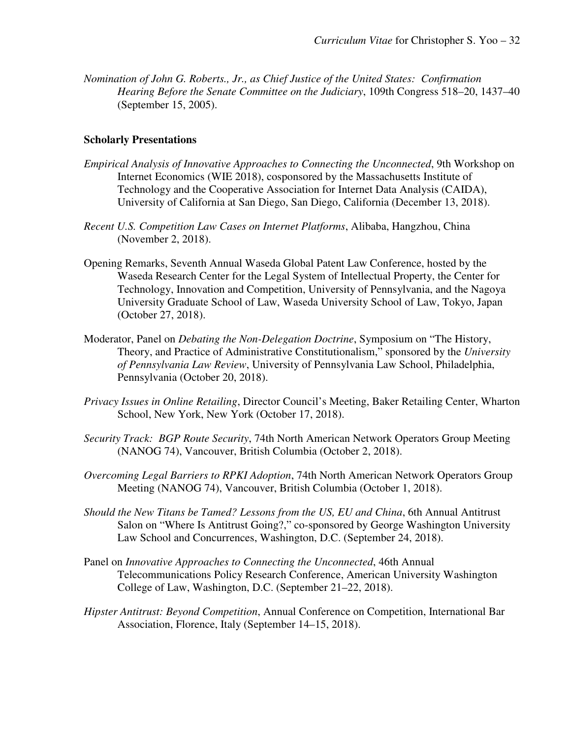*Nomination of John G. Roberts., Jr., as Chief Justice of the United States: Confirmation Hearing Before the Senate Committee on the Judiciary*, 109th Congress 518–20, 1437–40 (September 15, 2005).

#### **Scholarly Presentations**

- *Empirical Analysis of Innovative Approaches to Connecting the Unconnected*, 9th Workshop on Internet Economics (WIE 2018), cosponsored by the Massachusetts Institute of Technology and the Cooperative Association for Internet Data Analysis (CAIDA), University of California at San Diego, San Diego, California (December 13, 2018).
- *Recent U.S. Competition Law Cases on Internet Platforms*, Alibaba, Hangzhou, China (November 2, 2018).
- Opening Remarks, Seventh Annual Waseda Global Patent Law Conference, hosted by the Waseda Research Center for the Legal System of Intellectual Property, the Center for Technology, Innovation and Competition, University of Pennsylvania, and the Nagoya University Graduate School of Law, Waseda University School of Law, Tokyo, Japan (October 27, 2018).
- Moderator, Panel on *Debating the Non-Delegation Doctrine*, Symposium on "The History, Theory, and Practice of Administrative Constitutionalism," sponsored by the *University of Pennsylvania Law Review*, University of Pennsylvania Law School, Philadelphia, Pennsylvania (October 20, 2018).
- *Privacy Issues in Online Retailing*, Director Council's Meeting, Baker Retailing Center, Wharton School, New York, New York (October 17, 2018).
- *Security Track: BGP Route Security*, 74th North American Network Operators Group Meeting (NANOG 74), Vancouver, British Columbia (October 2, 2018).
- *Overcoming Legal Barriers to RPKI Adoption*, 74th North American Network Operators Group Meeting (NANOG 74), Vancouver, British Columbia (October 1, 2018).
- *Should the New Titans be Tamed? Lessons from the US, EU and China*, 6th Annual Antitrust Salon on "Where Is Antitrust Going?," co-sponsored by George Washington University Law School and Concurrences, Washington, D.C. (September 24, 2018).
- Panel on *Innovative Approaches to Connecting the Unconnected*, 46th Annual Telecommunications Policy Research Conference, American University Washington College of Law, Washington, D.C. (September 21–22, 2018).
- *Hipster Antitrust: Beyond Competition*, Annual Conference on Competition, International Bar Association, Florence, Italy (September 14–15, 2018).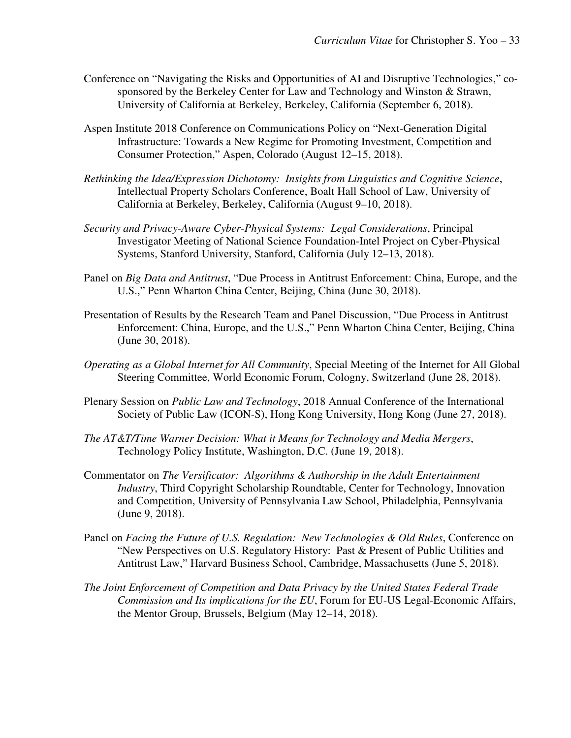- Conference on "Navigating the Risks and Opportunities of AI and Disruptive Technologies," cosponsored by the Berkeley Center for Law and Technology and Winston & Strawn, University of California at Berkeley, Berkeley, California (September 6, 2018).
- Aspen Institute 2018 Conference on Communications Policy on "Next-Generation Digital Infrastructure: Towards a New Regime for Promoting Investment, Competition and Consumer Protection," Aspen, Colorado (August 12–15, 2018).
- *Rethinking the Idea/Expression Dichotomy: Insights from Linguistics and Cognitive Science*, Intellectual Property Scholars Conference, Boalt Hall School of Law, University of California at Berkeley, Berkeley, California (August 9–10, 2018).
- *Security and Privacy-Aware Cyber-Physical Systems: Legal Considerations*, Principal Investigator Meeting of National Science Foundation-Intel Project on Cyber-Physical Systems, Stanford University, Stanford, California (July 12–13, 2018).
- Panel on *Big Data and Antitrust*, "Due Process in Antitrust Enforcement: China, Europe, and the U.S.," Penn Wharton China Center, Beijing, China (June 30, 2018).
- Presentation of Results by the Research Team and Panel Discussion, "Due Process in Antitrust Enforcement: China, Europe, and the U.S.," Penn Wharton China Center, Beijing, China (June 30, 2018).
- *Operating as a Global Internet for All Community*, Special Meeting of the Internet for All Global Steering Committee, World Economic Forum, Cologny, Switzerland (June 28, 2018).
- Plenary Session on *Public Law and Technology*, 2018 Annual Conference of the International Society of Public Law (ICON-S), Hong Kong University, Hong Kong (June 27, 2018).
- *The AT&T/Time Warner Decision: What it Means for Technology and Media Mergers*, Technology Policy Institute, Washington, D.C. (June 19, 2018).
- Commentator on *The Versificator: Algorithms & Authorship in the Adult Entertainment Industry*, Third Copyright Scholarship Roundtable, Center for Technology, Innovation and Competition, University of Pennsylvania Law School, Philadelphia, Pennsylvania (June 9, 2018).
- Panel on *Facing the Future of U.S. Regulation: New Technologies & Old Rules*, Conference on "New Perspectives on U.S. Regulatory History: Past & Present of Public Utilities and Antitrust Law," Harvard Business School, Cambridge, Massachusetts (June 5, 2018).
- *The Joint Enforcement of Competition and Data Privacy by the United States Federal Trade Commission and Its implications for the EU*, Forum for EU-US Legal-Economic Affairs, the Mentor Group, Brussels, Belgium (May 12–14, 2018).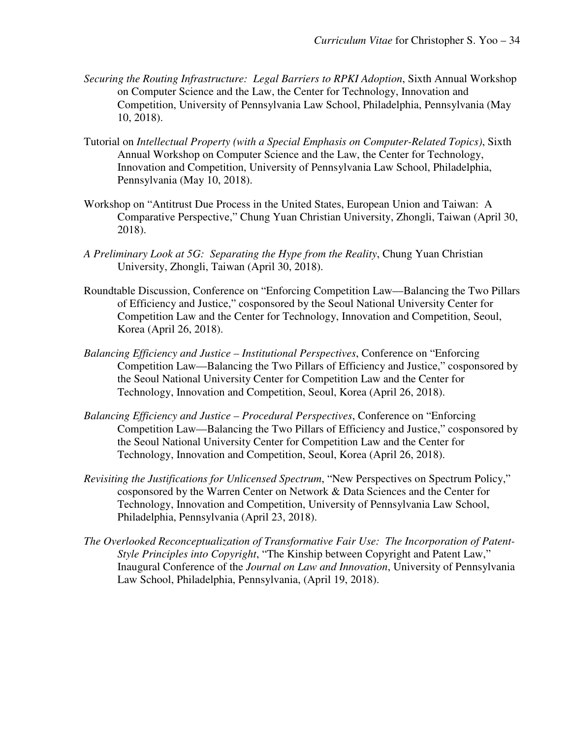- *Securing the Routing Infrastructure: Legal Barriers to RPKI Adoption*, Sixth Annual Workshop on Computer Science and the Law, the Center for Technology, Innovation and Competition, University of Pennsylvania Law School, Philadelphia, Pennsylvania (May 10, 2018).
- Tutorial on *Intellectual Property (with a Special Emphasis on Computer-Related Topics)*, Sixth Annual Workshop on Computer Science and the Law, the Center for Technology, Innovation and Competition, University of Pennsylvania Law School, Philadelphia, Pennsylvania (May 10, 2018).
- Workshop on "Antitrust Due Process in the United States, European Union and Taiwan: A Comparative Perspective," Chung Yuan Christian University, Zhongli, Taiwan (April 30, 2018).
- *A Preliminary Look at 5G: Separating the Hype from the Reality*, Chung Yuan Christian University, Zhongli, Taiwan (April 30, 2018).
- Roundtable Discussion, Conference on "Enforcing Competition Law—Balancing the Two Pillars of Efficiency and Justice," cosponsored by the Seoul National University Center for Competition Law and the Center for Technology, Innovation and Competition, Seoul, Korea (April 26, 2018).
- *Balancing Efficiency and Justice Institutional Perspectives*, Conference on "Enforcing Competition Law—Balancing the Two Pillars of Efficiency and Justice," cosponsored by the Seoul National University Center for Competition Law and the Center for Technology, Innovation and Competition, Seoul, Korea (April 26, 2018).
- *Balancing Efficiency and Justice Procedural Perspectives*, Conference on "Enforcing Competition Law—Balancing the Two Pillars of Efficiency and Justice," cosponsored by the Seoul National University Center for Competition Law and the Center for Technology, Innovation and Competition, Seoul, Korea (April 26, 2018).
- *Revisiting the Justifications for Unlicensed Spectrum*, "New Perspectives on Spectrum Policy," cosponsored by the Warren Center on Network & Data Sciences and the Center for Technology, Innovation and Competition, University of Pennsylvania Law School, Philadelphia, Pennsylvania (April 23, 2018).
- *The Overlooked Reconceptualization of Transformative Fair Use: The Incorporation of Patent-Style Principles into Copyright*, "The Kinship between Copyright and Patent Law," Inaugural Conference of the *Journal on Law and Innovation*, University of Pennsylvania Law School, Philadelphia, Pennsylvania, (April 19, 2018).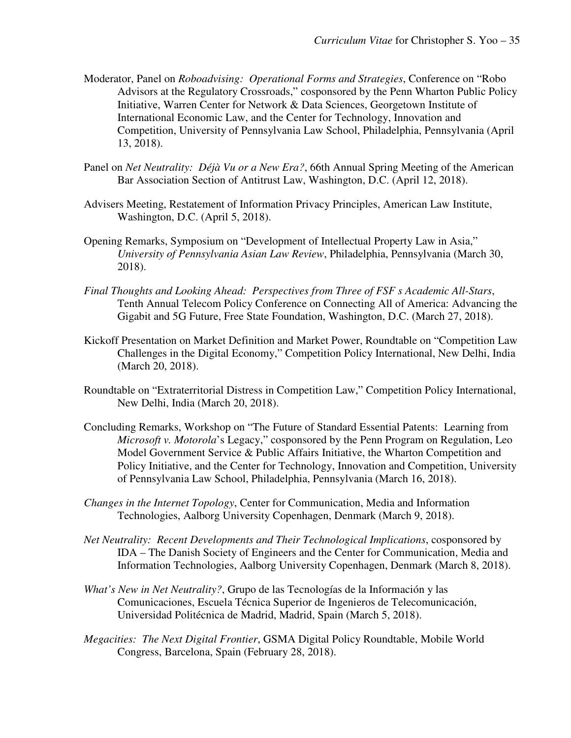- Moderator, Panel on *Roboadvising: Operational Forms and Strategies*, Conference on "Robo Advisors at the Regulatory Crossroads," cosponsored by the Penn Wharton Public Policy Initiative, Warren Center for Network & Data Sciences, Georgetown Institute of International Economic Law, and the Center for Technology, Innovation and Competition, University of Pennsylvania Law School, Philadelphia, Pennsylvania (April 13, 2018).
- Panel on *Net Neutrality: Déjà Vu or a New Era?*, 66th Annual Spring Meeting of the American Bar Association Section of Antitrust Law, Washington, D.C. (April 12, 2018).
- Advisers Meeting, Restatement of Information Privacy Principles, American Law Institute, Washington, D.C. (April 5, 2018).
- Opening Remarks, Symposium on "Development of Intellectual Property Law in Asia," *University of Pennsylvania Asian Law Review*, Philadelphia, Pennsylvania (March 30, 2018).
- *Final Thoughts and Looking Ahead: Perspectives from Three of FSF s Academic All-Stars*, Tenth Annual Telecom Policy Conference on Connecting All of America: Advancing the Gigabit and 5G Future, Free State Foundation, Washington, D.C. (March 27, 2018).
- Kickoff Presentation on Market Definition and Market Power, Roundtable on "Competition Law Challenges in the Digital Economy," Competition Policy International, New Delhi, India (March 20, 2018).
- Roundtable on "Extraterritorial Distress in Competition Law," Competition Policy International, New Delhi, India (March 20, 2018).
- Concluding Remarks, Workshop on "The Future of Standard Essential Patents: Learning from *Microsoft v. Motorola*'s Legacy," cosponsored by the Penn Program on Regulation, Leo Model Government Service & Public Affairs Initiative, the Wharton Competition and Policy Initiative, and the Center for Technology, Innovation and Competition, University of Pennsylvania Law School, Philadelphia, Pennsylvania (March 16, 2018).
- *Changes in the Internet Topology*, Center for Communication, Media and Information Technologies, Aalborg University Copenhagen, Denmark (March 9, 2018).
- *Net Neutrality: Recent Developments and Their Technological Implications*, cosponsored by IDA – The Danish Society of Engineers and the Center for Communication, Media and Information Technologies, Aalborg University Copenhagen, Denmark (March 8, 2018).
- *What's New in Net Neutrality?*, Grupo de las Tecnologías de la Información y las Comunicaciones, Escuela Técnica Superior de Ingenieros de Telecomunicación, Universidad Politécnica de Madrid, Madrid, Spain (March 5, 2018).
- *Megacities: The Next Digital Frontier*, GSMA Digital Policy Roundtable, Mobile World Congress, Barcelona, Spain (February 28, 2018).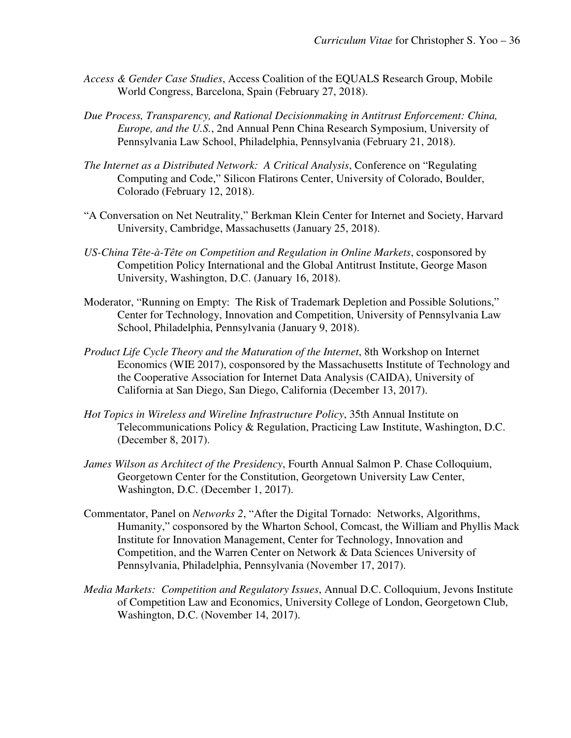- *Access & Gender Case Studies*, Access Coalition of the EQUALS Research Group, Mobile World Congress, Barcelona, Spain (February 27, 2018).
- *Due Process, Transparency, and Rational Decisionmaking in Antitrust Enforcement: China, Europe, and the U.S.*, 2nd Annual Penn China Research Symposium, University of Pennsylvania Law School, Philadelphia, Pennsylvania (February 21, 2018).
- *The Internet as a Distributed Network: A Critical Analysis*, Conference on "Regulating Computing and Code," Silicon Flatirons Center, University of Colorado, Boulder, Colorado (February 12, 2018).
- "A Conversation on Net Neutrality," Berkman Klein Center for Internet and Society, Harvard University, Cambridge, Massachusetts (January 25, 2018).
- *US-China Tête-à-Tête on Competition and Regulation in Online Markets*, cosponsored by Competition Policy International and the Global Antitrust Institute, George Mason University, Washington, D.C. (January 16, 2018).
- Moderator, "Running on Empty: The Risk of Trademark Depletion and Possible Solutions," Center for Technology, Innovation and Competition, University of Pennsylvania Law School, Philadelphia, Pennsylvania (January 9, 2018).
- *Product Life Cycle Theory and the Maturation of the Internet*, 8th Workshop on Internet Economics (WIE 2017), cosponsored by the Massachusetts Institute of Technology and the Cooperative Association for Internet Data Analysis (CAIDA), University of California at San Diego, San Diego, California (December 13, 2017).
- *Hot Topics in Wireless and Wireline Infrastructure Policy*, 35th Annual Institute on Telecommunications Policy & Regulation, Practicing Law Institute, Washington, D.C. (December 8, 2017).
- *James Wilson as Architect of the Presidency*, Fourth Annual Salmon P. Chase Colloquium, Georgetown Center for the Constitution, Georgetown University Law Center, Washington, D.C. (December 1, 2017).
- Commentator, Panel on *Networks 2*, "After the Digital Tornado: Networks, Algorithms, Humanity," cosponsored by the Wharton School, Comcast, the William and Phyllis Mack Institute for Innovation Management, Center for Technology, Innovation and Competition, and the Warren Center on Network & Data Sciences University of Pennsylvania, Philadelphia, Pennsylvania (November 17, 2017).
- *Media Markets: Competition and Regulatory Issues*, Annual D.C. Colloquium, Jevons Institute of Competition Law and Economics, University College of London, Georgetown Club, Washington, D.C. (November 14, 2017).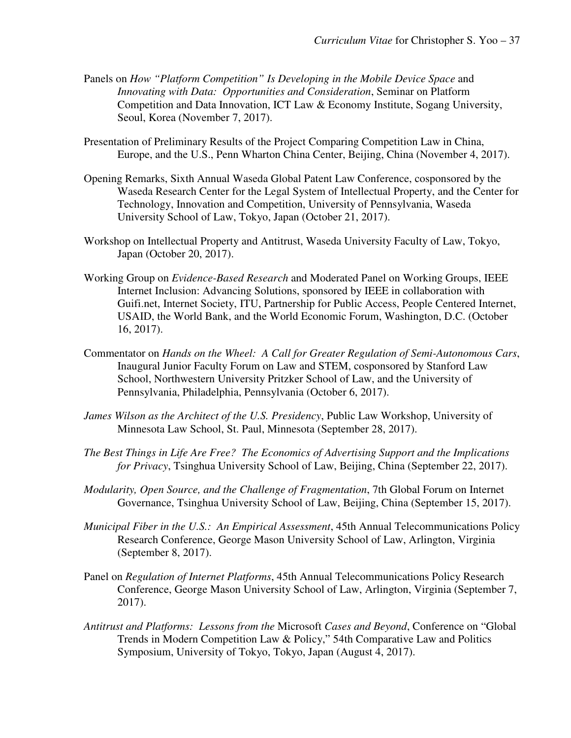- Panels on *How "Platform Competition" Is Developing in the Mobile Device Space* and *Innovating with Data: Opportunities and Consideration*, Seminar on Platform Competition and Data Innovation, ICT Law & Economy Institute, Sogang University, Seoul, Korea (November 7, 2017).
- Presentation of Preliminary Results of the Project Comparing Competition Law in China, Europe, and the U.S., Penn Wharton China Center, Beijing, China (November 4, 2017).
- Opening Remarks, Sixth Annual Waseda Global Patent Law Conference, cosponsored by the Waseda Research Center for the Legal System of Intellectual Property, and the Center for Technology, Innovation and Competition, University of Pennsylvania, Waseda University School of Law, Tokyo, Japan (October 21, 2017).
- Workshop on Intellectual Property and Antitrust, Waseda University Faculty of Law, Tokyo, Japan (October 20, 2017).
- Working Group on *Evidence-Based Research* and Moderated Panel on Working Groups, IEEE Internet Inclusion: Advancing Solutions, sponsored by IEEE in collaboration with Guifi.net, Internet Society, ITU, Partnership for Public Access, People Centered Internet, USAID, the World Bank, and the World Economic Forum, Washington, D.C. (October 16, 2017).
- Commentator on *Hands on the Wheel: A Call for Greater Regulation of Semi-Autonomous Cars*, Inaugural Junior Faculty Forum on Law and STEM, cosponsored by Stanford Law School, Northwestern University Pritzker School of Law, and the University of Pennsylvania, Philadelphia, Pennsylvania (October 6, 2017).
- *James Wilson as the Architect of the U.S. Presidency*, Public Law Workshop, University of Minnesota Law School, St. Paul, Minnesota (September 28, 2017).
- *The Best Things in Life Are Free? The Economics of Advertising Support and the Implications for Privacy*, Tsinghua University School of Law, Beijing, China (September 22, 2017).
- *Modularity, Open Source, and the Challenge of Fragmentation*, 7th Global Forum on Internet Governance, Tsinghua University School of Law, Beijing, China (September 15, 2017).
- *Municipal Fiber in the U.S.: An Empirical Assessment*, 45th Annual Telecommunications Policy Research Conference, George Mason University School of Law, Arlington, Virginia (September 8, 2017).
- Panel on *Regulation of Internet Platforms*, 45th Annual Telecommunications Policy Research Conference, George Mason University School of Law, Arlington, Virginia (September 7, 2017).
- *Antitrust and Platforms: Lessons from the* Microsoft *Cases and Beyond*, Conference on "Global Trends in Modern Competition Law & Policy," 54th Comparative Law and Politics Symposium, University of Tokyo, Tokyo, Japan (August 4, 2017).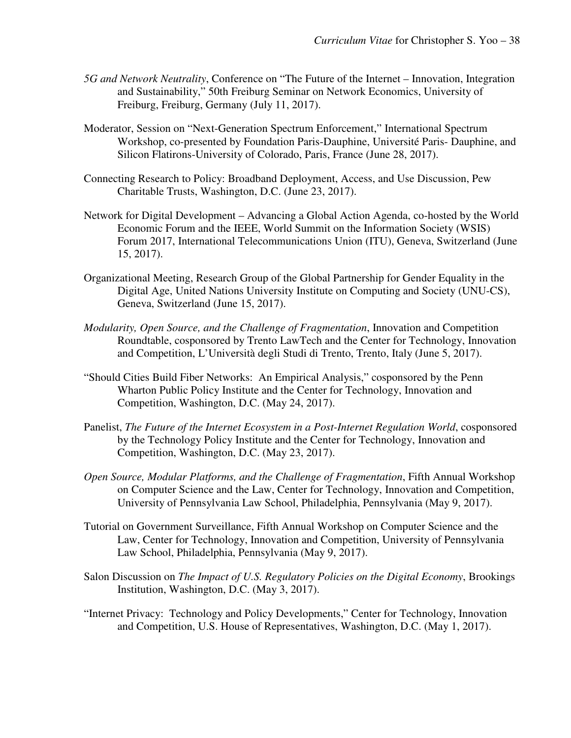- *5G and Network Neutrality*, Conference on "The Future of the Internet Innovation, Integration and Sustainability," 50th Freiburg Seminar on Network Economics, University of Freiburg, Freiburg, Germany (July 11, 2017).
- Moderator, Session on "Next-Generation Spectrum Enforcement," International Spectrum Workshop, co-presented by Foundation Paris-Dauphine, Université Paris- Dauphine, and Silicon Flatirons-University of Colorado, Paris, France (June 28, 2017).
- Connecting Research to Policy: Broadband Deployment, Access, and Use Discussion, Pew Charitable Trusts, Washington, D.C. (June 23, 2017).
- Network for Digital Development Advancing a Global Action Agenda, co-hosted by the World Economic Forum and the IEEE, World Summit on the Information Society (WSIS) Forum 2017, International Telecommunications Union (ITU), Geneva, Switzerland (June 15, 2017).
- Organizational Meeting, Research Group of the Global Partnership for Gender Equality in the Digital Age, United Nations University Institute on Computing and Society (UNU-CS), Geneva, Switzerland (June 15, 2017).
- *Modularity, Open Source, and the Challenge of Fragmentation*, Innovation and Competition Roundtable, cosponsored by Trento LawTech and the Center for Technology, Innovation and Competition, L'Università degli Studi di Trento, Trento, Italy (June 5, 2017).
- "Should Cities Build Fiber Networks: An Empirical Analysis," cosponsored by the Penn Wharton Public Policy Institute and the Center for Technology, Innovation and Competition, Washington, D.C. (May 24, 2017).
- Panelist, *The Future of the Internet Ecosystem in a Post-Internet Regulation World*, cosponsored by the Technology Policy Institute and the Center for Technology, Innovation and Competition, Washington, D.C. (May 23, 2017).
- *Open Source, Modular Platforms, and the Challenge of Fragmentation*, Fifth Annual Workshop on Computer Science and the Law, Center for Technology, Innovation and Competition, University of Pennsylvania Law School, Philadelphia, Pennsylvania (May 9, 2017).
- Tutorial on Government Surveillance, Fifth Annual Workshop on Computer Science and the Law, Center for Technology, Innovation and Competition, University of Pennsylvania Law School, Philadelphia, Pennsylvania (May 9, 2017).
- Salon Discussion on *The Impact of U.S. Regulatory Policies on the Digital Economy*, Brookings Institution, Washington, D.C. (May 3, 2017).
- "Internet Privacy: Technology and Policy Developments," Center for Technology, Innovation and Competition, U.S. House of Representatives, Washington, D.C. (May 1, 2017).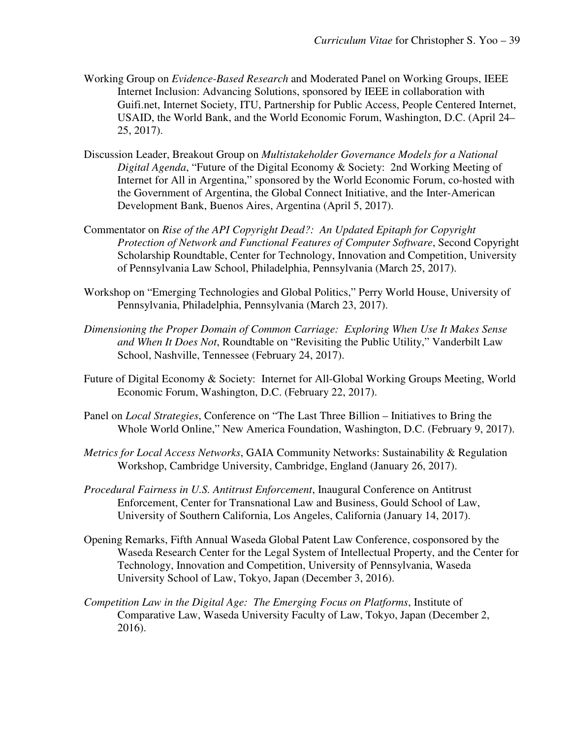- Working Group on *Evidence-Based Research* and Moderated Panel on Working Groups, IEEE Internet Inclusion: Advancing Solutions, sponsored by IEEE in collaboration with Guifi.net, Internet Society, ITU, Partnership for Public Access, People Centered Internet, USAID, the World Bank, and the World Economic Forum, Washington, D.C. (April 24– 25, 2017).
- Discussion Leader, Breakout Group on *Multistakeholder Governance Models for a National Digital Agenda*, "Future of the Digital Economy & Society: 2nd Working Meeting of Internet for All in Argentina," sponsored by the World Economic Forum, co-hosted with the Government of Argentina, the Global Connect Initiative, and the Inter-American Development Bank, Buenos Aires, Argentina (April 5, 2017).
- Commentator on *Rise of the API Copyright Dead?: An Updated Epitaph for Copyright Protection of Network and Functional Features of Computer Software*, Second Copyright Scholarship Roundtable, Center for Technology, Innovation and Competition, University of Pennsylvania Law School, Philadelphia, Pennsylvania (March 25, 2017).
- Workshop on "Emerging Technologies and Global Politics," Perry World House, University of Pennsylvania, Philadelphia, Pennsylvania (March 23, 2017).
- *Dimensioning the Proper Domain of Common Carriage: Exploring When Use It Makes Sense and When It Does Not*, Roundtable on "Revisiting the Public Utility," Vanderbilt Law School, Nashville, Tennessee (February 24, 2017).
- Future of Digital Economy & Society: Internet for All-Global Working Groups Meeting, World Economic Forum, Washington, D.C. (February 22, 2017).
- Panel on *Local Strategies*, Conference on "The Last Three Billion Initiatives to Bring the Whole World Online," New America Foundation, Washington, D.C. (February 9, 2017).
- *Metrics for Local Access Networks*, GAIA Community Networks: Sustainability & Regulation Workshop, Cambridge University, Cambridge, England (January 26, 2017).
- *Procedural Fairness in U.S. Antitrust Enforcement*, Inaugural Conference on Antitrust Enforcement, Center for Transnational Law and Business, Gould School of Law, University of Southern California, Los Angeles, California (January 14, 2017).
- Opening Remarks, Fifth Annual Waseda Global Patent Law Conference, cosponsored by the Waseda Research Center for the Legal System of Intellectual Property, and the Center for Technology, Innovation and Competition, University of Pennsylvania, Waseda University School of Law, Tokyo, Japan (December 3, 2016).
- *Competition Law in the Digital Age: The Emerging Focus on Platforms*, Institute of Comparative Law, Waseda University Faculty of Law, Tokyo, Japan (December 2, 2016).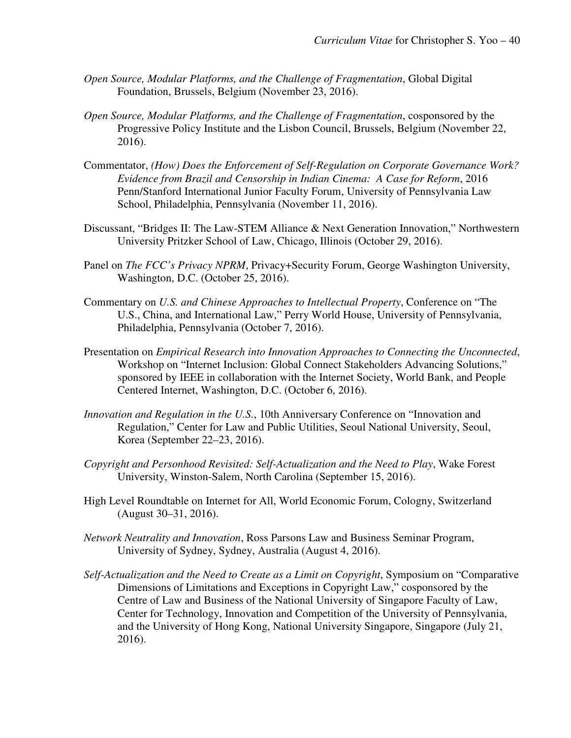- *Open Source, Modular Platforms, and the Challenge of Fragmentation*, Global Digital Foundation, Brussels, Belgium (November 23, 2016).
- *Open Source, Modular Platforms, and the Challenge of Fragmentation*, cosponsored by the Progressive Policy Institute and the Lisbon Council, Brussels, Belgium (November 22, 2016).
- Commentator, *(How) Does the Enforcement of Self-Regulation on Corporate Governance Work? Evidence from Brazil and Censorship in Indian Cinema: A Case for Reform*, 2016 Penn/Stanford International Junior Faculty Forum, University of Pennsylvania Law School, Philadelphia, Pennsylvania (November 11, 2016).
- Discussant, "Bridges II: The Law-STEM Alliance & Next Generation Innovation," Northwestern University Pritzker School of Law, Chicago, Illinois (October 29, 2016).
- Panel on *The FCC's Privacy NPRM*, Privacy+Security Forum, George Washington University, Washington, D.C. (October 25, 2016).
- Commentary on *U.S. and Chinese Approaches to Intellectual Property*, Conference on "The U.S., China, and International Law," Perry World House, University of Pennsylvania, Philadelphia, Pennsylvania (October 7, 2016).
- Presentation on *Empirical Research into Innovation Approaches to Connecting the Unconnected*, Workshop on "Internet Inclusion: Global Connect Stakeholders Advancing Solutions," sponsored by IEEE in collaboration with the Internet Society, World Bank, and People Centered Internet, Washington, D.C. (October 6, 2016).
- *Innovation and Regulation in the U.S.*, 10th Anniversary Conference on "Innovation and Regulation," Center for Law and Public Utilities, Seoul National University, Seoul, Korea (September 22–23, 2016).
- *Copyright and Personhood Revisited: Self-Actualization and the Need to Play*, Wake Forest University, Winston-Salem, North Carolina (September 15, 2016).
- High Level Roundtable on Internet for All, World Economic Forum, Cologny, Switzerland (August 30–31, 2016).
- *Network Neutrality and Innovation*, Ross Parsons Law and Business Seminar Program, University of Sydney, Sydney, Australia (August 4, 2016).
- *Self-Actualization and the Need to Create as a Limit on Copyright*, Symposium on "Comparative Dimensions of Limitations and Exceptions in Copyright Law," cosponsored by the Centre of Law and Business of the National University of Singapore Faculty of Law, Center for Technology, Innovation and Competition of the University of Pennsylvania, and the University of Hong Kong, National University Singapore, Singapore (July 21, 2016).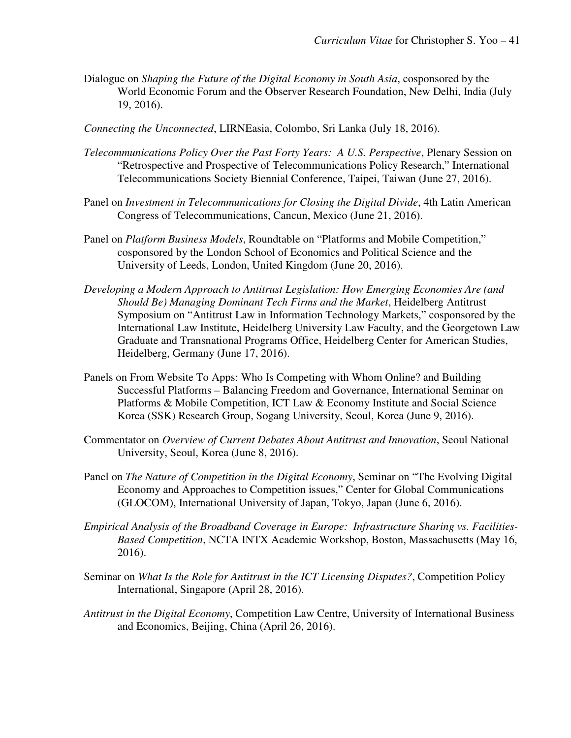Dialogue on *Shaping the Future of the Digital Economy in South Asia*, cosponsored by the World Economic Forum and the Observer Research Foundation, New Delhi, India (July 19, 2016).

*Connecting the Unconnected*, LIRNEasia, Colombo, Sri Lanka (July 18, 2016).

- *Telecommunications Policy Over the Past Forty Years: A U.S. Perspective*, Plenary Session on "Retrospective and Prospective of Telecommunications Policy Research," International Telecommunications Society Biennial Conference, Taipei, Taiwan (June 27, 2016).
- Panel on *Investment in Telecommunications for Closing the Digital Divide*, 4th Latin American Congress of Telecommunications, Cancun, Mexico (June 21, 2016).
- Panel on *Platform Business Models*, Roundtable on "Platforms and Mobile Competition," cosponsored by the London School of Economics and Political Science and the University of Leeds, London, United Kingdom (June 20, 2016).
- *Developing a Modern Approach to Antitrust Legislation: How Emerging Economies Are (and Should Be) Managing Dominant Tech Firms and the Market*, Heidelberg Antitrust Symposium on "Antitrust Law in Information Technology Markets," cosponsored by the International Law Institute, Heidelberg University Law Faculty, and the Georgetown Law Graduate and Transnational Programs Office, Heidelberg Center for American Studies, Heidelberg, Germany (June 17, 2016).
- Panels on From Website To Apps: Who Is Competing with Whom Online? and Building Successful Platforms – Balancing Freedom and Governance, International Seminar on Platforms & Mobile Competition, ICT Law & Economy Institute and Social Science Korea (SSK) Research Group, Sogang University, Seoul, Korea (June 9, 2016).
- Commentator on *Overview of Current Debates About Antitrust and Innovation*, Seoul National University, Seoul, Korea (June 8, 2016).
- Panel on *The Nature of Competition in the Digital Economy*, Seminar on "The Evolving Digital Economy and Approaches to Competition issues," Center for Global Communications (GLOCOM), International University of Japan, Tokyo, Japan (June 6, 2016).
- *Empirical Analysis of the Broadband Coverage in Europe: Infrastructure Sharing vs. Facilities-Based Competition*, NCTA INTX Academic Workshop, Boston, Massachusetts (May 16, 2016).
- Seminar on *What Is the Role for Antitrust in the ICT Licensing Disputes?*, Competition Policy International, Singapore (April 28, 2016).
- *Antitrust in the Digital Economy*, Competition Law Centre, University of International Business and Economics, Beijing, China (April 26, 2016).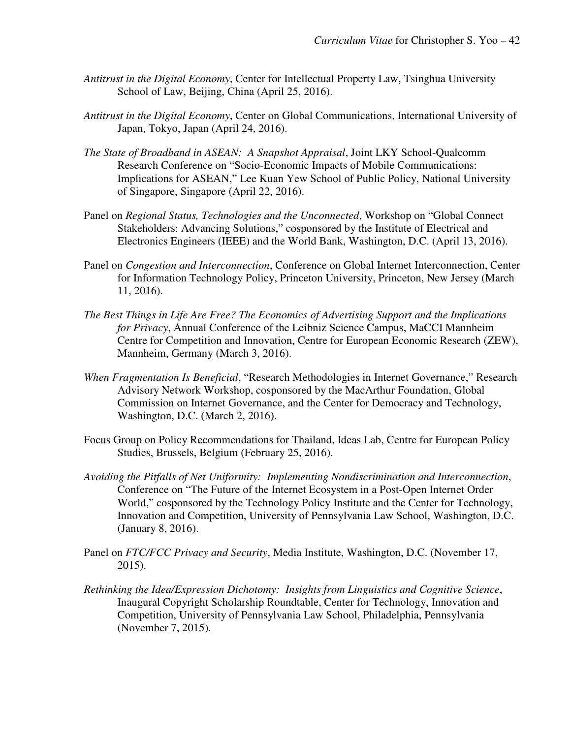- *Antitrust in the Digital Economy*, Center for Intellectual Property Law, Tsinghua University School of Law, Beijing, China (April 25, 2016).
- *Antitrust in the Digital Economy*, Center on Global Communications, International University of Japan, Tokyo, Japan (April 24, 2016).
- *The State of Broadband in ASEAN: A Snapshot Appraisal*, Joint LKY School-Qualcomm Research Conference on "Socio-Economic Impacts of Mobile Communications: Implications for ASEAN," Lee Kuan Yew School of Public Policy, National University of Singapore, Singapore (April 22, 2016).
- Panel on *Regional Status, Technologies and the Unconnected*, Workshop on "Global Connect Stakeholders: Advancing Solutions," cosponsored by the Institute of Electrical and Electronics Engineers (IEEE) and the World Bank, Washington, D.C. (April 13, 2016).
- Panel on *Congestion and Interconnection*, Conference on Global Internet Interconnection, Center for Information Technology Policy, Princeton University, Princeton, New Jersey (March 11, 2016).
- *The Best Things in Life Are Free? The Economics of Advertising Support and the Implications for Privacy*, Annual Conference of the Leibniz Science Campus, MaCCI Mannheim Centre for Competition and Innovation, Centre for European Economic Research (ZEW), Mannheim, Germany (March 3, 2016).
- *When Fragmentation Is Beneficial*, "Research Methodologies in Internet Governance," Research Advisory Network Workshop, cosponsored by the MacArthur Foundation, Global Commission on Internet Governance, and the Center for Democracy and Technology, Washington, D.C. (March 2, 2016).
- Focus Group on Policy Recommendations for Thailand, Ideas Lab, Centre for European Policy Studies, Brussels, Belgium (February 25, 2016).
- *Avoiding the Pitfalls of Net Uniformity: Implementing Nondiscrimination and Interconnection*, Conference on "The Future of the Internet Ecosystem in a Post-Open Internet Order World," cosponsored by the Technology Policy Institute and the Center for Technology, Innovation and Competition, University of Pennsylvania Law School, Washington, D.C. (January 8, 2016).
- Panel on *FTC/FCC Privacy and Security*, Media Institute, Washington, D.C. (November 17, 2015).
- *Rethinking the Idea/Expression Dichotomy: Insights from Linguistics and Cognitive Science*, Inaugural Copyright Scholarship Roundtable, Center for Technology, Innovation and Competition, University of Pennsylvania Law School, Philadelphia, Pennsylvania (November 7, 2015).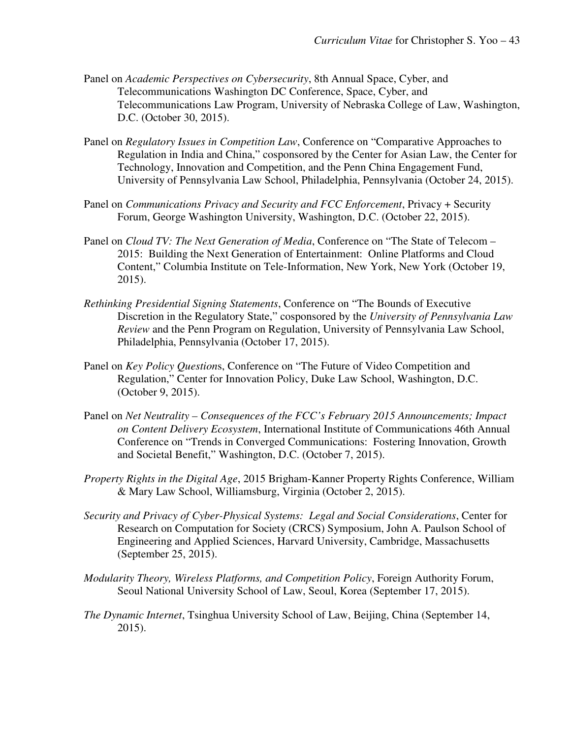- Panel on *Academic Perspectives on Cybersecurity*, 8th Annual Space, Cyber, and Telecommunications Washington DC Conference, Space, Cyber, and Telecommunications Law Program, University of Nebraska College of Law, Washington, D.C. (October 30, 2015).
- Panel on *Regulatory Issues in Competition Law*, Conference on "Comparative Approaches to Regulation in India and China," cosponsored by the Center for Asian Law, the Center for Technology, Innovation and Competition, and the Penn China Engagement Fund, University of Pennsylvania Law School, Philadelphia, Pennsylvania (October 24, 2015).
- Panel on *Communications Privacy and Security and FCC Enforcement*, Privacy + Security Forum, George Washington University, Washington, D.C. (October 22, 2015).
- Panel on *Cloud TV: The Next Generation of Media*, Conference on "The State of Telecom 2015: Building the Next Generation of Entertainment: Online Platforms and Cloud Content," Columbia Institute on Tele-Information, New York, New York (October 19, 2015).
- *Rethinking Presidential Signing Statements*, Conference on "The Bounds of Executive Discretion in the Regulatory State," cosponsored by the *University of Pennsylvania Law Review* and the Penn Program on Regulation, University of Pennsylvania Law School, Philadelphia, Pennsylvania (October 17, 2015).
- Panel on *Key Policy Question*s, Conference on "The Future of Video Competition and Regulation," Center for Innovation Policy, Duke Law School, Washington, D.C. (October 9, 2015).
- Panel on *Net Neutrality Consequences of the FCC's February 2015 Announcements; Impact on Content Delivery Ecosystem*, International Institute of Communications 46th Annual Conference on "Trends in Converged Communications: Fostering Innovation, Growth and Societal Benefit," Washington, D.C. (October 7, 2015).
- *Property Rights in the Digital Age*, 2015 Brigham-Kanner Property Rights Conference, William & Mary Law School, Williamsburg, Virginia (October 2, 2015).
- *Security and Privacy of Cyber-Physical Systems: Legal and Social Considerations*, Center for Research on Computation for Society (CRCS) Symposium, John A. Paulson School of Engineering and Applied Sciences, Harvard University, Cambridge, Massachusetts (September 25, 2015).
- *Modularity Theory, Wireless Platforms, and Competition Policy*, Foreign Authority Forum, Seoul National University School of Law, Seoul, Korea (September 17, 2015).
- *The Dynamic Internet*, Tsinghua University School of Law, Beijing, China (September 14, 2015).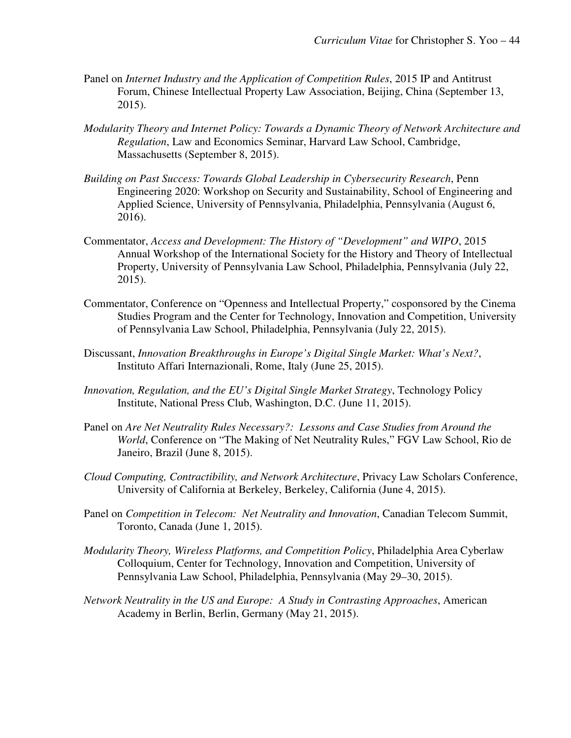- Panel on *Internet Industry and the Application of Competition Rules*, 2015 IP and Antitrust Forum, Chinese Intellectual Property Law Association, Beijing, China (September 13, 2015).
- *Modularity Theory and Internet Policy: Towards a Dynamic Theory of Network Architecture and Regulation*, Law and Economics Seminar, Harvard Law School, Cambridge, Massachusetts (September 8, 2015).
- *Building on Past Success: Towards Global Leadership in Cybersecurity Research*, Penn Engineering 2020: Workshop on Security and Sustainability, School of Engineering and Applied Science, University of Pennsylvania, Philadelphia, Pennsylvania (August 6, 2016).
- Commentator, *Access and Development: The History of "Development" and WIPO*, 2015 Annual Workshop of the International Society for the History and Theory of Intellectual Property, University of Pennsylvania Law School, Philadelphia, Pennsylvania (July 22, 2015).
- Commentator, Conference on "Openness and Intellectual Property," cosponsored by the Cinema Studies Program and the Center for Technology, Innovation and Competition, University of Pennsylvania Law School, Philadelphia, Pennsylvania (July 22, 2015).
- Discussant, *Innovation Breakthroughs in Europe's Digital Single Market: What's Next?*, Instituto Affari Internazionali, Rome, Italy (June 25, 2015).
- *Innovation, Regulation, and the EU's Digital Single Market Strategy*, Technology Policy Institute, National Press Club, Washington, D.C. (June 11, 2015).
- Panel on *Are Net Neutrality Rules Necessary?: Lessons and Case Studies from Around the World*, Conference on "The Making of Net Neutrality Rules," FGV Law School, Rio de Janeiro, Brazil (June 8, 2015).
- *Cloud Computing, Contractibility, and Network Architecture*, Privacy Law Scholars Conference, University of California at Berkeley, Berkeley, California (June 4, 2015).
- Panel on *Competition in Telecom: Net Neutrality and Innovation*, Canadian Telecom Summit, Toronto, Canada (June 1, 2015).
- *Modularity Theory, Wireless Platforms, and Competition Policy*, Philadelphia Area Cyberlaw Colloquium, Center for Technology, Innovation and Competition, University of Pennsylvania Law School, Philadelphia, Pennsylvania (May 29–30, 2015).
- *Network Neutrality in the US and Europe: A Study in Contrasting Approaches*, American Academy in Berlin, Berlin, Germany (May 21, 2015).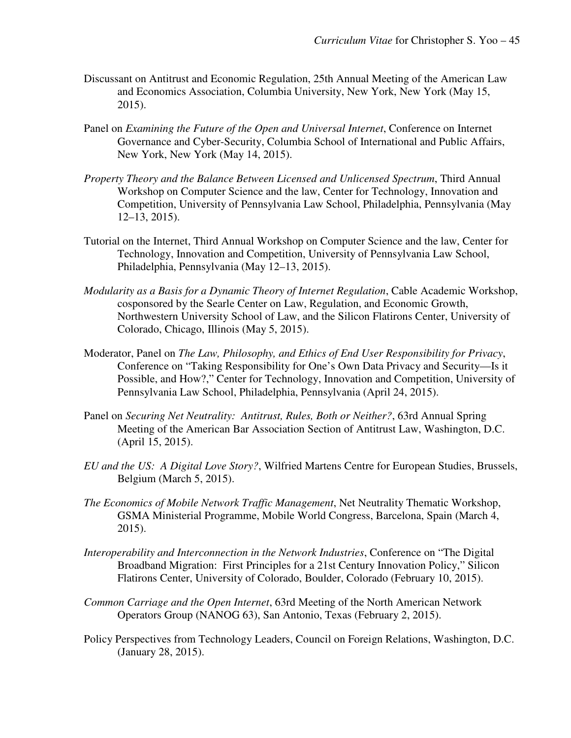- Discussant on Antitrust and Economic Regulation, 25th Annual Meeting of the American Law and Economics Association, Columbia University, New York, New York (May 15, 2015).
- Panel on *Examining the Future of the Open and Universal Internet*, Conference on Internet Governance and Cyber-Security, Columbia School of International and Public Affairs, New York, New York (May 14, 2015).
- *Property Theory and the Balance Between Licensed and Unlicensed Spectrum*, Third Annual Workshop on Computer Science and the law, Center for Technology, Innovation and Competition, University of Pennsylvania Law School, Philadelphia, Pennsylvania (May 12–13, 2015).
- Tutorial on the Internet, Third Annual Workshop on Computer Science and the law, Center for Technology, Innovation and Competition, University of Pennsylvania Law School, Philadelphia, Pennsylvania (May 12–13, 2015).
- *Modularity as a Basis for a Dynamic Theory of Internet Regulation*, Cable Academic Workshop, cosponsored by the Searle Center on Law, Regulation, and Economic Growth, Northwestern University School of Law, and the Silicon Flatirons Center, University of Colorado, Chicago, Illinois (May 5, 2015).
- Moderator, Panel on *The Law, Philosophy, and Ethics of End User Responsibility for Privacy*, Conference on "Taking Responsibility for One's Own Data Privacy and Security—Is it Possible, and How?," Center for Technology, Innovation and Competition, University of Pennsylvania Law School, Philadelphia, Pennsylvania (April 24, 2015).
- Panel on *Securing Net Neutrality: Antitrust, Rules, Both or Neither?*, 63rd Annual Spring Meeting of the American Bar Association Section of Antitrust Law, Washington, D.C. (April 15, 2015).
- *EU and the US: A Digital Love Story?*, Wilfried Martens Centre for European Studies, Brussels, Belgium (March 5, 2015).
- *The Economics of Mobile Network Traffic Management*, Net Neutrality Thematic Workshop, GSMA Ministerial Programme, Mobile World Congress, Barcelona, Spain (March 4, 2015).
- *Interoperability and Interconnection in the Network Industries*, Conference on "The Digital Broadband Migration: First Principles for a 21st Century Innovation Policy," Silicon Flatirons Center, University of Colorado, Boulder, Colorado (February 10, 2015).
- *Common Carriage and the Open Internet*, 63rd Meeting of the North American Network Operators Group (NANOG 63), San Antonio, Texas (February 2, 2015).
- Policy Perspectives from Technology Leaders, Council on Foreign Relations, Washington, D.C. (January 28, 2015).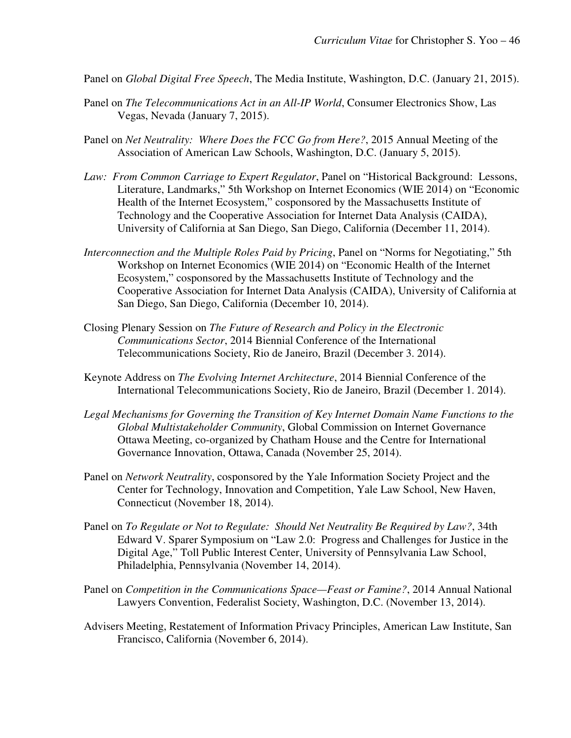- Panel on *Global Digital Free Speech*, The Media Institute, Washington, D.C. (January 21, 2015).
- Panel on *The Telecommunications Act in an All-IP World*, Consumer Electronics Show, Las Vegas, Nevada (January 7, 2015).
- Panel on *Net Neutrality: Where Does the FCC Go from Here?*, 2015 Annual Meeting of the Association of American Law Schools, Washington, D.C. (January 5, 2015).
- *Law: From Common Carriage to Expert Regulator*, Panel on "Historical Background: Lessons, Literature, Landmarks," 5th Workshop on Internet Economics (WIE 2014) on "Economic Health of the Internet Ecosystem," cosponsored by the Massachusetts Institute of Technology and the Cooperative Association for Internet Data Analysis (CAIDA), University of California at San Diego, San Diego, California (December 11, 2014).
- *Interconnection and the Multiple Roles Paid by Pricing*, Panel on "Norms for Negotiating," 5th Workshop on Internet Economics (WIE 2014) on "Economic Health of the Internet Ecosystem," cosponsored by the Massachusetts Institute of Technology and the Cooperative Association for Internet Data Analysis (CAIDA), University of California at San Diego, San Diego, California (December 10, 2014).
- Closing Plenary Session on *The Future of Research and Policy in the Electronic Communications Sector*, 2014 Biennial Conference of the International Telecommunications Society, Rio de Janeiro, Brazil (December 3. 2014).
- Keynote Address on *The Evolving Internet Architecture*, 2014 Biennial Conference of the International Telecommunications Society, Rio de Janeiro, Brazil (December 1. 2014).
- *Legal Mechanisms for Governing the Transition of Key Internet Domain Name Functions to the Global Multistakeholder Community*, Global Commission on Internet Governance Ottawa Meeting, co-organized by Chatham House and the Centre for International Governance Innovation, Ottawa, Canada (November 25, 2014).
- Panel on *Network Neutrality*, cosponsored by the Yale Information Society Project and the Center for Technology, Innovation and Competition, Yale Law School, New Haven, Connecticut (November 18, 2014).
- Panel on *To Regulate or Not to Regulate: Should Net Neutrality Be Required by Law?*, 34th Edward V. Sparer Symposium on "Law 2.0: Progress and Challenges for Justice in the Digital Age," Toll Public Interest Center, University of Pennsylvania Law School, Philadelphia, Pennsylvania (November 14, 2014).
- Panel on *Competition in the Communications Space—Feast or Famine?*, 2014 Annual National Lawyers Convention, Federalist Society, Washington, D.C. (November 13, 2014).
- Advisers Meeting, Restatement of Information Privacy Principles, American Law Institute, San Francisco, California (November 6, 2014).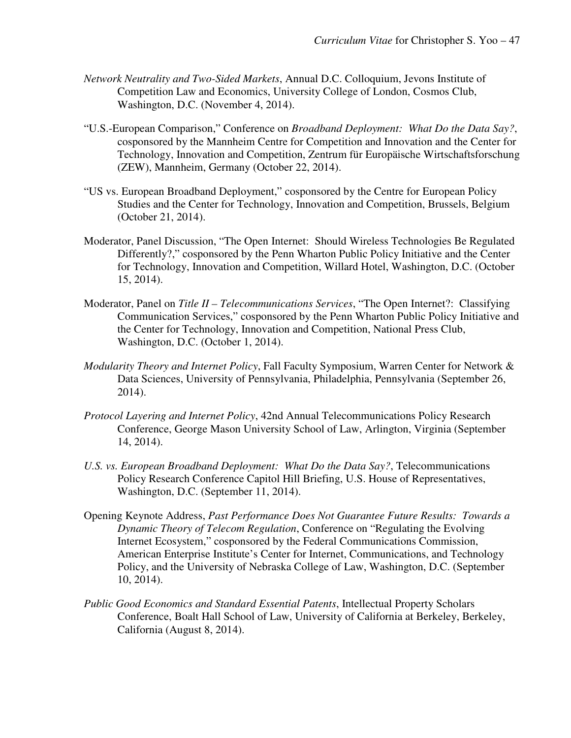- *Network Neutrality and Two-Sided Markets*, Annual D.C. Colloquium, Jevons Institute of Competition Law and Economics, University College of London, Cosmos Club, Washington, D.C. (November 4, 2014).
- "U.S.-European Comparison," Conference on *Broadband Deployment: What Do the Data Say?*, cosponsored by the Mannheim Centre for Competition and Innovation and the Center for Technology, Innovation and Competition, Zentrum für Europäische Wirtschaftsforschung (ZEW), Mannheim, Germany (October 22, 2014).
- "US vs. European Broadband Deployment," cosponsored by the Centre for European Policy Studies and the Center for Technology, Innovation and Competition, Brussels, Belgium (October 21, 2014).
- Moderator, Panel Discussion, "The Open Internet: Should Wireless Technologies Be Regulated Differently?," cosponsored by the Penn Wharton Public Policy Initiative and the Center for Technology, Innovation and Competition, Willard Hotel, Washington, D.C. (October 15, 2014).
- Moderator, Panel on *Title II Telecommunications Services*, "The Open Internet?: Classifying Communication Services," cosponsored by the Penn Wharton Public Policy Initiative and the Center for Technology, Innovation and Competition, National Press Club, Washington, D.C. (October 1, 2014).
- *Modularity Theory and Internet Policy*, Fall Faculty Symposium, Warren Center for Network & Data Sciences, University of Pennsylvania, Philadelphia, Pennsylvania (September 26, 2014).
- *Protocol Layering and Internet Policy*, 42nd Annual Telecommunications Policy Research Conference, George Mason University School of Law, Arlington, Virginia (September 14, 2014).
- *U.S. vs. European Broadband Deployment: What Do the Data Say?*, Telecommunications Policy Research Conference Capitol Hill Briefing, U.S. House of Representatives, Washington, D.C. (September 11, 2014).
- Opening Keynote Address, *Past Performance Does Not Guarantee Future Results: Towards a Dynamic Theory of Telecom Regulation*, Conference on "Regulating the Evolving Internet Ecosystem," cosponsored by the Federal Communications Commission, American Enterprise Institute's Center for Internet, Communications, and Technology Policy, and the University of Nebraska College of Law, Washington, D.C. (September 10, 2014).
- *Public Good Economics and Standard Essential Patents*, Intellectual Property Scholars Conference, Boalt Hall School of Law, University of California at Berkeley, Berkeley, California (August 8, 2014).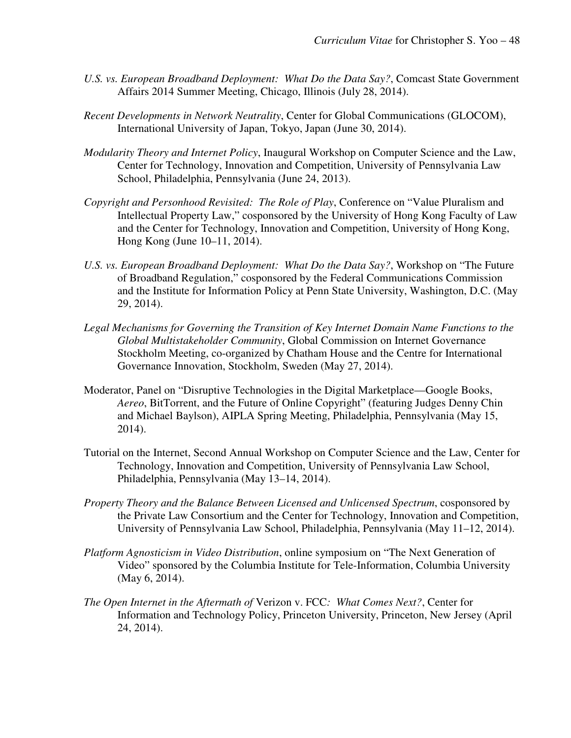- *U.S. vs. European Broadband Deployment: What Do the Data Say?*, Comcast State Government Affairs 2014 Summer Meeting, Chicago, Illinois (July 28, 2014).
- *Recent Developments in Network Neutrality*, Center for Global Communications (GLOCOM), International University of Japan, Tokyo, Japan (June 30, 2014).
- *Modularity Theory and Internet Policy*, Inaugural Workshop on Computer Science and the Law, Center for Technology, Innovation and Competition, University of Pennsylvania Law School, Philadelphia, Pennsylvania (June 24, 2013).
- *Copyright and Personhood Revisited: The Role of Play*, Conference on "Value Pluralism and Intellectual Property Law," cosponsored by the University of Hong Kong Faculty of Law and the Center for Technology, Innovation and Competition, University of Hong Kong, Hong Kong (June 10–11, 2014).
- *U.S. vs. European Broadband Deployment: What Do the Data Say?*, Workshop on "The Future of Broadband Regulation," cosponsored by the Federal Communications Commission and the Institute for Information Policy at Penn State University, Washington, D.C. (May 29, 2014).
- *Legal Mechanisms for Governing the Transition of Key Internet Domain Name Functions to the Global Multistakeholder Community*, Global Commission on Internet Governance Stockholm Meeting, co-organized by Chatham House and the Centre for International Governance Innovation, Stockholm, Sweden (May 27, 2014).
- Moderator, Panel on "Disruptive Technologies in the Digital Marketplace—Google Books, *Aereo*, BitTorrent, and the Future of Online Copyright" (featuring Judges Denny Chin and Michael Baylson), AIPLA Spring Meeting, Philadelphia, Pennsylvania (May 15, 2014).
- Tutorial on the Internet, Second Annual Workshop on Computer Science and the Law, Center for Technology, Innovation and Competition, University of Pennsylvania Law School, Philadelphia, Pennsylvania (May 13–14, 2014).
- *Property Theory and the Balance Between Licensed and Unlicensed Spectrum*, cosponsored by the Private Law Consortium and the Center for Technology, Innovation and Competition, University of Pennsylvania Law School, Philadelphia, Pennsylvania (May 11–12, 2014).
- *Platform Agnosticism in Video Distribution*, online symposium on "The Next Generation of Video" sponsored by the Columbia Institute for Tele-Information, Columbia University (May 6, 2014).
- *The Open Internet in the Aftermath of* Verizon v. FCC*: What Comes Next?*, Center for Information and Technology Policy, Princeton University, Princeton, New Jersey (April 24, 2014).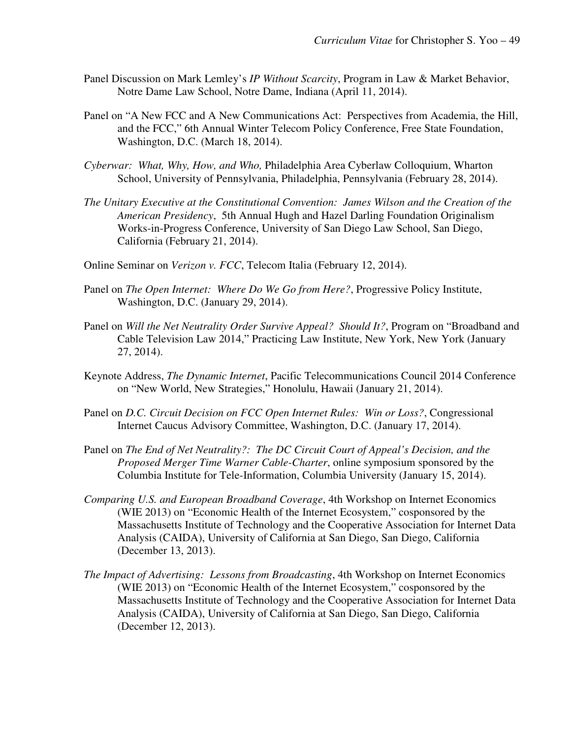- Panel Discussion on Mark Lemley's *IP Without Scarcity*, Program in Law & Market Behavior, Notre Dame Law School, Notre Dame, Indiana (April 11, 2014).
- Panel on "A New FCC and A New Communications Act: Perspectives from Academia, the Hill, and the FCC," 6th Annual Winter Telecom Policy Conference, Free State Foundation, Washington, D.C. (March 18, 2014).
- *Cyberwar: What, Why, How, and Who,* Philadelphia Area Cyberlaw Colloquium, Wharton School, University of Pennsylvania, Philadelphia, Pennsylvania (February 28, 2014).
- *The Unitary Executive at the Constitutional Convention: James Wilson and the Creation of the American Presidency*, 5th Annual Hugh and Hazel Darling Foundation Originalism Works-in-Progress Conference, University of San Diego Law School, San Diego, California (February 21, 2014).
- Online Seminar on *Verizon v. FCC*, Telecom Italia (February 12, 2014).
- Panel on *The Open Internet: Where Do We Go from Here?*, Progressive Policy Institute, Washington, D.C. (January 29, 2014).
- Panel on *Will the Net Neutrality Order Survive Appeal? Should It?*, Program on "Broadband and Cable Television Law 2014," Practicing Law Institute, New York, New York (January 27, 2014).
- Keynote Address, *The Dynamic Internet*, Pacific Telecommunications Council 2014 Conference on "New World, New Strategies," Honolulu, Hawaii (January 21, 2014).
- Panel on *D.C. Circuit Decision on FCC Open Internet Rules: Win or Loss?*, Congressional Internet Caucus Advisory Committee, Washington, D.C. (January 17, 2014).
- Panel on *The End of Net Neutrality?: The DC Circuit Court of Appeal's Decision, and the Proposed Merger Time Warner Cable-Charter*, online symposium sponsored by the Columbia Institute for Tele-Information, Columbia University (January 15, 2014).
- *Comparing U.S. and European Broadband Coverage*, 4th Workshop on Internet Economics (WIE 2013) on "Economic Health of the Internet Ecosystem," cosponsored by the Massachusetts Institute of Technology and the Cooperative Association for Internet Data Analysis (CAIDA), University of California at San Diego, San Diego, California (December 13, 2013).
- *The Impact of Advertising: Lessons from Broadcasting*, 4th Workshop on Internet Economics (WIE 2013) on "Economic Health of the Internet Ecosystem," cosponsored by the Massachusetts Institute of Technology and the Cooperative Association for Internet Data Analysis (CAIDA), University of California at San Diego, San Diego, California (December 12, 2013).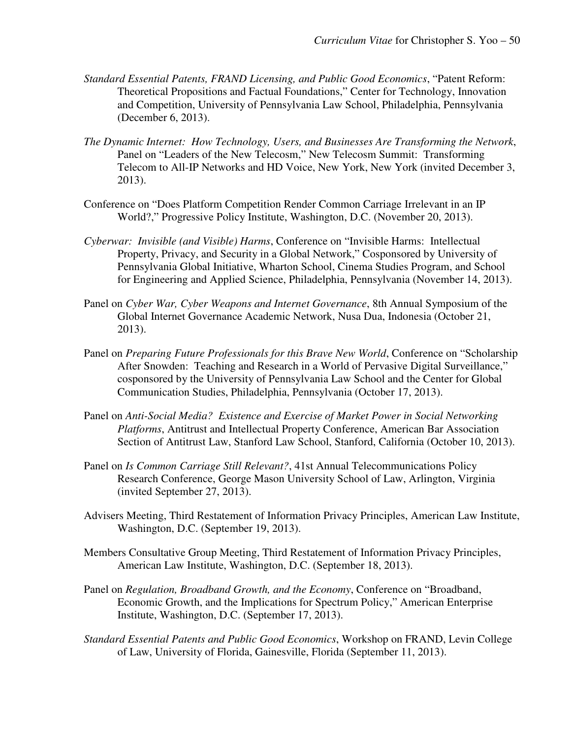- *Standard Essential Patents, FRAND Licensing, and Public Good Economics*, "Patent Reform: Theoretical Propositions and Factual Foundations," Center for Technology, Innovation and Competition, University of Pennsylvania Law School, Philadelphia, Pennsylvania (December 6, 2013).
- *The Dynamic Internet: How Technology, Users, and Businesses Are Transforming the Network*, Panel on "Leaders of the New Telecosm," New Telecosm Summit: Transforming Telecom to All-IP Networks and HD Voice, New York, New York (invited December 3, 2013).
- Conference on "Does Platform Competition Render Common Carriage Irrelevant in an IP World?," Progressive Policy Institute, Washington, D.C. (November 20, 2013).
- *Cyberwar: Invisible (and Visible) Harms*, Conference on "Invisible Harms: Intellectual Property, Privacy, and Security in a Global Network," Cosponsored by University of Pennsylvania Global Initiative, Wharton School, Cinema Studies Program, and School for Engineering and Applied Science, Philadelphia, Pennsylvania (November 14, 2013).
- Panel on *Cyber War, Cyber Weapons and Internet Governance*, 8th Annual Symposium of the Global Internet Governance Academic Network, Nusa Dua, Indonesia (October 21, 2013).
- Panel on *Preparing Future Professionals for this Brave New World*, Conference on "Scholarship After Snowden: Teaching and Research in a World of Pervasive Digital Surveillance," cosponsored by the University of Pennsylvania Law School and the Center for Global Communication Studies, Philadelphia, Pennsylvania (October 17, 2013).
- Panel on *Anti-Social Media? Existence and Exercise of Market Power in Social Networking Platforms*, Antitrust and Intellectual Property Conference, American Bar Association Section of Antitrust Law, Stanford Law School, Stanford, California (October 10, 2013).
- Panel on *Is Common Carriage Still Relevant?*, 41st Annual Telecommunications Policy Research Conference, George Mason University School of Law, Arlington, Virginia (invited September 27, 2013).
- Advisers Meeting, Third Restatement of Information Privacy Principles, American Law Institute, Washington, D.C. (September 19, 2013).
- Members Consultative Group Meeting, Third Restatement of Information Privacy Principles, American Law Institute, Washington, D.C. (September 18, 2013).
- Panel on *Regulation, Broadband Growth, and the Economy*, Conference on "Broadband, Economic Growth, and the Implications for Spectrum Policy," American Enterprise Institute, Washington, D.C. (September 17, 2013).
- *Standard Essential Patents and Public Good Economics*, Workshop on FRAND, Levin College of Law, University of Florida, Gainesville, Florida (September 11, 2013).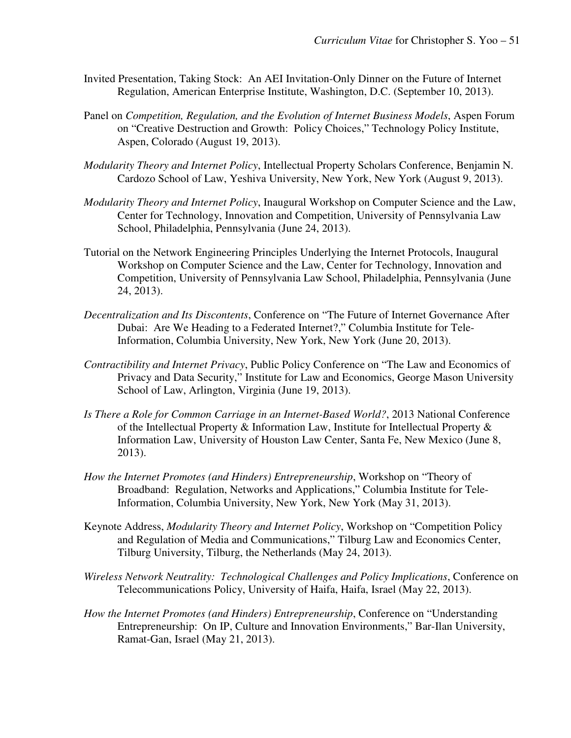- Invited Presentation, Taking Stock: An AEI Invitation-Only Dinner on the Future of Internet Regulation, American Enterprise Institute, Washington, D.C. (September 10, 2013).
- Panel on *Competition, Regulation, and the Evolution of Internet Business Models*, Aspen Forum on "Creative Destruction and Growth: Policy Choices," Technology Policy Institute, Aspen, Colorado (August 19, 2013).
- *Modularity Theory and Internet Policy*, Intellectual Property Scholars Conference, Benjamin N. Cardozo School of Law, Yeshiva University, New York, New York (August 9, 2013).
- *Modularity Theory and Internet Policy*, Inaugural Workshop on Computer Science and the Law, Center for Technology, Innovation and Competition, University of Pennsylvania Law School, Philadelphia, Pennsylvania (June 24, 2013).
- Tutorial on the Network Engineering Principles Underlying the Internet Protocols, Inaugural Workshop on Computer Science and the Law, Center for Technology, Innovation and Competition, University of Pennsylvania Law School, Philadelphia, Pennsylvania (June 24, 2013).
- *Decentralization and Its Discontents*, Conference on "The Future of Internet Governance After Dubai: Are We Heading to a Federated Internet?," Columbia Institute for Tele-Information, Columbia University, New York, New York (June 20, 2013).
- *Contractibility and Internet Privacy*, Public Policy Conference on "The Law and Economics of Privacy and Data Security," Institute for Law and Economics, George Mason University School of Law, Arlington, Virginia (June 19, 2013).
- *Is There a Role for Common Carriage in an Internet-Based World?*, 2013 National Conference of the Intellectual Property & Information Law, Institute for Intellectual Property & Information Law, University of Houston Law Center, Santa Fe, New Mexico (June 8, 2013).
- *How the Internet Promotes (and Hinders) Entrepreneurship*, Workshop on "Theory of Broadband: Regulation, Networks and Applications," Columbia Institute for Tele-Information, Columbia University, New York, New York (May 31, 2013).
- Keynote Address, *Modularity Theory and Internet Policy*, Workshop on "Competition Policy and Regulation of Media and Communications," Tilburg Law and Economics Center, Tilburg University, Tilburg, the Netherlands (May 24, 2013).
- *Wireless Network Neutrality: Technological Challenges and Policy Implications*, Conference on Telecommunications Policy, University of Haifa, Haifa, Israel (May 22, 2013).
- *How the Internet Promotes (and Hinders) Entrepreneurship*, Conference on "Understanding Entrepreneurship: On IP, Culture and Innovation Environments," Bar-Ilan University, Ramat-Gan, Israel (May 21, 2013).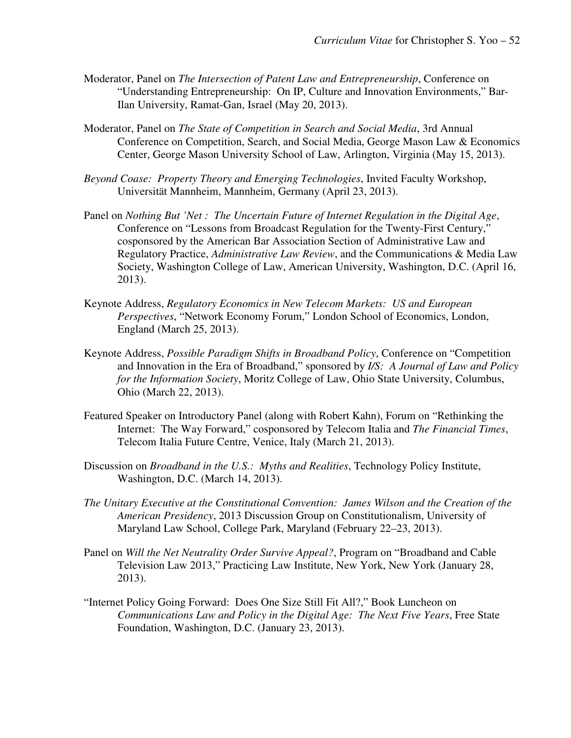- Moderator, Panel on *The Intersection of Patent Law and Entrepreneurship*, Conference on "Understanding Entrepreneurship: On IP, Culture and Innovation Environments," Bar-Ilan University, Ramat-Gan, Israel (May 20, 2013).
- Moderator, Panel on *The State of Competition in Search and Social Media*, 3rd Annual Conference on Competition, Search, and Social Media, George Mason Law & Economics Center, George Mason University School of Law, Arlington, Virginia (May 15, 2013).
- *Beyond Coase: Property Theory and Emerging Technologies*, Invited Faculty Workshop, Universität Mannheim, Mannheim, Germany (April 23, 2013).
- Panel on *Nothing But 'Net : The Uncertain Future of Internet Regulation in the Digital Age*, Conference on "Lessons from Broadcast Regulation for the Twenty-First Century," cosponsored by the American Bar Association Section of Administrative Law and Regulatory Practice, *Administrative Law Review*, and the Communications & Media Law Society, Washington College of Law, American University, Washington, D.C. (April 16, 2013).
- Keynote Address, *Regulatory Economics in New Telecom Markets: US and European Perspectives*, "Network Economy Forum," London School of Economics, London, England (March 25, 2013).
- Keynote Address, *Possible Paradigm Shifts in Broadband Policy*, Conference on "Competition and Innovation in the Era of Broadband," sponsored by *I/S: A Journal of Law and Policy for the Information Society*, Moritz College of Law, Ohio State University, Columbus, Ohio (March 22, 2013).
- Featured Speaker on Introductory Panel (along with Robert Kahn), Forum on "Rethinking the Internet: The Way Forward," cosponsored by Telecom Italia and *The Financial Times*, Telecom Italia Future Centre, Venice, Italy (March 21, 2013).
- Discussion on *Broadband in the U.S.: Myths and Realities*, Technology Policy Institute, Washington, D.C. (March 14, 2013).
- *The Unitary Executive at the Constitutional Convention: James Wilson and the Creation of the American Presidency*, 2013 Discussion Group on Constitutionalism, University of Maryland Law School, College Park, Maryland (February 22–23, 2013).
- Panel on *Will the Net Neutrality Order Survive Appeal?*, Program on "Broadband and Cable Television Law 2013," Practicing Law Institute, New York, New York (January 28, 2013).
- "Internet Policy Going Forward: Does One Size Still Fit All?," Book Luncheon on *Communications Law and Policy in the Digital Age: The Next Five Years*, Free State Foundation, Washington, D.C. (January 23, 2013).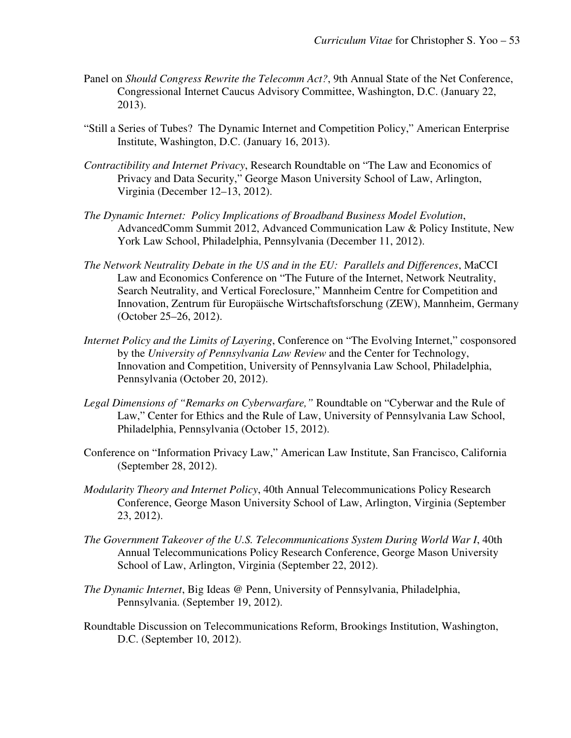- Panel on *Should Congress Rewrite the Telecomm Act?*, 9th Annual State of the Net Conference, Congressional Internet Caucus Advisory Committee, Washington, D.C. (January 22, 2013).
- "Still a Series of Tubes? The Dynamic Internet and Competition Policy," American Enterprise Institute, Washington, D.C. (January 16, 2013).
- *Contractibility and Internet Privacy*, Research Roundtable on "The Law and Economics of Privacy and Data Security," George Mason University School of Law, Arlington, Virginia (December 12–13, 2012).
- *The Dynamic Internet: Policy Implications of Broadband Business Model Evolution*, AdvancedComm Summit 2012, Advanced Communication Law & Policy Institute, New York Law School, Philadelphia, Pennsylvania (December 11, 2012).
- *The Network Neutrality Debate in the US and in the EU: Parallels and Differences*, MaCCI Law and Economics Conference on "The Future of the Internet, Network Neutrality, Search Neutrality, and Vertical Foreclosure," Mannheim Centre for Competition and Innovation, Zentrum für Europäische Wirtschaftsforschung (ZEW), Mannheim, Germany (October 25–26, 2012).
- *Internet Policy and the Limits of Layering*, Conference on "The Evolving Internet," cosponsored by the *University of Pennsylvania Law Review* and the Center for Technology, Innovation and Competition, University of Pennsylvania Law School, Philadelphia, Pennsylvania (October 20, 2012).
- *Legal Dimensions of "Remarks on Cyberwarfare,"* Roundtable on "Cyberwar and the Rule of Law," Center for Ethics and the Rule of Law, University of Pennsylvania Law School, Philadelphia, Pennsylvania (October 15, 2012).
- Conference on "Information Privacy Law," American Law Institute, San Francisco, California (September 28, 2012).
- *Modularity Theory and Internet Policy*, 40th Annual Telecommunications Policy Research Conference, George Mason University School of Law, Arlington, Virginia (September 23, 2012).
- *The Government Takeover of the U.S. Telecommunications System During World War I*, 40th Annual Telecommunications Policy Research Conference, George Mason University School of Law, Arlington, Virginia (September 22, 2012).
- *The Dynamic Internet*, Big Ideas @ Penn, University of Pennsylvania, Philadelphia, Pennsylvania. (September 19, 2012).
- Roundtable Discussion on Telecommunications Reform, Brookings Institution, Washington, D.C. (September 10, 2012).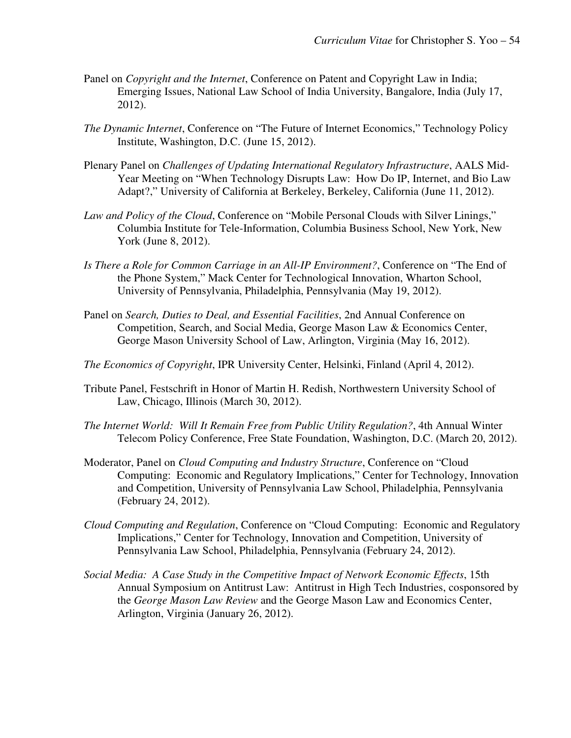- Panel on *Copyright and the Internet*, Conference on Patent and Copyright Law in India; Emerging Issues, National Law School of India University, Bangalore, India (July 17, 2012).
- *The Dynamic Internet*, Conference on "The Future of Internet Economics," Technology Policy Institute, Washington, D.C. (June 15, 2012).
- Plenary Panel on *Challenges of Updating International Regulatory Infrastructure*, AALS Mid-Year Meeting on "When Technology Disrupts Law: How Do IP, Internet, and Bio Law Adapt?," University of California at Berkeley, Berkeley, California (June 11, 2012).
- *Law and Policy of the Cloud*, Conference on "Mobile Personal Clouds with Silver Linings," Columbia Institute for Tele-Information, Columbia Business School, New York, New York (June 8, 2012).
- *Is There a Role for Common Carriage in an All-IP Environment?*, Conference on "The End of the Phone System," Mack Center for Technological Innovation, Wharton School, University of Pennsylvania, Philadelphia, Pennsylvania (May 19, 2012).
- Panel on *Search, Duties to Deal, and Essential Facilities*, 2nd Annual Conference on Competition, Search, and Social Media, George Mason Law & Economics Center, George Mason University School of Law, Arlington, Virginia (May 16, 2012).
- *The Economics of Copyright*, IPR University Center, Helsinki, Finland (April 4, 2012).
- Tribute Panel, Festschrift in Honor of Martin H. Redish, Northwestern University School of Law, Chicago, Illinois (March 30, 2012).
- *The Internet World: Will It Remain Free from Public Utility Regulation?*, 4th Annual Winter Telecom Policy Conference, Free State Foundation, Washington, D.C. (March 20, 2012).
- Moderator, Panel on *Cloud Computing and Industry Structure*, Conference on "Cloud Computing: Economic and Regulatory Implications," Center for Technology, Innovation and Competition, University of Pennsylvania Law School, Philadelphia, Pennsylvania (February 24, 2012).
- *Cloud Computing and Regulation*, Conference on "Cloud Computing: Economic and Regulatory Implications," Center for Technology, Innovation and Competition, University of Pennsylvania Law School, Philadelphia, Pennsylvania (February 24, 2012).
- *Social Media: A Case Study in the Competitive Impact of Network Economic Effects*, 15th Annual Symposium on Antitrust Law: Antitrust in High Tech Industries, cosponsored by the *George Mason Law Review* and the George Mason Law and Economics Center, Arlington, Virginia (January 26, 2012).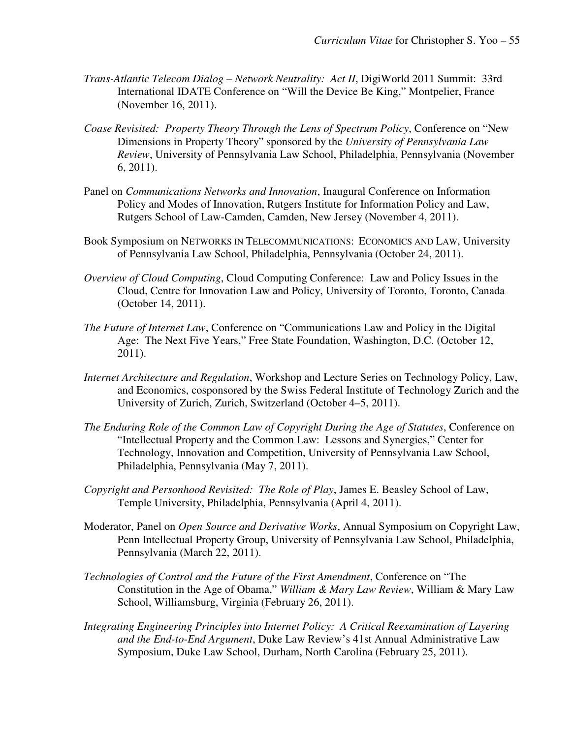- *Trans-Atlantic Telecom Dialog Network Neutrality: Act II*, DigiWorld 2011 Summit: 33rd International IDATE Conference on "Will the Device Be King," Montpelier, France (November 16, 2011).
- *Coase Revisited: Property Theory Through the Lens of Spectrum Policy*, Conference on "New Dimensions in Property Theory" sponsored by the *University of Pennsylvania Law Review*, University of Pennsylvania Law School, Philadelphia, Pennsylvania (November 6, 2011).
- Panel on *Communications Networks and Innovation*, Inaugural Conference on Information Policy and Modes of Innovation, Rutgers Institute for Information Policy and Law, Rutgers School of Law-Camden, Camden, New Jersey (November 4, 2011).
- Book Symposium on NETWORKS IN TELECOMMUNICATIONS: ECONOMICS AND LAW, University of Pennsylvania Law School, Philadelphia, Pennsylvania (October 24, 2011).
- *Overview of Cloud Computing*, Cloud Computing Conference: Law and Policy Issues in the Cloud, Centre for Innovation Law and Policy, University of Toronto, Toronto, Canada (October 14, 2011).
- *The Future of Internet Law*, Conference on "Communications Law and Policy in the Digital Age: The Next Five Years," Free State Foundation, Washington, D.C. (October 12, 2011).
- *Internet Architecture and Regulation*, Workshop and Lecture Series on Technology Policy, Law, and Economics, cosponsored by the Swiss Federal Institute of Technology Zurich and the University of Zurich, Zurich, Switzerland (October 4–5, 2011).
- *The Enduring Role of the Common Law of Copyright During the Age of Statutes*, Conference on "Intellectual Property and the Common Law: Lessons and Synergies," Center for Technology, Innovation and Competition, University of Pennsylvania Law School, Philadelphia, Pennsylvania (May 7, 2011).
- *Copyright and Personhood Revisited: The Role of Play*, James E. Beasley School of Law, Temple University, Philadelphia, Pennsylvania (April 4, 2011).
- Moderator, Panel on *Open Source and Derivative Works*, Annual Symposium on Copyright Law, Penn Intellectual Property Group, University of Pennsylvania Law School, Philadelphia, Pennsylvania (March 22, 2011).
- *Technologies of Control and the Future of the First Amendment*, Conference on "The Constitution in the Age of Obama," *William & Mary Law Review*, William & Mary Law School, Williamsburg, Virginia (February 26, 2011).
- *Integrating Engineering Principles into Internet Policy: A Critical Reexamination of Layering and the End-to-End Argument*, Duke Law Review's 41st Annual Administrative Law Symposium, Duke Law School, Durham, North Carolina (February 25, 2011).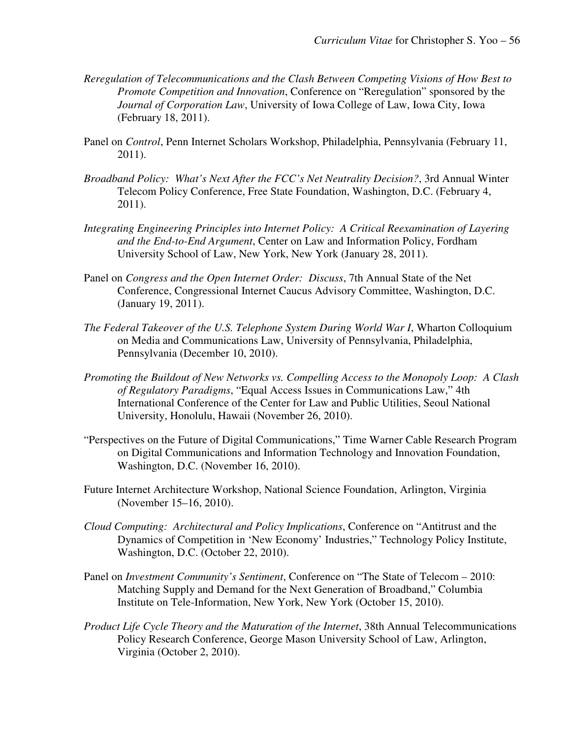- *Reregulation of Telecommunications and the Clash Between Competing Visions of How Best to Promote Competition and Innovation*, Conference on "Reregulation" sponsored by the *Journal of Corporation Law*, University of Iowa College of Law, Iowa City, Iowa (February 18, 2011).
- Panel on *Control*, Penn Internet Scholars Workshop, Philadelphia, Pennsylvania (February 11, 2011).
- *Broadband Policy: What's Next After the FCC's Net Neutrality Decision?*, 3rd Annual Winter Telecom Policy Conference, Free State Foundation, Washington, D.C. (February 4, 2011).
- *Integrating Engineering Principles into Internet Policy: A Critical Reexamination of Layering and the End-to-End Argument*, Center on Law and Information Policy, Fordham University School of Law, New York, New York (January 28, 2011).
- Panel on *Congress and the Open Internet Order: Discuss*, 7th Annual State of the Net Conference, Congressional Internet Caucus Advisory Committee, Washington, D.C. (January 19, 2011).
- *The Federal Takeover of the U.S. Telephone System During World War I*, Wharton Colloquium on Media and Communications Law, University of Pennsylvania, Philadelphia, Pennsylvania (December 10, 2010).
- *Promoting the Buildout of New Networks vs. Compelling Access to the Monopoly Loop: A Clash of Regulatory Paradigms*, "Equal Access Issues in Communications Law," 4th International Conference of the Center for Law and Public Utilities, Seoul National University, Honolulu, Hawaii (November 26, 2010).
- "Perspectives on the Future of Digital Communications," Time Warner Cable Research Program on Digital Communications and Information Technology and Innovation Foundation, Washington, D.C. (November 16, 2010).
- Future Internet Architecture Workshop, National Science Foundation, Arlington, Virginia (November 15–16, 2010).
- *Cloud Computing: Architectural and Policy Implications*, Conference on "Antitrust and the Dynamics of Competition in 'New Economy' Industries," Technology Policy Institute, Washington, D.C. (October 22, 2010).
- Panel on *Investment Community's Sentiment*, Conference on "The State of Telecom 2010: Matching Supply and Demand for the Next Generation of Broadband," Columbia Institute on Tele-Information, New York, New York (October 15, 2010).
- *Product Life Cycle Theory and the Maturation of the Internet*, 38th Annual Telecommunications Policy Research Conference, George Mason University School of Law, Arlington, Virginia (October 2, 2010).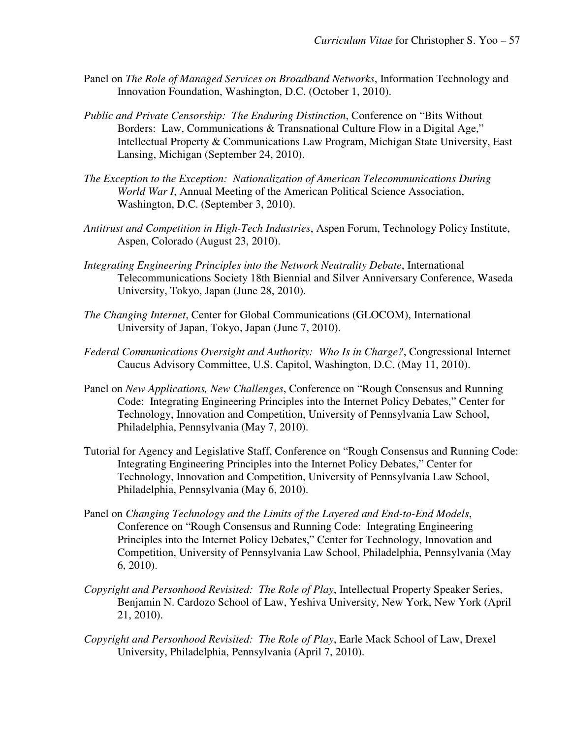- Panel on *The Role of Managed Services on Broadband Networks*, Information Technology and Innovation Foundation, Washington, D.C. (October 1, 2010).
- *Public and Private Censorship: The Enduring Distinction*, Conference on "Bits Without Borders: Law, Communications & Transnational Culture Flow in a Digital Age," Intellectual Property & Communications Law Program, Michigan State University, East Lansing, Michigan (September 24, 2010).
- *The Exception to the Exception: Nationalization of American Telecommunications During World War I*, Annual Meeting of the American Political Science Association, Washington, D.C. (September 3, 2010).
- *Antitrust and Competition in High-Tech Industries*, Aspen Forum, Technology Policy Institute, Aspen, Colorado (August 23, 2010).
- *Integrating Engineering Principles into the Network Neutrality Debate*, International Telecommunications Society 18th Biennial and Silver Anniversary Conference, Waseda University, Tokyo, Japan (June 28, 2010).
- *The Changing Internet*, Center for Global Communications (GLOCOM), International University of Japan, Tokyo, Japan (June 7, 2010).
- *Federal Communications Oversight and Authority: Who Is in Charge?*, Congressional Internet Caucus Advisory Committee, U.S. Capitol, Washington, D.C. (May 11, 2010).
- Panel on *New Applications, New Challenges*, Conference on "Rough Consensus and Running Code: Integrating Engineering Principles into the Internet Policy Debates," Center for Technology, Innovation and Competition, University of Pennsylvania Law School, Philadelphia, Pennsylvania (May 7, 2010).
- Tutorial for Agency and Legislative Staff, Conference on "Rough Consensus and Running Code: Integrating Engineering Principles into the Internet Policy Debates," Center for Technology, Innovation and Competition, University of Pennsylvania Law School, Philadelphia, Pennsylvania (May 6, 2010).
- Panel on *Changing Technology and the Limits of the Layered and End-to-End Models*, Conference on "Rough Consensus and Running Code: Integrating Engineering Principles into the Internet Policy Debates," Center for Technology, Innovation and Competition, University of Pennsylvania Law School, Philadelphia, Pennsylvania (May 6, 2010).
- *Copyright and Personhood Revisited: The Role of Play*, Intellectual Property Speaker Series, Benjamin N. Cardozo School of Law, Yeshiva University, New York, New York (April 21, 2010).
- *Copyright and Personhood Revisited: The Role of Play*, Earle Mack School of Law, Drexel University, Philadelphia, Pennsylvania (April 7, 2010).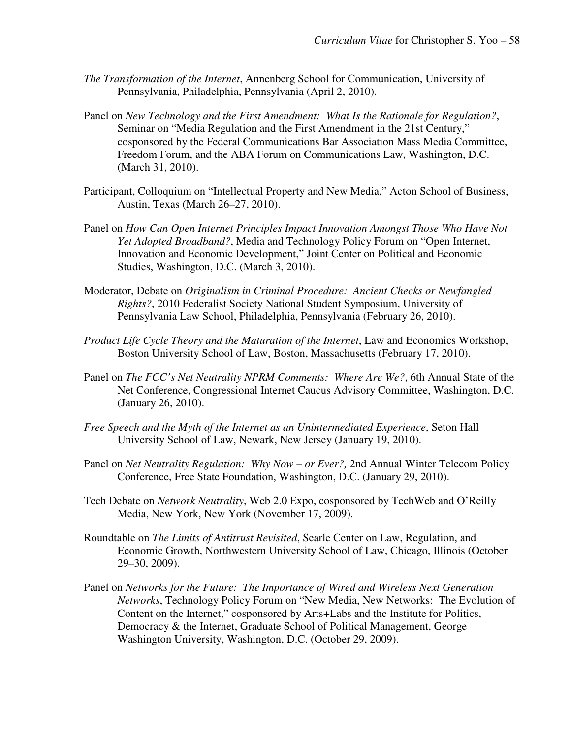- *The Transformation of the Internet*, Annenberg School for Communication, University of Pennsylvania, Philadelphia, Pennsylvania (April 2, 2010).
- Panel on *New Technology and the First Amendment: What Is the Rationale for Regulation?*, Seminar on "Media Regulation and the First Amendment in the 21st Century," cosponsored by the Federal Communications Bar Association Mass Media Committee, Freedom Forum, and the ABA Forum on Communications Law, Washington, D.C. (March 31, 2010).
- Participant, Colloquium on "Intellectual Property and New Media," Acton School of Business, Austin, Texas (March 26–27, 2010).
- Panel on *How Can Open Internet Principles Impact Innovation Amongst Those Who Have Not Yet Adopted Broadband?*, Media and Technology Policy Forum on "Open Internet, Innovation and Economic Development," Joint Center on Political and Economic Studies, Washington, D.C. (March 3, 2010).
- Moderator, Debate on *Originalism in Criminal Procedure: Ancient Checks or Newfangled Rights?*, 2010 Federalist Society National Student Symposium, University of Pennsylvania Law School, Philadelphia, Pennsylvania (February 26, 2010).
- *Product Life Cycle Theory and the Maturation of the Internet*, Law and Economics Workshop, Boston University School of Law, Boston, Massachusetts (February 17, 2010).
- Panel on *The FCC's Net Neutrality NPRM Comments: Where Are We?*, 6th Annual State of the Net Conference, Congressional Internet Caucus Advisory Committee, Washington, D.C. (January 26, 2010).
- *Free Speech and the Myth of the Internet as an Unintermediated Experience*, Seton Hall University School of Law, Newark, New Jersey (January 19, 2010).
- Panel on *Net Neutrality Regulation: Why Now or Ever?,* 2nd Annual Winter Telecom Policy Conference, Free State Foundation, Washington, D.C. (January 29, 2010).
- Tech Debate on *Network Neutrality*, Web 2.0 Expo, cosponsored by TechWeb and O'Reilly Media, New York, New York (November 17, 2009).
- Roundtable on *The Limits of Antitrust Revisited*, Searle Center on Law, Regulation, and Economic Growth, Northwestern University School of Law, Chicago, Illinois (October 29–30, 2009).
- Panel on *Networks for the Future: The Importance of Wired and Wireless Next Generation Networks*, Technology Policy Forum on "New Media, New Networks: The Evolution of Content on the Internet," cosponsored by Arts+Labs and the Institute for Politics, Democracy & the Internet, Graduate School of Political Management, George Washington University, Washington, D.C. (October 29, 2009).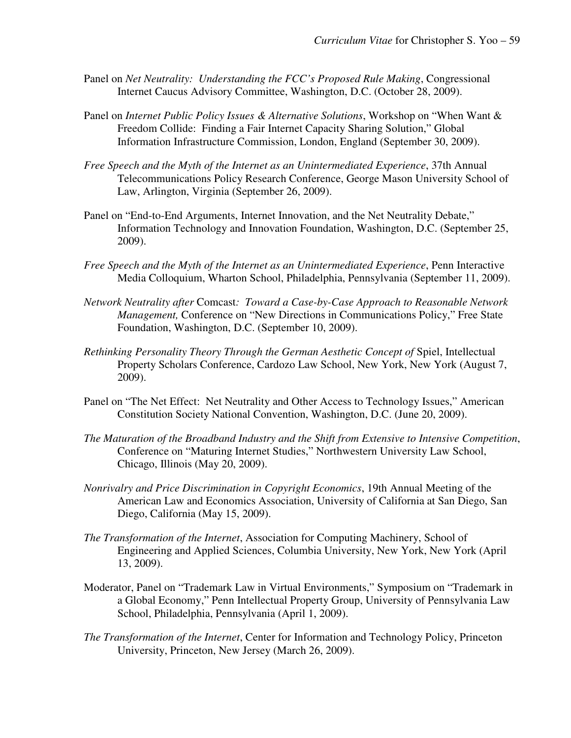- Panel on *Net Neutrality: Understanding the FCC's Proposed Rule Making*, Congressional Internet Caucus Advisory Committee, Washington, D.C. (October 28, 2009).
- Panel on *Internet Public Policy Issues & Alternative Solutions*, Workshop on "When Want & Freedom Collide: Finding a Fair Internet Capacity Sharing Solution," Global Information Infrastructure Commission, London, England (September 30, 2009).
- *Free Speech and the Myth of the Internet as an Unintermediated Experience*, 37th Annual Telecommunications Policy Research Conference, George Mason University School of Law, Arlington, Virginia (September 26, 2009).
- Panel on "End-to-End Arguments, Internet Innovation, and the Net Neutrality Debate," Information Technology and Innovation Foundation, Washington, D.C. (September 25, 2009).
- *Free Speech and the Myth of the Internet as an Unintermediated Experience*, Penn Interactive Media Colloquium, Wharton School, Philadelphia, Pennsylvania (September 11, 2009).
- *Network Neutrality after* Comcast*: Toward a Case-by-Case Approach to Reasonable Network Management,* Conference on "New Directions in Communications Policy," Free State Foundation, Washington, D.C. (September 10, 2009).
- *Rethinking Personality Theory Through the German Aesthetic Concept of* Spiel, Intellectual Property Scholars Conference, Cardozo Law School, New York, New York (August 7, 2009).
- Panel on "The Net Effect: Net Neutrality and Other Access to Technology Issues," American Constitution Society National Convention, Washington, D.C. (June 20, 2009).
- *The Maturation of the Broadband Industry and the Shift from Extensive to Intensive Competition*, Conference on "Maturing Internet Studies," Northwestern University Law School, Chicago, Illinois (May 20, 2009).
- *Nonrivalry and Price Discrimination in Copyright Economics*, 19th Annual Meeting of the American Law and Economics Association, University of California at San Diego, San Diego, California (May 15, 2009).
- *The Transformation of the Internet*, Association for Computing Machinery, School of Engineering and Applied Sciences, Columbia University, New York, New York (April 13, 2009).
- Moderator, Panel on "Trademark Law in Virtual Environments," Symposium on "Trademark in a Global Economy," Penn Intellectual Property Group, University of Pennsylvania Law School, Philadelphia, Pennsylvania (April 1, 2009).
- *The Transformation of the Internet*, Center for Information and Technology Policy, Princeton University, Princeton, New Jersey (March 26, 2009).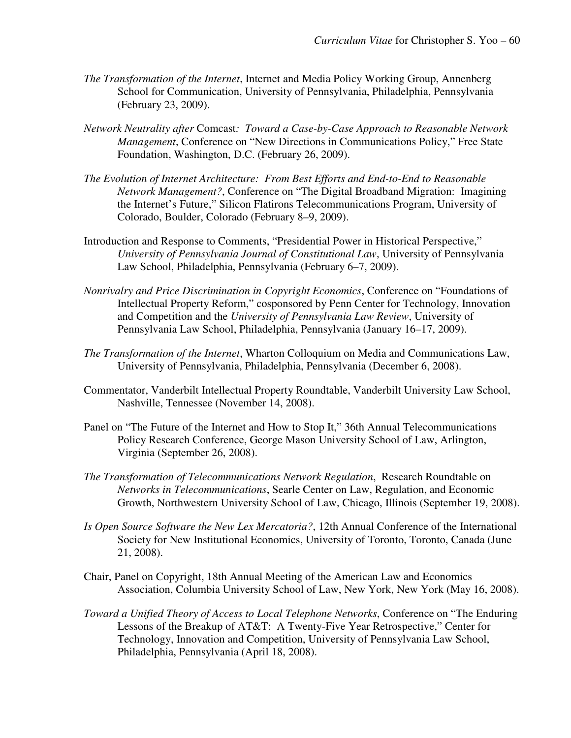- *The Transformation of the Internet*, Internet and Media Policy Working Group, Annenberg School for Communication, University of Pennsylvania, Philadelphia, Pennsylvania (February 23, 2009).
- *Network Neutrality after* Comcast*: Toward a Case-by-Case Approach to Reasonable Network Management*, Conference on "New Directions in Communications Policy," Free State Foundation, Washington, D.C. (February 26, 2009).
- *The Evolution of Internet Architecture: From Best Efforts and End-to-End to Reasonable Network Management?*, Conference on "The Digital Broadband Migration: Imagining the Internet's Future," Silicon Flatirons Telecommunications Program, University of Colorado, Boulder, Colorado (February 8–9, 2009).
- Introduction and Response to Comments, "Presidential Power in Historical Perspective," *University of Pennsylvania Journal of Constitutional Law*, University of Pennsylvania Law School, Philadelphia, Pennsylvania (February 6–7, 2009).
- *Nonrivalry and Price Discrimination in Copyright Economics*, Conference on "Foundations of Intellectual Property Reform," cosponsored by Penn Center for Technology, Innovation and Competition and the *University of Pennsylvania Law Review*, University of Pennsylvania Law School, Philadelphia, Pennsylvania (January 16–17, 2009).
- *The Transformation of the Internet*, Wharton Colloquium on Media and Communications Law, University of Pennsylvania, Philadelphia, Pennsylvania (December 6, 2008).
- Commentator, Vanderbilt Intellectual Property Roundtable, Vanderbilt University Law School, Nashville, Tennessee (November 14, 2008).
- Panel on "The Future of the Internet and How to Stop It," 36th Annual Telecommunications Policy Research Conference, George Mason University School of Law, Arlington, Virginia (September 26, 2008).
- *The Transformation of Telecommunications Network Regulation*, Research Roundtable on *Networks in Telecommunications*, Searle Center on Law, Regulation, and Economic Growth, Northwestern University School of Law, Chicago, Illinois (September 19, 2008).
- *Is Open Source Software the New Lex Mercatoria?*, 12th Annual Conference of the International Society for New Institutional Economics, University of Toronto, Toronto, Canada (June 21, 2008).
- Chair, Panel on Copyright, 18th Annual Meeting of the American Law and Economics Association, Columbia University School of Law, New York, New York (May 16, 2008).
- *Toward a Unified Theory of Access to Local Telephone Networks*, Conference on "The Enduring Lessons of the Breakup of AT&T: A Twenty-Five Year Retrospective," Center for Technology, Innovation and Competition, University of Pennsylvania Law School, Philadelphia, Pennsylvania (April 18, 2008).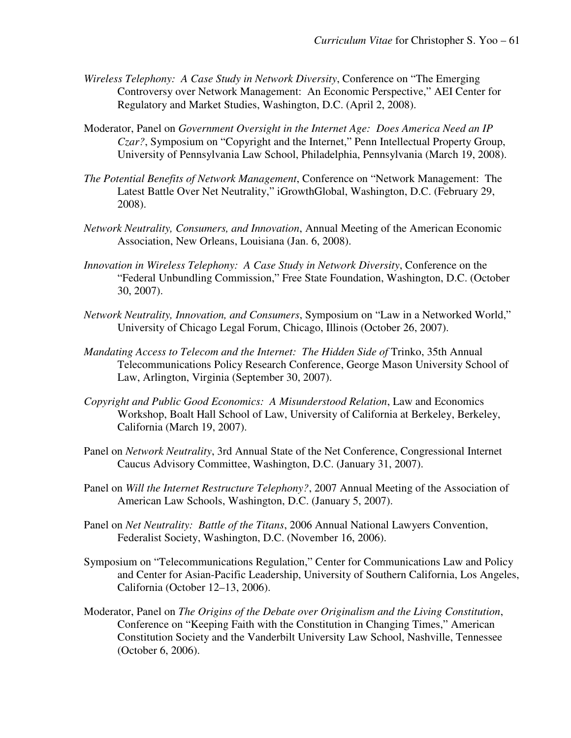- *Wireless Telephony: A Case Study in Network Diversity*, Conference on "The Emerging Controversy over Network Management: An Economic Perspective," AEI Center for Regulatory and Market Studies, Washington, D.C. (April 2, 2008).
- Moderator, Panel on *Government Oversight in the Internet Age: Does America Need an IP Czar?*, Symposium on "Copyright and the Internet," Penn Intellectual Property Group, University of Pennsylvania Law School, Philadelphia, Pennsylvania (March 19, 2008).
- *The Potential Benefits of Network Management*, Conference on "Network Management: The Latest Battle Over Net Neutrality," iGrowthGlobal, Washington, D.C. (February 29, 2008).
- *Network Neutrality, Consumers, and Innovation*, Annual Meeting of the American Economic Association, New Orleans, Louisiana (Jan. 6, 2008).
- *Innovation in Wireless Telephony: A Case Study in Network Diversity*, Conference on the "Federal Unbundling Commission," Free State Foundation, Washington, D.C. (October 30, 2007).
- *Network Neutrality, Innovation, and Consumers*, Symposium on "Law in a Networked World," University of Chicago Legal Forum, Chicago, Illinois (October 26, 2007).
- *Mandating Access to Telecom and the Internet: The Hidden Side of Trinko, 35th Annual* Telecommunications Policy Research Conference, George Mason University School of Law, Arlington, Virginia (September 30, 2007).
- *Copyright and Public Good Economics: A Misunderstood Relation*, Law and Economics Workshop, Boalt Hall School of Law, University of California at Berkeley, Berkeley, California (March 19, 2007).
- Panel on *Network Neutrality*, 3rd Annual State of the Net Conference, Congressional Internet Caucus Advisory Committee, Washington, D.C. (January 31, 2007).
- Panel on *Will the Internet Restructure Telephony?*, 2007 Annual Meeting of the Association of American Law Schools, Washington, D.C. (January 5, 2007).
- Panel on *Net Neutrality: Battle of the Titans*, 2006 Annual National Lawyers Convention, Federalist Society, Washington, D.C. (November 16, 2006).
- Symposium on "Telecommunications Regulation," Center for Communications Law and Policy and Center for Asian-Pacific Leadership, University of Southern California, Los Angeles, California (October 12–13, 2006).
- Moderator, Panel on *The Origins of the Debate over Originalism and the Living Constitution*, Conference on "Keeping Faith with the Constitution in Changing Times," American Constitution Society and the Vanderbilt University Law School, Nashville, Tennessee (October 6, 2006).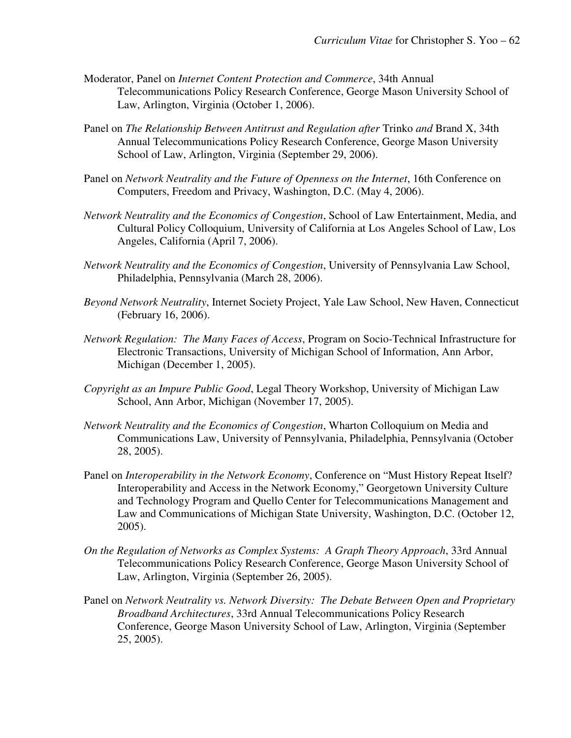- Moderator, Panel on *Internet Content Protection and Commerce*, 34th Annual Telecommunications Policy Research Conference, George Mason University School of Law, Arlington, Virginia (October 1, 2006).
- Panel on *The Relationship Between Antitrust and Regulation after* Trinko *and* Brand X, 34th Annual Telecommunications Policy Research Conference, George Mason University School of Law, Arlington, Virginia (September 29, 2006).
- Panel on *Network Neutrality and the Future of Openness on the Internet*, 16th Conference on Computers, Freedom and Privacy, Washington, D.C. (May 4, 2006).
- *Network Neutrality and the Economics of Congestion*, School of Law Entertainment, Media, and Cultural Policy Colloquium, University of California at Los Angeles School of Law, Los Angeles, California (April 7, 2006).
- *Network Neutrality and the Economics of Congestion*, University of Pennsylvania Law School, Philadelphia, Pennsylvania (March 28, 2006).
- *Beyond Network Neutrality*, Internet Society Project, Yale Law School, New Haven, Connecticut (February 16, 2006).
- *Network Regulation: The Many Faces of Access*, Program on Socio-Technical Infrastructure for Electronic Transactions, University of Michigan School of Information, Ann Arbor, Michigan (December 1, 2005).
- *Copyright as an Impure Public Good*, Legal Theory Workshop, University of Michigan Law School, Ann Arbor, Michigan (November 17, 2005).
- *Network Neutrality and the Economics of Congestion*, Wharton Colloquium on Media and Communications Law, University of Pennsylvania, Philadelphia, Pennsylvania (October 28, 2005).
- Panel on *Interoperability in the Network Economy*, Conference on "Must History Repeat Itself? Interoperability and Access in the Network Economy," Georgetown University Culture and Technology Program and Quello Center for Telecommunications Management and Law and Communications of Michigan State University, Washington, D.C. (October 12, 2005).
- *On the Regulation of Networks as Complex Systems: A Graph Theory Approach*, 33rd Annual Telecommunications Policy Research Conference, George Mason University School of Law, Arlington, Virginia (September 26, 2005).
- Panel on *Network Neutrality vs. Network Diversity: The Debate Between Open and Proprietary Broadband Architectures*, 33rd Annual Telecommunications Policy Research Conference, George Mason University School of Law, Arlington, Virginia (September 25, 2005).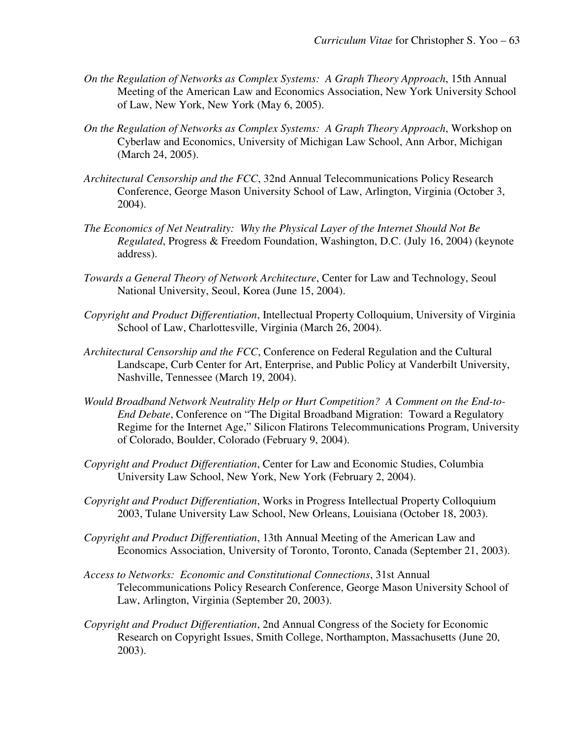- *On the Regulation of Networks as Complex Systems: A Graph Theory Approach*, 15th Annual Meeting of the American Law and Economics Association, New York University School of Law, New York, New York (May 6, 2005).
- *On the Regulation of Networks as Complex Systems: A Graph Theory Approach*, Workshop on Cyberlaw and Economics, University of Michigan Law School, Ann Arbor, Michigan (March 24, 2005).
- *Architectural Censorship and the FCC*, 32nd Annual Telecommunications Policy Research Conference, George Mason University School of Law, Arlington, Virginia (October 3, 2004).
- *The Economics of Net Neutrality: Why the Physical Layer of the Internet Should Not Be Regulated*, Progress & Freedom Foundation, Washington, D.C. (July 16, 2004) (keynote address).
- *Towards a General Theory of Network Architecture*, Center for Law and Technology, Seoul National University, Seoul, Korea (June 15, 2004).
- *Copyright and Product Differentiation*, Intellectual Property Colloquium, University of Virginia School of Law, Charlottesville, Virginia (March 26, 2004).
- *Architectural Censorship and the FCC*, Conference on Federal Regulation and the Cultural Landscape, Curb Center for Art, Enterprise, and Public Policy at Vanderbilt University, Nashville, Tennessee (March 19, 2004).
- *Would Broadband Network Neutrality Help or Hurt Competition? A Comment on the End-to-End Debate*, Conference on "The Digital Broadband Migration: Toward a Regulatory Regime for the Internet Age," Silicon Flatirons Telecommunications Program, University of Colorado, Boulder, Colorado (February 9, 2004).
- *Copyright and Product Differentiation*, Center for Law and Economic Studies, Columbia University Law School, New York, New York (February 2, 2004).
- *Copyright and Product Differentiation*, Works in Progress Intellectual Property Colloquium 2003, Tulane University Law School, New Orleans, Louisiana (October 18, 2003).
- *Copyright and Product Differentiation*, 13th Annual Meeting of the American Law and Economics Association, University of Toronto, Toronto, Canada (September 21, 2003).
- *Access to Networks: Economic and Constitutional Connections*, 31st Annual Telecommunications Policy Research Conference, George Mason University School of Law, Arlington, Virginia (September 20, 2003).
- *Copyright and Product Differentiation*, 2nd Annual Congress of the Society for Economic Research on Copyright Issues, Smith College, Northampton, Massachusetts (June 20, 2003).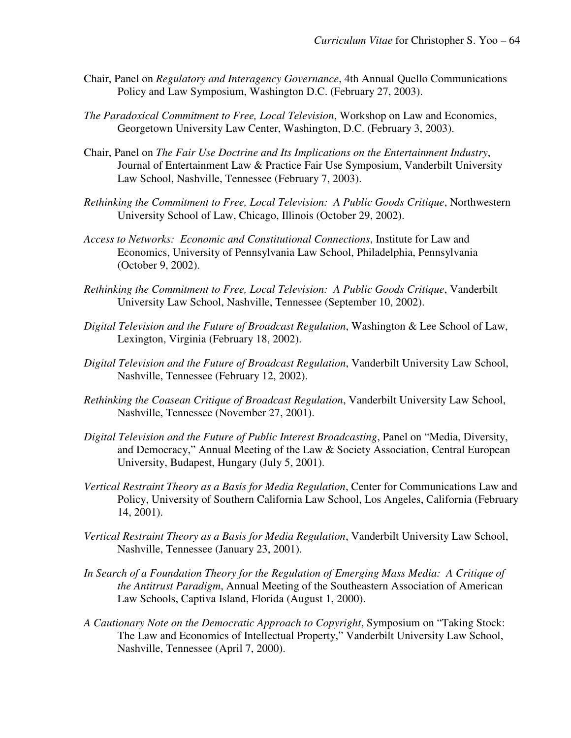- Chair, Panel on *Regulatory and Interagency Governance*, 4th Annual Quello Communications Policy and Law Symposium, Washington D.C. (February 27, 2003).
- *The Paradoxical Commitment to Free, Local Television*, Workshop on Law and Economics, Georgetown University Law Center, Washington, D.C. (February 3, 2003).
- Chair, Panel on *The Fair Use Doctrine and Its Implications on the Entertainment Industry*, Journal of Entertainment Law & Practice Fair Use Symposium, Vanderbilt University Law School, Nashville, Tennessee (February 7, 2003).
- *Rethinking the Commitment to Free, Local Television: A Public Goods Critique*, Northwestern University School of Law, Chicago, Illinois (October 29, 2002).
- *Access to Networks: Economic and Constitutional Connections*, Institute for Law and Economics, University of Pennsylvania Law School, Philadelphia, Pennsylvania (October 9, 2002).
- *Rethinking the Commitment to Free, Local Television: A Public Goods Critique*, Vanderbilt University Law School, Nashville, Tennessee (September 10, 2002).
- *Digital Television and the Future of Broadcast Regulation*, Washington & Lee School of Law, Lexington, Virginia (February 18, 2002).
- *Digital Television and the Future of Broadcast Regulation*, Vanderbilt University Law School, Nashville, Tennessee (February 12, 2002).
- *Rethinking the Coasean Critique of Broadcast Regulation*, Vanderbilt University Law School, Nashville, Tennessee (November 27, 2001).
- *Digital Television and the Future of Public Interest Broadcasting*, Panel on "Media, Diversity, and Democracy," Annual Meeting of the Law & Society Association, Central European University, Budapest, Hungary (July 5, 2001).
- *Vertical Restraint Theory as a Basis for Media Regulation*, Center for Communications Law and Policy, University of Southern California Law School, Los Angeles, California (February 14, 2001).
- *Vertical Restraint Theory as a Basis for Media Regulation*, Vanderbilt University Law School, Nashville, Tennessee (January 23, 2001).
- In Search of a Foundation Theory for the Regulation of Emerging Mass Media: A Critique of *the Antitrust Paradigm*, Annual Meeting of the Southeastern Association of American Law Schools, Captiva Island, Florida (August 1, 2000).
- *A Cautionary Note on the Democratic Approach to Copyright*, Symposium on "Taking Stock: The Law and Economics of Intellectual Property," Vanderbilt University Law School, Nashville, Tennessee (April 7, 2000).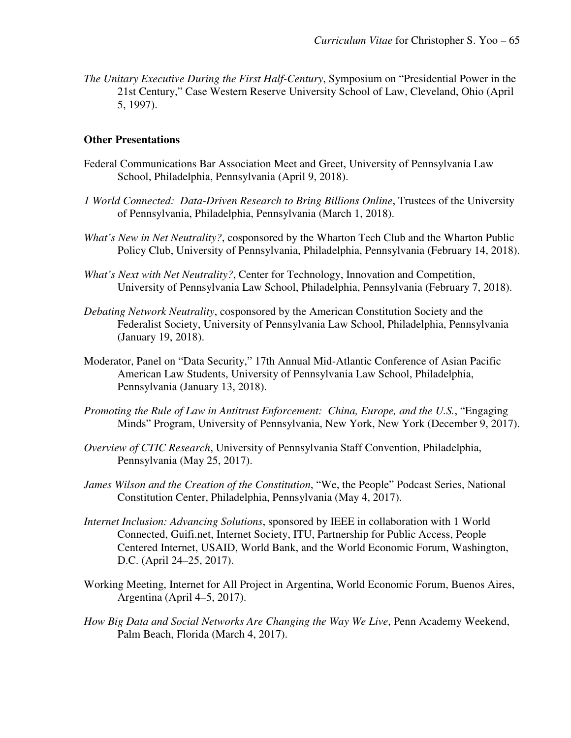*The Unitary Executive During the First Half-Century*, Symposium on "Presidential Power in the 21st Century," Case Western Reserve University School of Law, Cleveland, Ohio (April 5, 1997).

#### **Other Presentations**

- Federal Communications Bar Association Meet and Greet, University of Pennsylvania Law School, Philadelphia, Pennsylvania (April 9, 2018).
- *1 World Connected: Data-Driven Research to Bring Billions Online*, Trustees of the University of Pennsylvania, Philadelphia, Pennsylvania (March 1, 2018).
- *What's New in Net Neutrality?*, cosponsored by the Wharton Tech Club and the Wharton Public Policy Club, University of Pennsylvania, Philadelphia, Pennsylvania (February 14, 2018).
- *What's Next with Net Neutrality?*, Center for Technology, Innovation and Competition, University of Pennsylvania Law School, Philadelphia, Pennsylvania (February 7, 2018).
- *Debating Network Neutrality*, cosponsored by the American Constitution Society and the Federalist Society, University of Pennsylvania Law School, Philadelphia, Pennsylvania (January 19, 2018).
- Moderator, Panel on "Data Security," 17th Annual Mid-Atlantic Conference of Asian Pacific American Law Students, University of Pennsylvania Law School, Philadelphia, Pennsylvania (January 13, 2018).
- *Promoting the Rule of Law in Antitrust Enforcement: China, Europe, and the U.S.*, "Engaging Minds" Program, University of Pennsylvania, New York, New York (December 9, 2017).
- *Overview of CTIC Research*, University of Pennsylvania Staff Convention, Philadelphia, Pennsylvania (May 25, 2017).
- *James Wilson and the Creation of the Constitution*, "We, the People" Podcast Series, National Constitution Center, Philadelphia, Pennsylvania (May 4, 2017).
- *Internet Inclusion: Advancing Solutions*, sponsored by IEEE in collaboration with 1 World Connected, Guifi.net, Internet Society, ITU, Partnership for Public Access, People Centered Internet, USAID, World Bank, and the World Economic Forum, Washington, D.C. (April 24–25, 2017).
- Working Meeting, Internet for All Project in Argentina, World Economic Forum, Buenos Aires, Argentina (April 4–5, 2017).
- *How Big Data and Social Networks Are Changing the Way We Live*, Penn Academy Weekend, Palm Beach, Florida (March 4, 2017).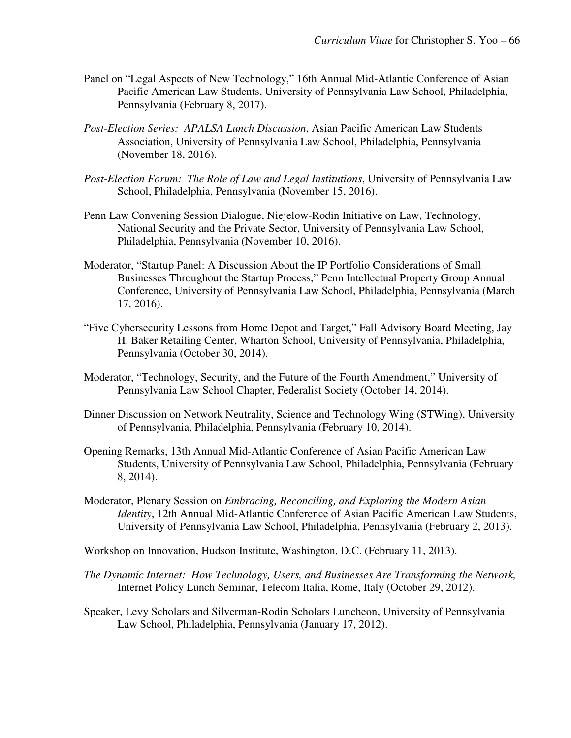- Panel on "Legal Aspects of New Technology," 16th Annual Mid-Atlantic Conference of Asian Pacific American Law Students, University of Pennsylvania Law School, Philadelphia, Pennsylvania (February 8, 2017).
- *Post-Election Series: APALSA Lunch Discussion*, Asian Pacific American Law Students Association, University of Pennsylvania Law School, Philadelphia, Pennsylvania (November 18, 2016).
- *Post-Election Forum: The Role of Law and Legal Institutions*, University of Pennsylvania Law School, Philadelphia, Pennsylvania (November 15, 2016).
- Penn Law Convening Session Dialogue, Niejelow-Rodin Initiative on Law, Technology, National Security and the Private Sector, University of Pennsylvania Law School, Philadelphia, Pennsylvania (November 10, 2016).
- Moderator, "Startup Panel: A Discussion About the IP Portfolio Considerations of Small Businesses Throughout the Startup Process," Penn Intellectual Property Group Annual Conference, University of Pennsylvania Law School, Philadelphia, Pennsylvania (March 17, 2016).
- "Five Cybersecurity Lessons from Home Depot and Target," Fall Advisory Board Meeting, Jay H. Baker Retailing Center, Wharton School, University of Pennsylvania, Philadelphia, Pennsylvania (October 30, 2014).
- Moderator, "Technology, Security, and the Future of the Fourth Amendment," University of Pennsylvania Law School Chapter, Federalist Society (October 14, 2014).
- Dinner Discussion on Network Neutrality, Science and Technology Wing (STWing), University of Pennsylvania, Philadelphia, Pennsylvania (February 10, 2014).
- Opening Remarks, 13th Annual Mid-Atlantic Conference of Asian Pacific American Law Students, University of Pennsylvania Law School, Philadelphia, Pennsylvania (February 8, 2014).
- Moderator, Plenary Session on *Embracing, Reconciling, and Exploring the Modern Asian Identity*, 12th Annual Mid-Atlantic Conference of Asian Pacific American Law Students, University of Pennsylvania Law School, Philadelphia, Pennsylvania (February 2, 2013).

Workshop on Innovation, Hudson Institute, Washington, D.C. (February 11, 2013).

- *The Dynamic Internet: How Technology, Users, and Businesses Are Transforming the Network,*  Internet Policy Lunch Seminar, Telecom Italia, Rome, Italy (October 29, 2012).
- Speaker, Levy Scholars and Silverman-Rodin Scholars Luncheon, University of Pennsylvania Law School, Philadelphia, Pennsylvania (January 17, 2012).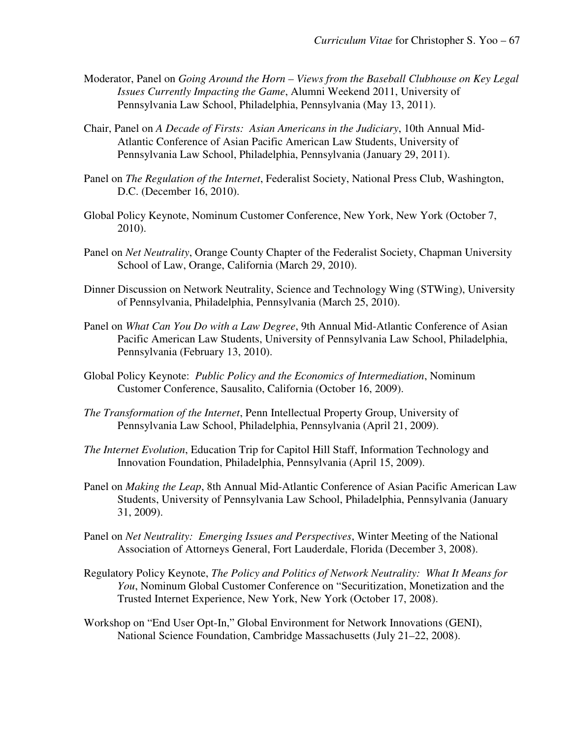- Moderator, Panel on *Going Around the Horn Views from the Baseball Clubhouse on Key Legal Issues Currently Impacting the Game*, Alumni Weekend 2011, University of Pennsylvania Law School, Philadelphia, Pennsylvania (May 13, 2011).
- Chair, Panel on *A Decade of Firsts: Asian Americans in the Judiciary*, 10th Annual Mid-Atlantic Conference of Asian Pacific American Law Students, University of Pennsylvania Law School, Philadelphia, Pennsylvania (January 29, 2011).
- Panel on *The Regulation of the Internet*, Federalist Society, National Press Club, Washington, D.C. (December 16, 2010).
- Global Policy Keynote, Nominum Customer Conference, New York, New York (October 7, 2010).
- Panel on *Net Neutrality*, Orange County Chapter of the Federalist Society, Chapman University School of Law, Orange, California (March 29, 2010).
- Dinner Discussion on Network Neutrality, Science and Technology Wing (STWing), University of Pennsylvania, Philadelphia, Pennsylvania (March 25, 2010).
- Panel on *What Can You Do with a Law Degree*, 9th Annual Mid-Atlantic Conference of Asian Pacific American Law Students, University of Pennsylvania Law School, Philadelphia, Pennsylvania (February 13, 2010).
- Global Policy Keynote: *Public Policy and the Economics of Intermediation*, Nominum Customer Conference, Sausalito, California (October 16, 2009).
- *The Transformation of the Internet*, Penn Intellectual Property Group, University of Pennsylvania Law School, Philadelphia, Pennsylvania (April 21, 2009).
- *The Internet Evolution*, Education Trip for Capitol Hill Staff, Information Technology and Innovation Foundation, Philadelphia, Pennsylvania (April 15, 2009).
- Panel on *Making the Leap*, 8th Annual Mid-Atlantic Conference of Asian Pacific American Law Students, University of Pennsylvania Law School, Philadelphia, Pennsylvania (January 31, 2009).
- Panel on *Net Neutrality: Emerging Issues and Perspectives*, Winter Meeting of the National Association of Attorneys General, Fort Lauderdale, Florida (December 3, 2008).
- Regulatory Policy Keynote, *The Policy and Politics of Network Neutrality: What It Means for You*, Nominum Global Customer Conference on "Securitization, Monetization and the Trusted Internet Experience, New York, New York (October 17, 2008).
- Workshop on "End User Opt-In," Global Environment for Network Innovations (GENI), National Science Foundation, Cambridge Massachusetts (July 21–22, 2008).